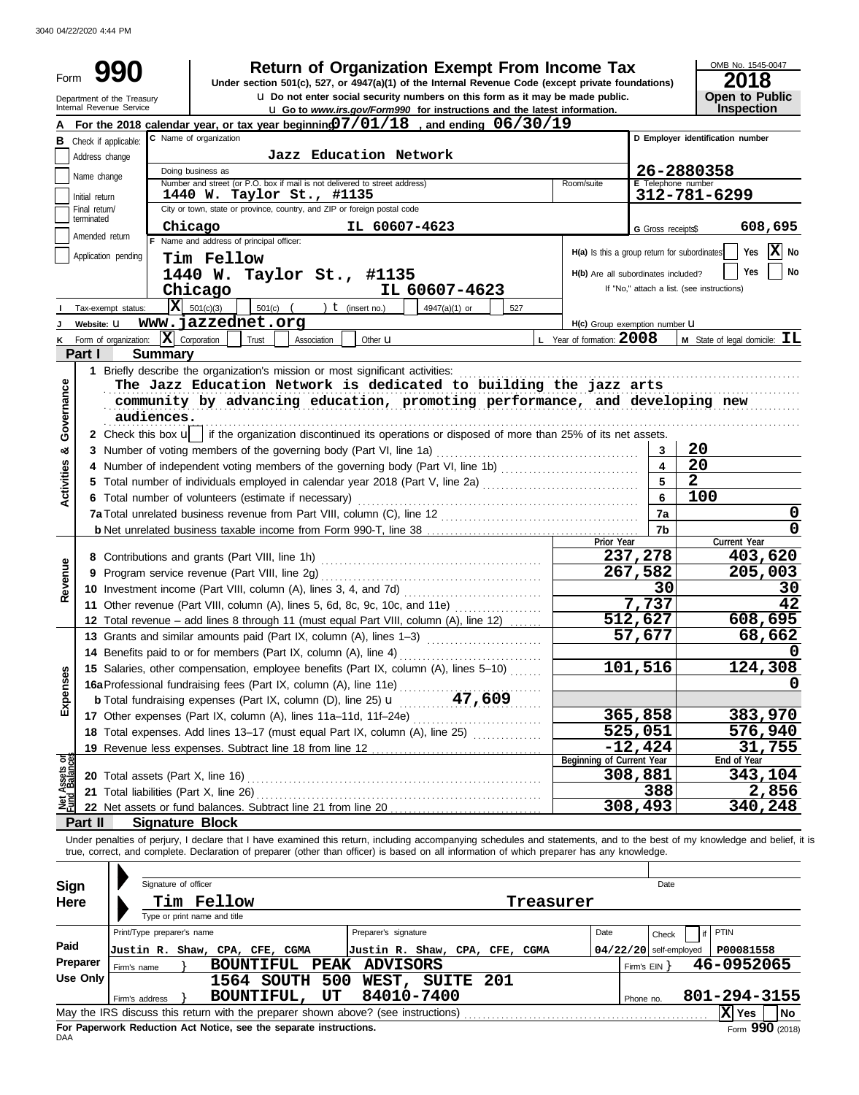| Form              |                             |                                                                                                     |                                                                                                       |             |                                                                            | <b>Return of Organization Exempt From Income Tax</b><br>Under section 501(c), 527, or 4947(a)(1) of the Internal Revenue Code (except private foundations)                                                                                                                                                               |                                              |                |                          |                                            | OMB No. 1545-0047<br>2018                       |
|-------------------|-----------------------------|-----------------------------------------------------------------------------------------------------|-------------------------------------------------------------------------------------------------------|-------------|----------------------------------------------------------------------------|--------------------------------------------------------------------------------------------------------------------------------------------------------------------------------------------------------------------------------------------------------------------------------------------------------------------------|----------------------------------------------|----------------|--------------------------|--------------------------------------------|-------------------------------------------------|
|                   |                             | Department of the Treasury<br>Internal Revenue Service                                              |                                                                                                       |             |                                                                            | u Do not enter social security numbers on this form as it may be made public.<br><b>u</b> Go to www.irs.gov/Form990 for instructions and the latest information.                                                                                                                                                         |                                              |                |                          |                                            | <b>Open to Public</b><br>Inspection             |
|                   |                             |                                                                                                     |                                                                                                       |             |                                                                            | For the 2018 calendar year, or tax year beginning $07/01/18$ , and ending $06/30/19$                                                                                                                                                                                                                                     |                                              |                |                          |                                            |                                                 |
|                   |                             | C Name of organization<br><b>B</b> Check if applicable:                                             |                                                                                                       |             |                                                                            |                                                                                                                                                                                                                                                                                                                          |                                              |                |                          |                                            | D Employer identification number                |
|                   | Address change              |                                                                                                     |                                                                                                       |             | Jazz Education Network                                                     |                                                                                                                                                                                                                                                                                                                          |                                              |                |                          |                                            |                                                 |
|                   |                             | Doing business as                                                                                   |                                                                                                       |             |                                                                            |                                                                                                                                                                                                                                                                                                                          |                                              |                |                          | 26-2880358                                 |                                                 |
|                   | Name change                 |                                                                                                     |                                                                                                       |             | Number and street (or P.O. box if mail is not delivered to street address) |                                                                                                                                                                                                                                                                                                                          | Room/suite                                   |                |                          | E Telephone number                         |                                                 |
|                   | Initial return              |                                                                                                     | 1440 W. Taylor St., #1135<br>City or town, state or province, country, and ZIP or foreign postal code |             |                                                                            |                                                                                                                                                                                                                                                                                                                          |                                              |                |                          | 312-781-6299                               |                                                 |
|                   | Final return/<br>terminated |                                                                                                     |                                                                                                       |             |                                                                            |                                                                                                                                                                                                                                                                                                                          |                                              |                |                          |                                            |                                                 |
|                   | Amended return              | Chicago                                                                                             | F Name and address of principal officer:                                                              |             | IL 60607-4623                                                              |                                                                                                                                                                                                                                                                                                                          |                                              |                | G Gross receipts\$       |                                            | 608,695                                         |
|                   |                             | Application pending                                                                                 | Tim Fellow                                                                                            |             |                                                                            |                                                                                                                                                                                                                                                                                                                          | H(a) Is this a group return for subordinates |                |                          |                                            | $ \mathbf{X} $ No<br>Yes                        |
|                   |                             |                                                                                                     | 1440 W. Taylor St., #1135                                                                             |             |                                                                            |                                                                                                                                                                                                                                                                                                                          | H(b) Are all subordinates included?          |                |                          |                                            | No<br>Yes                                       |
|                   |                             | Chicago                                                                                             |                                                                                                       |             |                                                                            | IL 60607-4623                                                                                                                                                                                                                                                                                                            |                                              |                |                          | If "No," attach a list. (see instructions) |                                                 |
|                   |                             | $ \mathbf{X} $ 501(c)(3)<br>Tax-exempt status:                                                      | $501(c)$ (                                                                                            |             | ) $t$ (insert no.)                                                         | 4947(a)(1) or<br>527                                                                                                                                                                                                                                                                                                     |                                              |                |                          |                                            |                                                 |
|                   | Website: U                  | www.jazzednet.org                                                                                   |                                                                                                       |             |                                                                            |                                                                                                                                                                                                                                                                                                                          | H(c) Group exemption number <b>U</b>         |                |                          |                                            |                                                 |
|                   |                             | $\mathbf{X}$ Corporation<br>Form of organization:                                                   | Trust                                                                                                 | Association | Other $\mathbf u$                                                          |                                                                                                                                                                                                                                                                                                                          | L Year of formation: 2008                    |                |                          |                                            | <b>M</b> State of legal domicile: $\mathbf{IL}$ |
|                   | Part I                      | <b>Summary</b>                                                                                      |                                                                                                       |             |                                                                            |                                                                                                                                                                                                                                                                                                                          |                                              |                |                          |                                            |                                                 |
|                   |                             | 1 Briefly describe the organization's mission or most significant activities:                       |                                                                                                       |             |                                                                            |                                                                                                                                                                                                                                                                                                                          |                                              |                |                          |                                            |                                                 |
|                   |                             |                                                                                                     |                                                                                                       |             |                                                                            | The Jazz Education Network is dedicated to building the jazz arts                                                                                                                                                                                                                                                        |                                              |                |                          |                                            |                                                 |
| Governance        |                             |                                                                                                     |                                                                                                       |             |                                                                            | community by advancing education, promoting performance, and developing new                                                                                                                                                                                                                                              |                                              |                |                          |                                            |                                                 |
|                   |                             | audiences.                                                                                          |                                                                                                       |             |                                                                            |                                                                                                                                                                                                                                                                                                                          |                                              |                |                          |                                            |                                                 |
|                   |                             |                                                                                                     |                                                                                                       |             |                                                                            | 2 Check this box $\mathbf{u}$   if the organization discontinued its operations or disposed of more than 25% of its net assets.                                                                                                                                                                                          |                                              |                |                          |                                            |                                                 |
| න්                |                             | 3 Number of voting members of the governing body (Part VI, line 1a)                                 |                                                                                                       |             |                                                                            |                                                                                                                                                                                                                                                                                                                          |                                              |                | 3                        | 20                                         |                                                 |
|                   |                             |                                                                                                     |                                                                                                       |             |                                                                            | 4 Number of independent voting members of the governing body (Part VI, line 1b)                                                                                                                                                                                                                                          |                                              |                | $\overline{\mathbf{4}}$  | 20                                         |                                                 |
| <b>Activities</b> |                             |                                                                                                     |                                                                                                       |             |                                                                            |                                                                                                                                                                                                                                                                                                                          |                                              |                | 5                        | $\overline{2}$                             |                                                 |
|                   |                             | 6 Total number of volunteers (estimate if necessary)                                                |                                                                                                       |             |                                                                            |                                                                                                                                                                                                                                                                                                                          |                                              |                | 6                        | 100                                        |                                                 |
|                   |                             |                                                                                                     |                                                                                                       |             |                                                                            |                                                                                                                                                                                                                                                                                                                          |                                              |                | 7a                       |                                            | 0                                               |
|                   |                             |                                                                                                     |                                                                                                       |             |                                                                            |                                                                                                                                                                                                                                                                                                                          |                                              |                | 7 <sub>b</sub>           |                                            | $\mathbf 0$                                     |
|                   |                             |                                                                                                     |                                                                                                       |             |                                                                            |                                                                                                                                                                                                                                                                                                                          | Prior Year                                   |                |                          |                                            | Current Year                                    |
|                   |                             |                                                                                                     |                                                                                                       |             |                                                                            |                                                                                                                                                                                                                                                                                                                          |                                              |                | 237,278<br>267,582       |                                            | 403,620<br>205,003                              |
| Revenue           |                             |                                                                                                     |                                                                                                       |             |                                                                            |                                                                                                                                                                                                                                                                                                                          |                                              |                | 30                       |                                            | 30                                              |
|                   |                             |                                                                                                     |                                                                                                       |             |                                                                            | 11 Other revenue (Part VIII, column (A), lines 5, 6d, 8c, 9c, 10c, and 11e)                                                                                                                                                                                                                                              |                                              |                | 7,737                    |                                            | 42                                              |
|                   |                             |                                                                                                     |                                                                                                       |             |                                                                            | 12 Total revenue - add lines 8 through 11 (must equal Part VIII, column (A), line 12)                                                                                                                                                                                                                                    |                                              |                | 512,627                  |                                            | 608,695                                         |
|                   |                             |                                                                                                     |                                                                                                       |             |                                                                            | 13 Grants and similar amounts paid (Part IX, column (A), lines 1-3)                                                                                                                                                                                                                                                      |                                              |                | 57,677                   |                                            | 68,662                                          |
|                   |                             |                                                                                                     |                                                                                                       |             |                                                                            |                                                                                                                                                                                                                                                                                                                          |                                              |                |                          |                                            | 0                                               |
|                   |                             |                                                                                                     |                                                                                                       |             |                                                                            | 15 Salaries, other compensation, employee benefits (Part IX, column (A), lines 5-10)                                                                                                                                                                                                                                     |                                              |                | 101,516                  |                                            | 124,308                                         |
| Expenses          |                             |                                                                                                     |                                                                                                       |             |                                                                            |                                                                                                                                                                                                                                                                                                                          |                                              |                |                          |                                            |                                                 |
|                   |                             |                                                                                                     |                                                                                                       |             |                                                                            | 16a Professional fundraising fees (Part IX, column (A), line 11e)<br>b Total fundraising expenses (Part IX, column (D), line 25) $\mathbf{u}$ (1) 1999 1999                                                                                                                                                              |                                              |                |                          |                                            |                                                 |
|                   |                             |                                                                                                     |                                                                                                       |             |                                                                            |                                                                                                                                                                                                                                                                                                                          |                                              |                | 365,858                  |                                            | 383,970                                         |
|                   |                             |                                                                                                     |                                                                                                       |             |                                                                            |                                                                                                                                                                                                                                                                                                                          |                                              | 525,051        |                          |                                            | 576,940                                         |
|                   |                             |                                                                                                     |                                                                                                       |             |                                                                            |                                                                                                                                                                                                                                                                                                                          |                                              | $-12,424$      |                          |                                            | 31,755                                          |
| Assets or         |                             |                                                                                                     |                                                                                                       |             |                                                                            |                                                                                                                                                                                                                                                                                                                          | Beginning of Current Year                    |                |                          |                                            | End of Year                                     |
|                   |                             | 20 Total assets (Part X, line 16)                                                                   |                                                                                                       |             |                                                                            |                                                                                                                                                                                                                                                                                                                          |                                              | 308,881        |                          |                                            | 343,104                                         |
|                   |                             | 21 Total liabilities (Part X, line 26)                                                              |                                                                                                       |             |                                                                            |                                                                                                                                                                                                                                                                                                                          |                                              |                | 388                      |                                            | 2,856                                           |
|                   |                             |                                                                                                     |                                                                                                       |             |                                                                            |                                                                                                                                                                                                                                                                                                                          |                                              |                | 308,493                  |                                            | 340,248                                         |
|                   | Part II                     | <b>Signature Block</b>                                                                              |                                                                                                       |             |                                                                            |                                                                                                                                                                                                                                                                                                                          |                                              |                |                          |                                            |                                                 |
| <b>Sign</b>       |                             | Signature of officer                                                                                |                                                                                                       |             |                                                                            | Under penalties of perjury, I declare that I have examined this return, including accompanying schedules and statements, and to the best of my knowledge and belief, it is<br>true, correct, and complete. Declaration of preparer (other than officer) is based on all information of which preparer has any knowledge. |                                              |                | Date                     |                                            |                                                 |
| Here              |                             | <b>Tim Fellow</b>                                                                                   |                                                                                                       |             |                                                                            |                                                                                                                                                                                                                                                                                                                          | Treasurer                                    |                |                          |                                            |                                                 |
|                   |                             | Type or print name and title                                                                        |                                                                                                       |             |                                                                            |                                                                                                                                                                                                                                                                                                                          |                                              |                |                          |                                            |                                                 |
| Paid              |                             | Print/Type preparer's name                                                                          |                                                                                                       |             | Preparer's signature                                                       |                                                                                                                                                                                                                                                                                                                          | Date                                         |                | Check                    | if                                         | PTIN                                            |
|                   | Preparer                    | Justin R. Shaw, CPA, CFE, CGMA                                                                      |                                                                                                       |             |                                                                            | Justin R. Shaw, CPA, CFE, CGMA                                                                                                                                                                                                                                                                                           |                                              |                | $04/22/20$ self-employed |                                            | P00081558                                       |
|                   | <b>Use Only</b>             | Firm's name                                                                                         |                                                                                                       |             | BOUNTIFUL PEAK ADVISORS                                                    |                                                                                                                                                                                                                                                                                                                          |                                              | Firm's $EIN$ } |                          |                                            | 46-0952065                                      |
|                   |                             |                                                                                                     | 1564 SOUTH                                                                                            | 500         | 84010-7400                                                                 | WEST, SUITE 201                                                                                                                                                                                                                                                                                                          |                                              |                |                          |                                            |                                                 |
|                   |                             | Firm's address<br>May the IRS discuss this return with the preparer shown above? (see instructions) | BOUNTIFUL,                                                                                            | UT          |                                                                            |                                                                                                                                                                                                                                                                                                                          |                                              | Phone no.      |                          |                                            | 801-294-3155<br>X Yes<br>No                     |
|                   |                             |                                                                                                     |                                                                                                       |             |                                                                            |                                                                                                                                                                                                                                                                                                                          |                                              |                |                          |                                            |                                                 |

|          |                                                                                   | $.7800$ or prima nomino candidates |                  |  |                      |                                |  |      |                   |                          |              |             |                   |           |
|----------|-----------------------------------------------------------------------------------|------------------------------------|------------------|--|----------------------|--------------------------------|--|------|-------------------|--------------------------|--------------|-------------|-------------------|-----------|
|          | Print/Type preparer's name                                                        |                                    |                  |  | Preparer's signature |                                |  | Date |                   | Check                    |              | <b>PTIN</b> |                   |           |
| Paid     | Justin R. Shaw, CPA, CFE, CGMA                                                    |                                    |                  |  |                      | Justin R. Shaw, CPA, CFE, CGMA |  |      |                   | $04/22/20$ self-employed |              |             | P00081558         |           |
| Preparer | Firm's name                                                                       |                                    | <b>BOUNTIFUL</b> |  | <b>PEAK ADVISORS</b> |                                |  |      | Firm's $EIN$ $\}$ |                          |              |             | 46-0952065        |           |
| Use Only |                                                                                   |                                    |                  |  |                      | 1564 SOUTH 500 WEST, SUITE 201 |  |      |                   |                          |              |             |                   |           |
|          | Firm's address                                                                    |                                    | BOUNTIFUL, UT    |  | 84010-7400           |                                |  |      | Phone no.         |                          | 801-294-3155 |             |                   |           |
|          | May the IRS discuss this return with the preparer shown above? (see instructions) |                                    |                  |  |                      |                                |  |      |                   |                          |              | ΙXΙ         | Yes               | <b>No</b> |
| DAA      | For Paperwork Reduction Act Notice, see the separate instructions.                |                                    |                  |  |                      |                                |  |      |                   |                          |              |             | Form $990$ (2018) |           |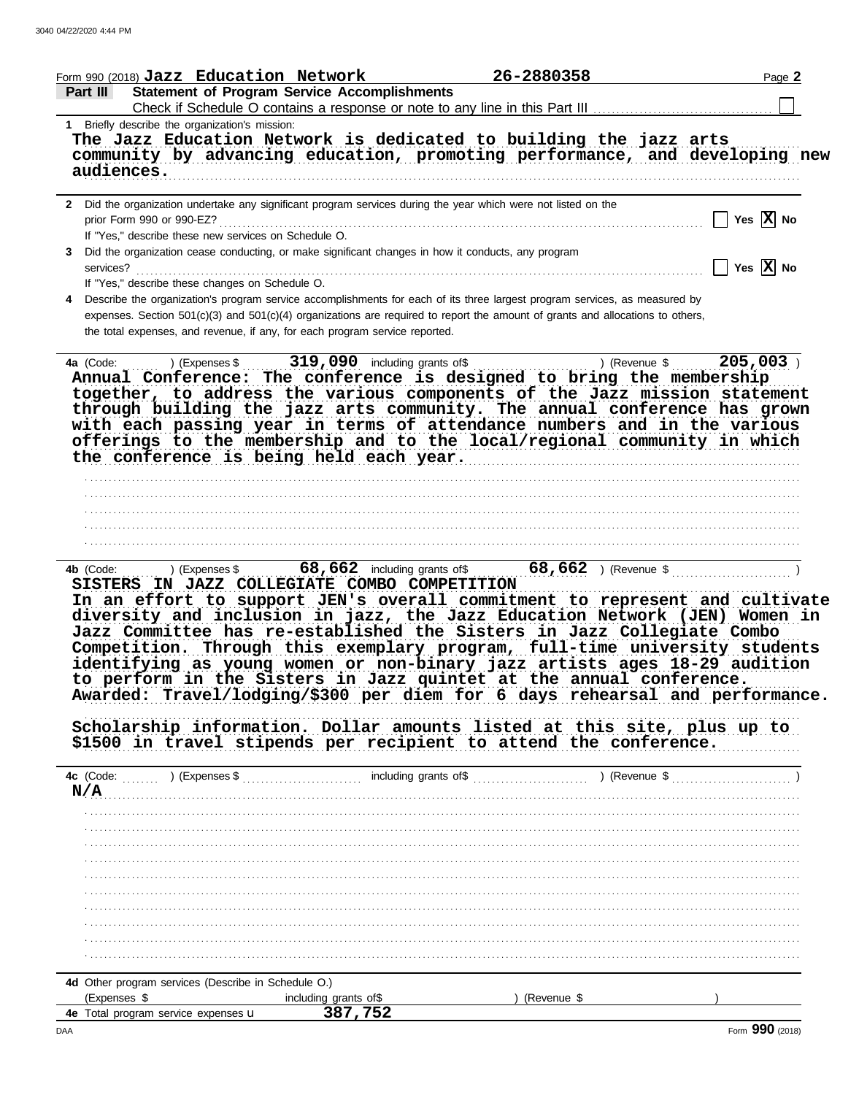| Form 990 (2018) $\mathtt{Jazz}$ Education Network                                                  |                                   | 26-2880358                                                                                                                                                                                                                                                                                                                                                                                     | Page 2                           |
|----------------------------------------------------------------------------------------------------|-----------------------------------|------------------------------------------------------------------------------------------------------------------------------------------------------------------------------------------------------------------------------------------------------------------------------------------------------------------------------------------------------------------------------------------------|----------------------------------|
| <b>Statement of Program Service Accomplishments</b><br>Part III                                    |                                   |                                                                                                                                                                                                                                                                                                                                                                                                |                                  |
| 1 Briefly describe the organization's mission:                                                     |                                   |                                                                                                                                                                                                                                                                                                                                                                                                |                                  |
|                                                                                                    |                                   | The Jazz Education Network is dedicated to building the jazz arts                                                                                                                                                                                                                                                                                                                              |                                  |
|                                                                                                    |                                   | community by advancing education, promoting performance, and developing new                                                                                                                                                                                                                                                                                                                    |                                  |
| audiences.                                                                                         |                                   |                                                                                                                                                                                                                                                                                                                                                                                                |                                  |
|                                                                                                    |                                   |                                                                                                                                                                                                                                                                                                                                                                                                |                                  |
|                                                                                                    |                                   | 2 Did the organization undertake any significant program services during the year which were not listed on the                                                                                                                                                                                                                                                                                 |                                  |
|                                                                                                    |                                   |                                                                                                                                                                                                                                                                                                                                                                                                | $\Box$ Yes $\overline{X}$ No     |
| If "Yes," describe these new services on Schedule O.                                               |                                   |                                                                                                                                                                                                                                                                                                                                                                                                |                                  |
| Did the organization cease conducting, or make significant changes in how it conducts, any program |                                   |                                                                                                                                                                                                                                                                                                                                                                                                |                                  |
| services?                                                                                          |                                   |                                                                                                                                                                                                                                                                                                                                                                                                | $\Box$ Yes $\boxed{\text{X}}$ No |
| If "Yes," describe these changes on Schedule O.                                                    |                                   |                                                                                                                                                                                                                                                                                                                                                                                                |                                  |
|                                                                                                    |                                   | Describe the organization's program service accomplishments for each of its three largest program services, as measured by                                                                                                                                                                                                                                                                     |                                  |
|                                                                                                    |                                   | expenses. Section 501(c)(3) and 501(c)(4) organizations are required to report the amount of grants and allocations to others,                                                                                                                                                                                                                                                                 |                                  |
| the total expenses, and revenue, if any, for each program service reported.                        |                                   |                                                                                                                                                                                                                                                                                                                                                                                                |                                  |
|                                                                                                    |                                   |                                                                                                                                                                                                                                                                                                                                                                                                |                                  |
|                                                                                                    |                                   | 4a (Code: (1995,003) (Expenses \$ 205,009, 319,090 including grants of \$ 205,003)<br>Annual Conference: The conference is designed to bring the membership                                                                                                                                                                                                                                    |                                  |
|                                                                                                    |                                   | together, to address the various components of the Jazz mission statement<br>through building the jazz arts community. The annual conference has grown                                                                                                                                                                                                                                         |                                  |
|                                                                                                    |                                   | with each passing year in terms of attendance numbers and in the various                                                                                                                                                                                                                                                                                                                       |                                  |
|                                                                                                    |                                   | offerings to the membership and to the local/regional community in which                                                                                                                                                                                                                                                                                                                       |                                  |
| the conference is being held each year.                                                            |                                   |                                                                                                                                                                                                                                                                                                                                                                                                |                                  |
|                                                                                                    |                                   |                                                                                                                                                                                                                                                                                                                                                                                                |                                  |
|                                                                                                    |                                   |                                                                                                                                                                                                                                                                                                                                                                                                |                                  |
|                                                                                                    |                                   |                                                                                                                                                                                                                                                                                                                                                                                                |                                  |
|                                                                                                    |                                   |                                                                                                                                                                                                                                                                                                                                                                                                |                                  |
|                                                                                                    |                                   |                                                                                                                                                                                                                                                                                                                                                                                                |                                  |
|                                                                                                    |                                   |                                                                                                                                                                                                                                                                                                                                                                                                |                                  |
| SISTERS IN JAZZ COLLEGIATE COMBO COMPETITION                                                       |                                   | In an effort to support JEN's overall commitment to represent and cultivate<br>diversity and inclusion in jazz, the Jazz Education Network (JEN) Women in<br>Jazz Committee has re-established the Sisters in Jazz Collegiate Combo<br>Competition. Through this exemplary program, full-time university students<br>identifying as young women or non-binary jazz artists ages 18-29 audition |                                  |
| to perform in the Sisters in Jazz quintet at the annual conference.                                |                                   | Awarded: Travel/lodging/\$300 per diem for 6 days rehearsal and performance.                                                                                                                                                                                                                                                                                                                   |                                  |
|                                                                                                    |                                   | Scholarship information. Dollar amounts listed at this site, plus up to<br>\$1500 in travel stipends per recipient to attend the conference.                                                                                                                                                                                                                                                   |                                  |
| N/A                                                                                                |                                   |                                                                                                                                                                                                                                                                                                                                                                                                |                                  |
|                                                                                                    |                                   |                                                                                                                                                                                                                                                                                                                                                                                                |                                  |
|                                                                                                    |                                   |                                                                                                                                                                                                                                                                                                                                                                                                |                                  |
|                                                                                                    |                                   |                                                                                                                                                                                                                                                                                                                                                                                                |                                  |
|                                                                                                    |                                   |                                                                                                                                                                                                                                                                                                                                                                                                |                                  |
|                                                                                                    |                                   |                                                                                                                                                                                                                                                                                                                                                                                                |                                  |
|                                                                                                    |                                   |                                                                                                                                                                                                                                                                                                                                                                                                |                                  |
|                                                                                                    |                                   |                                                                                                                                                                                                                                                                                                                                                                                                |                                  |
|                                                                                                    |                                   |                                                                                                                                                                                                                                                                                                                                                                                                |                                  |
|                                                                                                    |                                   |                                                                                                                                                                                                                                                                                                                                                                                                |                                  |
|                                                                                                    |                                   |                                                                                                                                                                                                                                                                                                                                                                                                |                                  |
|                                                                                                    |                                   |                                                                                                                                                                                                                                                                                                                                                                                                |                                  |
| 4d Other program services (Describe in Schedule O.)                                                |                                   |                                                                                                                                                                                                                                                                                                                                                                                                |                                  |
| (Expenses \$<br>4e Total program service expenses u                                                | including grants of \$<br>387,752 | ) (Revenue \$                                                                                                                                                                                                                                                                                                                                                                                  |                                  |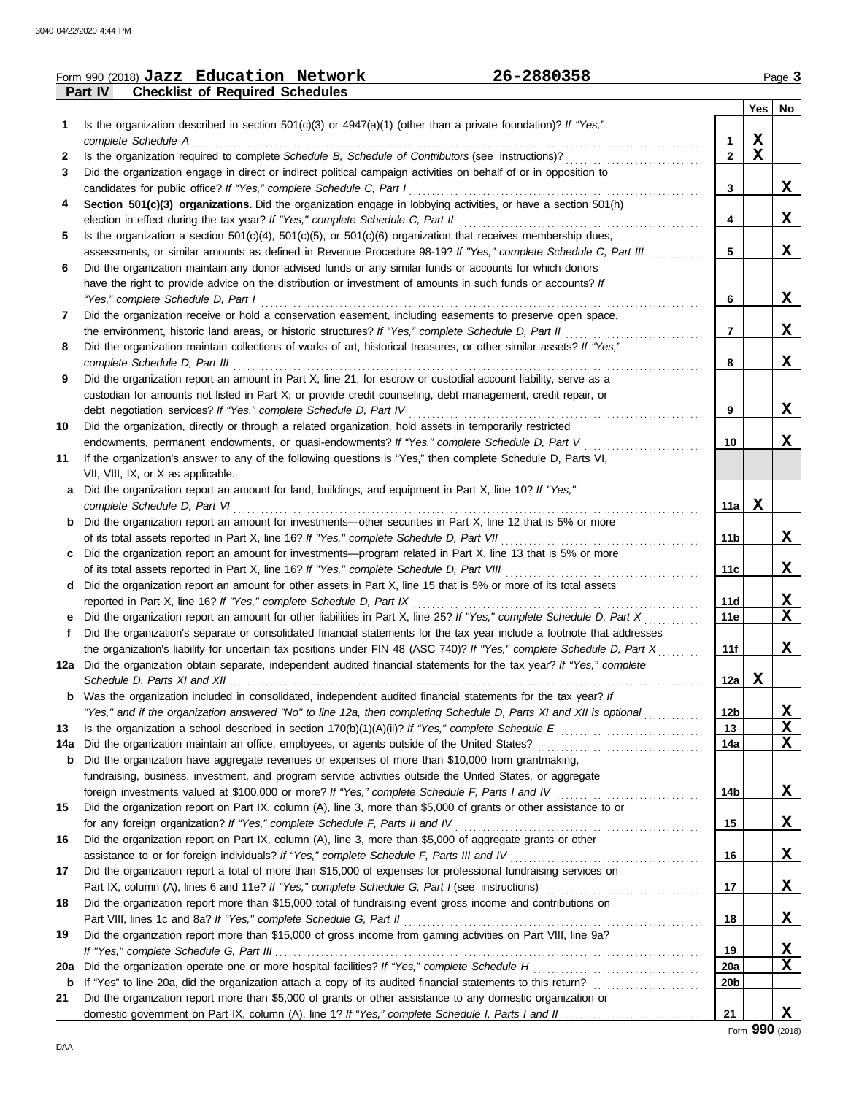|     | 26-2880358<br>Form 990 (2018) Jazz Education Network                                                                                                                                 |                 |             | Page 3      |
|-----|--------------------------------------------------------------------------------------------------------------------------------------------------------------------------------------|-----------------|-------------|-------------|
|     | Part IV<br><b>Checklist of Required Schedules</b>                                                                                                                                    |                 |             |             |
|     |                                                                                                                                                                                      |                 | Yes         | No          |
| 1.  | Is the organization described in section $501(c)(3)$ or $4947(a)(1)$ (other than a private foundation)? If "Yes,"                                                                    |                 |             |             |
|     | complete Schedule A                                                                                                                                                                  | 1               | $\mathbf X$ |             |
| 2   | Is the organization required to complete Schedule B, Schedule of Contributors (see instructions)?                                                                                    | $\mathbf{2}$    | $\mathbf x$ |             |
| 3   | Did the organization engage in direct or indirect political campaign activities on behalf of or in opposition to                                                                     |                 |             | X           |
| 4   | candidates for public office? If "Yes," complete Schedule C, Part I<br>Section 501(c)(3) organizations. Did the organization engage in lobbying activities, or have a section 501(h) | 3               |             |             |
|     | election in effect during the tax year? If "Yes," complete Schedule C, Part II                                                                                                       | 4               |             | X           |
| 5   | Is the organization a section $501(c)(4)$ , $501(c)(5)$ , or $501(c)(6)$ organization that receives membership dues,                                                                 |                 |             |             |
|     | assessments, or similar amounts as defined in Revenue Procedure 98-19? If "Yes," complete Schedule C, Part III                                                                       | 5               |             | X           |
| 6   | Did the organization maintain any donor advised funds or any similar funds or accounts for which donors                                                                              |                 |             |             |
|     | have the right to provide advice on the distribution or investment of amounts in such funds or accounts? If                                                                          |                 |             |             |
|     | "Yes," complete Schedule D, Part I                                                                                                                                                   | 6               |             | X           |
| 7   | Did the organization receive or hold a conservation easement, including easements to preserve open space,                                                                            |                 |             |             |
|     | the environment, historic land areas, or historic structures? If "Yes," complete Schedule D, Part II                                                                                 | 7               |             | X           |
| 8   | Did the organization maintain collections of works of art, historical treasures, or other similar assets? If "Yes,"                                                                  |                 |             |             |
|     | complete Schedule D, Part III                                                                                                                                                        | 8               |             | X           |
| 9   | Did the organization report an amount in Part X, line 21, for escrow or custodial account liability, serve as a                                                                      |                 |             |             |
|     | custodian for amounts not listed in Part X; or provide credit counseling, debt management, credit repair, or                                                                         |                 |             |             |
|     | debt negotiation services? If "Yes," complete Schedule D, Part IV                                                                                                                    | 9               |             | X           |
| 10  | Did the organization, directly or through a related organization, hold assets in temporarily restricted                                                                              |                 |             |             |
|     | endowments, permanent endowments, or quasi-endowments? If "Yes," complete Schedule D, Part V                                                                                         | 10              |             | X           |
| 11  | If the organization's answer to any of the following questions is "Yes," then complete Schedule D, Parts VI,<br>VII, VIII, IX, or X as applicable.                                   |                 |             |             |
| a   | Did the organization report an amount for land, buildings, and equipment in Part X, line 10? If "Yes,"                                                                               |                 |             |             |
|     | complete Schedule D, Part VI                                                                                                                                                         | 11a             | X           |             |
|     | Did the organization report an amount for investments—other securities in Part X, line 12 that is 5% or more                                                                         |                 |             |             |
|     | of its total assets reported in Part X, line 16? If "Yes," complete Schedule D, Part VII                                                                                             | 11 <sub>b</sub> |             | X           |
| c   | Did the organization report an amount for investments—program related in Part X, line 13 that is 5% or more                                                                          |                 |             |             |
|     | of its total assets reported in Part X, line 16? If "Yes," complete Schedule D, Part VIII                                                                                            | 11c             |             | X           |
| d   | Did the organization report an amount for other assets in Part X, line 15 that is 5% or more of its total assets                                                                     |                 |             |             |
|     | reported in Part X, line 16? If "Yes," complete Schedule D, Part IX                                                                                                                  | 11d             |             | $\mathbf x$ |
|     | Did the organization report an amount for other liabilities in Part X, line 25? If "Yes," complete Schedule D, Part X                                                                | 11e             |             | X           |
| f   | Did the organization's separate or consolidated financial statements for the tax year include a footnote that addresses                                                              |                 |             |             |
|     | the organization's liability for uncertain tax positions under FIN 48 (ASC 740)? If "Yes," complete Schedule D, Part X                                                               | 11f             |             | X           |
|     | 12a Did the organization obtain separate, independent audited financial statements for the tax year? If "Yes," complete                                                              |                 |             |             |
|     |                                                                                                                                                                                      | 12a             | X           |             |
| b   | Was the organization included in consolidated, independent audited financial statements for the tax year? If                                                                         |                 |             | X           |
| 13  | "Yes," and if the organization answered "No" to line 12a, then completing Schedule D, Parts XI and XII is optional                                                                   | 12b<br>13       |             | X           |
| 14a | Did the organization maintain an office, employees, or agents outside of the United States?                                                                                          | 14a             |             | X           |
| b   | Did the organization have aggregate revenues or expenses of more than \$10,000 from grantmaking,                                                                                     |                 |             |             |
|     | fundraising, business, investment, and program service activities outside the United States, or aggregate                                                                            |                 |             |             |
|     |                                                                                                                                                                                      | 14b             |             | X           |
| 15  | Did the organization report on Part IX, column (A), line 3, more than \$5,000 of grants or other assistance to or                                                                    |                 |             |             |
|     | for any foreign organization? If "Yes," complete Schedule F, Parts II and IV                                                                                                         | 15              |             | X           |
| 16  | Did the organization report on Part IX, column (A), line 3, more than \$5,000 of aggregate grants or other                                                                           |                 |             |             |
|     |                                                                                                                                                                                      | 16              |             | X           |
| 17  | Did the organization report a total of more than \$15,000 of expenses for professional fundraising services on                                                                       |                 |             |             |
|     |                                                                                                                                                                                      | 17              |             | X           |
| 18  | Did the organization report more than \$15,000 total of fundraising event gross income and contributions on                                                                          |                 |             |             |
|     | Part VIII, lines 1c and 8a? If "Yes," complete Schedule G, Part II                                                                                                                   | 18              |             | X           |
| 19  | Did the organization report more than \$15,000 of gross income from gaming activities on Part VIII, line 9a?                                                                         |                 |             |             |
|     |                                                                                                                                                                                      | 19              |             | X           |
| 20a |                                                                                                                                                                                      | <b>20a</b>      |             | X           |
| b   |                                                                                                                                                                                      | 20 <sub>b</sub> |             |             |
| 21  | Did the organization report more than \$5,000 of grants or other assistance to any domestic organization or                                                                          | 21              |             | X           |
|     |                                                                                                                                                                                      |                 |             |             |

DAA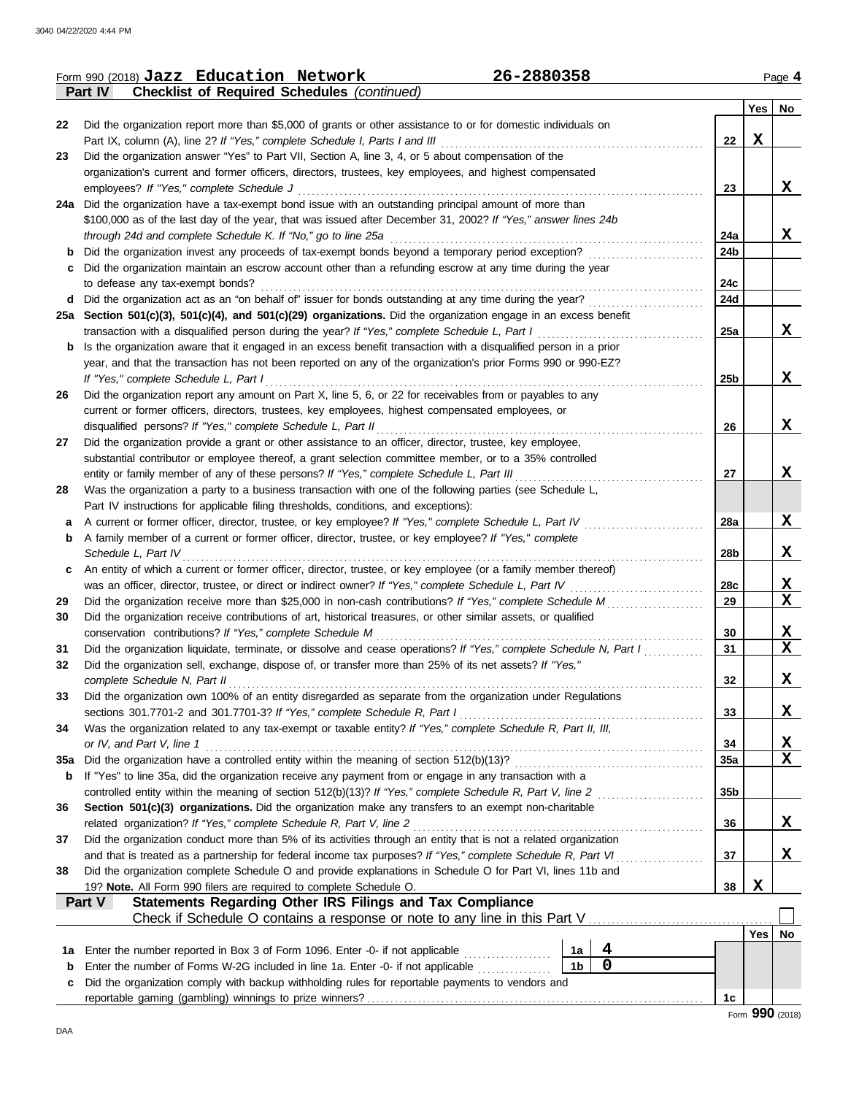|     | 26-2880358<br>Form 990 (2018) Jazz Education Network                                                                                                                        |                 |             | Page 4           |
|-----|-----------------------------------------------------------------------------------------------------------------------------------------------------------------------------|-----------------|-------------|------------------|
|     | <b>Checklist of Required Schedules (continued)</b><br><b>Part IV</b>                                                                                                        |                 |             |                  |
|     |                                                                                                                                                                             |                 | Yes         | No               |
| 22  | Did the organization report more than \$5,000 of grants or other assistance to or for domestic individuals on                                                               |                 |             |                  |
|     | Part IX, column (A), line 2? If "Yes," complete Schedule I, Parts I and III                                                                                                 | 22              | $\mathbf X$ |                  |
| 23  | Did the organization answer "Yes" to Part VII, Section A, line 3, 4, or 5 about compensation of the                                                                         |                 |             |                  |
|     | organization's current and former officers, directors, trustees, key employees, and highest compensated                                                                     |                 |             |                  |
|     | employees? If "Yes," complete Schedule J                                                                                                                                    | 23              |             | X                |
|     | 24a Did the organization have a tax-exempt bond issue with an outstanding principal amount of more than                                                                     |                 |             |                  |
|     | \$100,000 as of the last day of the year, that was issued after December 31, 2002? If "Yes," answer lines 24b                                                               |                 |             |                  |
|     | through 24d and complete Schedule K. If "No," go to line 25a                                                                                                                | 24a             |             | X                |
| b   | Did the organization invest any proceeds of tax-exempt bonds beyond a temporary period exception?                                                                           | 24b             |             |                  |
| с   | Did the organization maintain an escrow account other than a refunding escrow at any time during the year                                                                   |                 |             |                  |
|     | to defease any tax-exempt bonds?<br>d Did the organization act as an "on behalf of" issuer for bonds outstanding at any time during the year?                               | 24c<br>24d      |             |                  |
|     | 25a Section 501(c)(3), 501(c)(4), and 501(c)(29) organizations. Did the organization engage in an excess benefit                                                            |                 |             |                  |
|     | transaction with a disqualified person during the year? If "Yes," complete Schedule L, Part I                                                                               | 25a             |             | X                |
| b   | Is the organization aware that it engaged in an excess benefit transaction with a disqualified person in a prior                                                            |                 |             |                  |
|     | year, and that the transaction has not been reported on any of the organization's prior Forms 990 or 990-EZ?                                                                |                 |             |                  |
|     | If "Yes," complete Schedule L, Part I                                                                                                                                       | 25 <sub>b</sub> |             | X                |
| 26  | Did the organization report any amount on Part X, line 5, 6, or 22 for receivables from or payables to any                                                                  |                 |             |                  |
|     | current or former officers, directors, trustees, key employees, highest compensated employees, or                                                                           |                 |             |                  |
|     | disqualified persons? If "Yes," complete Schedule L, Part II                                                                                                                | 26              |             | X                |
| 27  | Did the organization provide a grant or other assistance to an officer, director, trustee, key employee,                                                                    |                 |             |                  |
|     | substantial contributor or employee thereof, a grant selection committee member, or to a 35% controlled                                                                     |                 |             |                  |
|     | entity or family member of any of these persons? If "Yes," complete Schedule L, Part III                                                                                    | 27              |             | X                |
| 28  | Was the organization a party to a business transaction with one of the following parties (see Schedule L,                                                                   |                 |             |                  |
|     | Part IV instructions for applicable filing thresholds, conditions, and exceptions):                                                                                         |                 |             |                  |
| a   | A current or former officer, director, trustee, or key employee? If "Yes," complete Schedule L, Part IV                                                                     | 28a             |             | X                |
| b   | A family member of a current or former officer, director, trustee, or key employee? If "Yes," complete                                                                      |                 |             |                  |
|     | Schedule L, Part IV                                                                                                                                                         | 28b             |             | X                |
| c   | An entity of which a current or former officer, director, trustee, or key employee (or a family member thereof)                                                             |                 |             |                  |
|     | was an officer, director, trustee, or direct or indirect owner? If "Yes," complete Schedule L, Part IV                                                                      | 28c             |             | $\mathbf x$<br>X |
| 29  | Did the organization receive more than \$25,000 in non-cash contributions? If "Yes," complete Schedule M                                                                    | 29              |             |                  |
| 30  | Did the organization receive contributions of art, historical treasures, or other similar assets, or qualified<br>conservation contributions? If "Yes," complete Schedule M | 30              |             | X                |
| 31  | Did the organization liquidate, terminate, or dissolve and cease operations? If "Yes," complete Schedule N, Part I                                                          | 31              |             | $\mathbf x$      |
| 32  | Did the organization sell, exchange, dispose of, or transfer more than 25% of its net assets? If "Yes,"                                                                     |                 |             |                  |
|     | complete Schedule N, Part II                                                                                                                                                | 32              |             | X                |
| 33  | Did the organization own 100% of an entity disregarded as separate from the organization under Regulations                                                                  |                 |             |                  |
|     | sections 301.7701-2 and 301.7701-3? If "Yes," complete Schedule R, Part I                                                                                                   | 33              |             | X                |
| 34  | Was the organization related to any tax-exempt or taxable entity? If "Yes," complete Schedule R, Part II, III,                                                              |                 |             |                  |
|     | or IV, and Part V, line 1                                                                                                                                                   | 34              |             | X                |
| 35а | Did the organization have a controlled entity within the meaning of section 512(b)(13)?                                                                                     | 35a             |             | X                |
| b   | If "Yes" to line 35a, did the organization receive any payment from or engage in any transaction with a                                                                     |                 |             |                  |
|     | controlled entity within the meaning of section 512(b)(13)? If "Yes," complete Schedule R, Part V, line 2                                                                   | 35 <sub>b</sub> |             |                  |
| 36  | Section 501(c)(3) organizations. Did the organization make any transfers to an exempt non-charitable                                                                        |                 |             |                  |
|     | related organization? If "Yes," complete Schedule R, Part V, line 2                                                                                                         | 36              |             | X                |
| 37  | Did the organization conduct more than 5% of its activities through an entity that is not a related organization                                                            |                 |             |                  |
|     | and that is treated as a partnership for federal income tax purposes? If "Yes," complete Schedule R, Part VI                                                                | 37              |             | X                |
| 38  | Did the organization complete Schedule O and provide explanations in Schedule O for Part VI, lines 11b and                                                                  |                 |             |                  |
|     | 19? Note. All Form 990 filers are required to complete Schedule O.                                                                                                          | 38              | $\mathbf x$ |                  |
|     | <b>Statements Regarding Other IRS Filings and Tax Compliance</b><br>Part V<br>Check if Schedule O contains a response or note to any line in this Part V                    |                 |             |                  |
|     |                                                                                                                                                                             |                 | Yes         | No               |
| 1a  | $\overline{\mathbf{4}}$<br>1a<br>Enter the number reported in Box 3 of Form 1096. Enter -0- if not applicable                                                               |                 |             |                  |
| b   | $\mathbf 0$<br>1 <sub>b</sub><br>Enter the number of Forms W-2G included in line 1a. Enter -0- if not applicable                                                            |                 |             |                  |
| c   | Did the organization comply with backup withholding rules for reportable payments to vendors and                                                                            |                 |             |                  |
|     |                                                                                                                                                                             | 1c              |             |                  |
|     |                                                                                                                                                                             |                 |             |                  |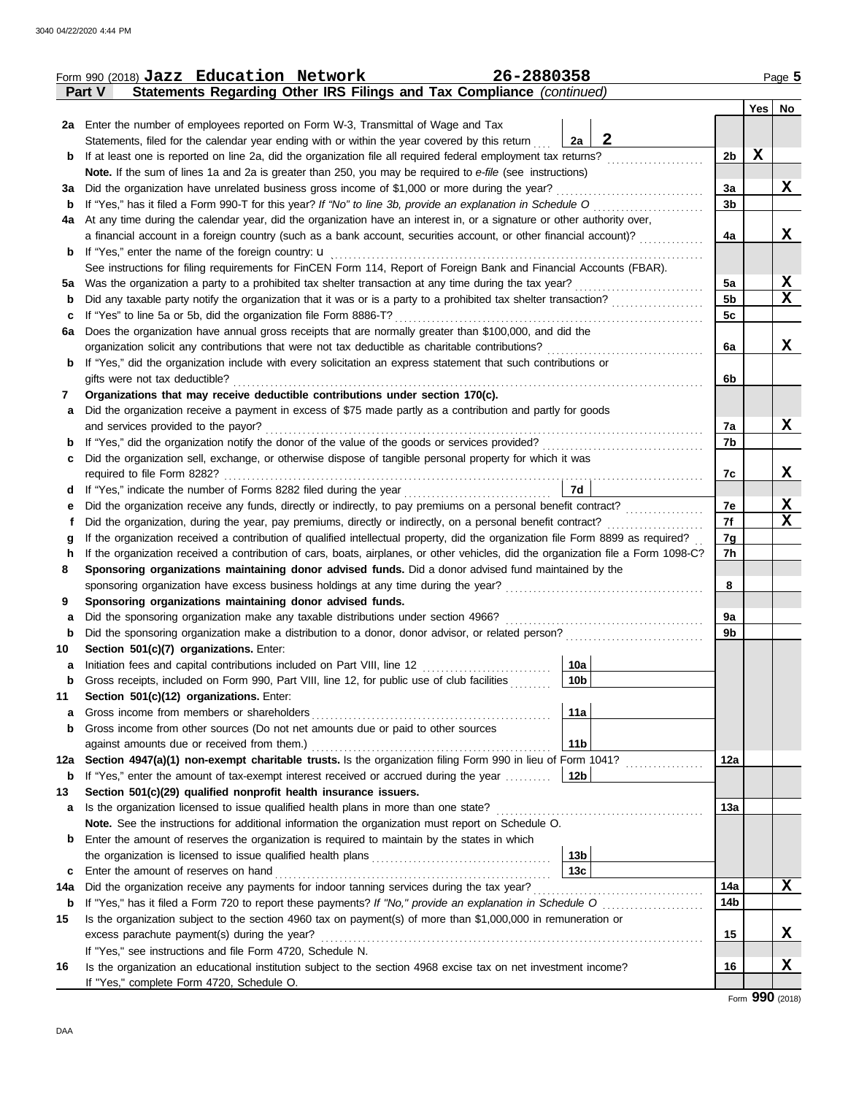|     | Form 990 (2018) Jazz Education Network<br>26-2880358                                                                               |                 |                |             | Page 5      |
|-----|------------------------------------------------------------------------------------------------------------------------------------|-----------------|----------------|-------------|-------------|
|     | Statements Regarding Other IRS Filings and Tax Compliance (continued)<br><b>Part V</b>                                             |                 |                |             |             |
|     |                                                                                                                                    |                 |                | Yes         | No          |
|     | 2a Enter the number of employees reported on Form W-3, Transmittal of Wage and Tax                                                 |                 |                |             |             |
|     | Statements, filed for the calendar year ending with or within the year covered by this return                                      | 2<br>2a         |                |             |             |
| b   | If at least one is reported on line 2a, did the organization file all required federal employment tax returns?                     |                 | 2 <sub>b</sub> | $\mathbf x$ |             |
|     | Note. If the sum of lines 1a and 2a is greater than 250, you may be required to e-file (see instructions)                          |                 |                |             |             |
| За  | Did the organization have unrelated business gross income of \$1,000 or more during the year?                                      |                 | За             |             | X           |
| b   | If "Yes," has it filed a Form 990-T for this year? If "No" to line 3b, provide an explanation in Schedule O                        |                 | 3 <sub>b</sub> |             |             |
| 4a  | At any time during the calendar year, did the organization have an interest in, or a signature or other authority over,            |                 |                |             |             |
|     | a financial account in a foreign country (such as a bank account, securities account, or other financial account)?                 |                 | 4a             |             | X           |
| b   | If "Yes," enter the name of the foreign country: <b>u</b>                                                                          |                 |                |             |             |
|     | See instructions for filing requirements for FinCEN Form 114, Report of Foreign Bank and Financial Accounts (FBAR).                |                 |                |             |             |
| 5a  | Was the organization a party to a prohibited tax shelter transaction at any time during the tax year?                              |                 | 5a             |             | $\mathbf x$ |
| b   | Did any taxable party notify the organization that it was or is a party to a prohibited tax shelter transaction?                   |                 | 5b             |             | X           |
| с   | If "Yes" to line 5a or 5b, did the organization file Form 8886-T?                                                                  |                 | 5c             |             |             |
| 6a  | Does the organization have annual gross receipts that are normally greater than \$100,000, and did the                             |                 |                |             |             |
|     | organization solicit any contributions that were not tax deductible as charitable contributions?                                   |                 | 6a             |             | X           |
| b   | If "Yes," did the organization include with every solicitation an express statement that such contributions or                     |                 |                |             |             |
|     | gifts were not tax deductible?                                                                                                     |                 | 6b             |             |             |
| 7   | Organizations that may receive deductible contributions under section 170(c).                                                      |                 |                |             |             |
| a   | Did the organization receive a payment in excess of \$75 made partly as a contribution and partly for goods                        |                 |                |             |             |
|     | and services provided to the payor?                                                                                                |                 | 7a             |             | X           |
| b   |                                                                                                                                    |                 | 7b             |             |             |
| с   | Did the organization sell, exchange, or otherwise dispose of tangible personal property for which it was                           |                 |                |             |             |
|     |                                                                                                                                    |                 | 7c             |             | X           |
| d   | If "Yes," indicate the number of Forms 8282 filed during the year<br>[[[[[[[[[[[[]]]]                                              | 7d              |                |             |             |
| е   | Did the organization receive any funds, directly or indirectly, to pay premiums on a personal benefit contract?                    |                 | 7e             |             | X           |
|     | Did the organization, during the year, pay premiums, directly or indirectly, on a personal benefit contract?                       |                 | 7f             |             | X           |
| g   | If the organization received a contribution of qualified intellectual property, did the organization file Form 8899 as required?   |                 | 7g             |             |             |
| h   | If the organization received a contribution of cars, boats, airplanes, or other vehicles, did the organization file a Form 1098-C? |                 | 7h             |             |             |
| 8   | Sponsoring organizations maintaining donor advised funds. Did a donor advised fund maintained by the                               |                 | 8              |             |             |
| 9   | Sponsoring organizations maintaining donor advised funds.                                                                          |                 |                |             |             |
| a   | Did the sponsoring organization make any taxable distributions under section 4966?                                                 |                 | 9а             |             |             |
| b   | Did the sponsoring organization make a distribution to a donor, donor advisor, or related person?                                  |                 | 9b             |             |             |
| 10  | Section 501(c)(7) organizations. Enter:                                                                                            |                 |                |             |             |
|     |                                                                                                                                    | 10a             |                |             |             |
| b   | Gross receipts, included on Form 990, Part VIII, line 12, for public use of club facilities                                        | 10 <sub>b</sub> |                |             |             |
| 11  | Section 501(c)(12) organizations. Enter:                                                                                           |                 |                |             |             |
| a   | Gross income from members or shareholders                                                                                          | 11a             |                |             |             |
| b   | Gross income from other sources (Do not net amounts due or paid to other sources                                                   |                 |                |             |             |
|     | against amounts due or received from them.)                                                                                        | 11 <sub>b</sub> |                |             |             |
| 12a | Section 4947(a)(1) non-exempt charitable trusts. Is the organization filing Form 990 in lieu of Form 1041?                         |                 | 12a            |             |             |
| b   | If "Yes," enter the amount of tax-exempt interest received or accrued during the year                                              | 12b             |                |             |             |
| 13  | Section 501(c)(29) qualified nonprofit health insurance issuers.                                                                   |                 |                |             |             |
| a   | Is the organization licensed to issue qualified health plans in more than one state?                                               |                 | 13a            |             |             |
|     | Note. See the instructions for additional information the organization must report on Schedule O.                                  |                 |                |             |             |
| b   | Enter the amount of reserves the organization is required to maintain by the states in which                                       |                 |                |             |             |
|     |                                                                                                                                    | 13 <sub>b</sub> |                |             |             |
| c   | Enter the amount of reserves on hand                                                                                               | 13 <sub>c</sub> |                |             |             |
| 14a | Did the organization receive any payments for indoor tanning services during the tax year?                                         |                 | 14a            |             | x           |
| b   |                                                                                                                                    |                 | 14b            |             |             |
| 15  | Is the organization subject to the section 4960 tax on payment(s) of more than \$1,000,000 in remuneration or                      |                 |                |             |             |
|     | excess parachute payment(s) during the year?                                                                                       |                 | 15             |             | X           |
|     | If "Yes," see instructions and file Form 4720, Schedule N.                                                                         |                 |                |             |             |
| 16  | Is the organization an educational institution subject to the section 4968 excise tax on net investment income?                    |                 | 16             |             | X           |
|     | If "Yes," complete Form 4720, Schedule O.                                                                                          |                 |                |             |             |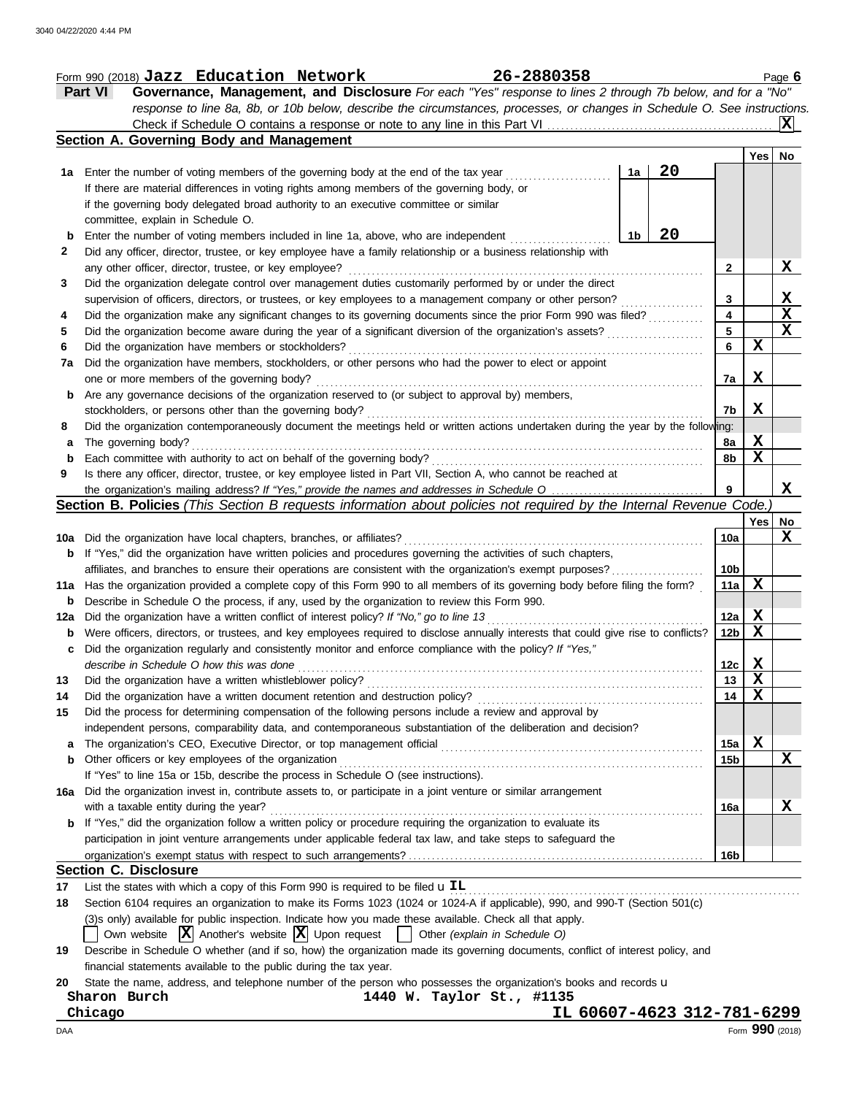|     | 26-2880358<br>Form 990 (2018) Jazz Education Network                                                                                |     |             | Page $6$                |
|-----|-------------------------------------------------------------------------------------------------------------------------------------|-----|-------------|-------------------------|
|     | Governance, Management, and Disclosure For each "Yes" response to lines 2 through 7b below, and for a "No"<br><b>Part VI</b>        |     |             |                         |
|     | response to line 8a, 8b, or 10b below, describe the circumstances, processes, or changes in Schedule O. See instructions.           |     |             |                         |
|     | Check if Schedule O contains a response or note to any line in this Part VI                                                         |     |             | IXI                     |
|     | Section A. Governing Body and Management                                                                                            |     |             |                         |
|     |                                                                                                                                     |     | Yes         | No                      |
|     | 20<br>1a Enter the number of voting members of the governing body at the end of the tax year<br>1a                                  |     |             |                         |
|     | If there are material differences in voting rights among members of the governing body, or                                          |     |             |                         |
|     | if the governing body delegated broad authority to an executive committee or similar                                                |     |             |                         |
|     | committee, explain in Schedule O.                                                                                                   |     |             |                         |
|     | 20                                                                                                                                  |     |             |                         |
| b   | Enter the number of voting members included in line 1a, above, who are independent<br>1b                                            |     |             |                         |
| 2   | Did any officer, director, trustee, or key employee have a family relationship or a business relationship with                      |     |             |                         |
|     | any other officer, director, trustee, or key employee?                                                                              | 2   |             | X                       |
| 3   | Did the organization delegate control over management duties customarily performed by or under the direct                           |     |             |                         |
|     | supervision of officers, directors, or trustees, or key employees to a management company or other person?                          | 3   |             | <u>x</u>                |
| 4   | Did the organization make any significant changes to its governing documents since the prior Form 990 was filed?                    | 4   |             | $\overline{\mathbf{x}}$ |
| 5   | Did the organization become aware during the year of a significant diversion of the organization's assets?                          | 5   |             | X                       |
| 6   | Did the organization have members or stockholders?                                                                                  | 6   | $\mathbf x$ |                         |
| 7a  | Did the organization have members, stockholders, or other persons who had the power to elect or appoint                             |     |             |                         |
|     | one or more members of the governing body?                                                                                          | 7a  | X           |                         |
| b   | Are any governance decisions of the organization reserved to (or subject to approval by) members,                                   |     |             |                         |
|     | stockholders, or persons other than the governing body?                                                                             | 7b  | X           |                         |
| 8   | Did the organization contemporaneously document the meetings held or written actions undertaken during the year by the following:   |     |             |                         |
| а   | The governing body?                                                                                                                 | 8a  | X           |                         |
| b   | Each committee with authority to act on behalf of the governing body?                                                               | 8b  | $\mathbf X$ |                         |
| 9   | Is there any officer, director, trustee, or key employee listed in Part VII, Section A, who cannot be reached at                    |     |             |                         |
|     | the organization's mailing address? If "Yes," provide the names and addresses in Schedule O                                         | 9   |             | X                       |
|     | Section B. Policies (This Section B requests information about policies not required by the Internal Revenue Code.)                 |     |             |                         |
|     |                                                                                                                                     |     | Yes         | No                      |
| 10a | Did the organization have local chapters, branches, or affiliates?                                                                  | 10a |             | X                       |
| b   | If "Yes," did the organization have written policies and procedures governing the activities of such chapters,                      |     |             |                         |
|     | affiliates, and branches to ensure their operations are consistent with the organization's exempt purposes?                         | 10b |             |                         |
| 11a | Has the organization provided a complete copy of this Form 990 to all members of its governing body before filing the form?         | 11a | X           |                         |
| b   | Describe in Schedule O the process, if any, used by the organization to review this Form 990.                                       |     |             |                         |
| 12a | Did the organization have a written conflict of interest policy? If "No," go to line 13                                             | 12a | $\mathbf x$ |                         |
| b   | Were officers, directors, or trustees, and key employees required to disclose annually interests that could give rise to conflicts? | 12b | X           |                         |
|     | Did the organization regularly and consistently monitor and enforce compliance with the policy? If "Yes,"                           |     |             |                         |
|     | describe in Schedule O how this was done                                                                                            | 12c | X           |                         |
|     |                                                                                                                                     |     | X           |                         |
| 13  | Did the organization have a written whistleblower policy?                                                                           | 13  | X           |                         |
| 14  | Did the organization have a written document retention and destruction policy?                                                      | 14  |             |                         |
| 15  | Did the process for determining compensation of the following persons include a review and approval by                              |     |             |                         |
|     | independent persons, comparability data, and contemporaneous substantiation of the deliberation and decision?                       |     |             |                         |
| a   | The organization's CEO, Executive Director, or top management official                                                              | 15a | X           |                         |
| b   | Other officers or key employees of the organization                                                                                 | 15b |             | X                       |
|     | If "Yes" to line 15a or 15b, describe the process in Schedule O (see instructions).                                                 |     |             |                         |
| 16a | Did the organization invest in, contribute assets to, or participate in a joint venture or similar arrangement                      |     |             |                         |
|     | with a taxable entity during the year?                                                                                              | 16a |             | X                       |
| b   | If "Yes," did the organization follow a written policy or procedure requiring the organization to evaluate its                      |     |             |                         |
|     | participation in joint venture arrangements under applicable federal tax law, and take steps to safeguard the                       |     |             |                         |
|     |                                                                                                                                     | 16b |             |                         |
|     | <b>Section C. Disclosure</b>                                                                                                        |     |             |                         |
| 17  | List the states with which a copy of this Form 990 is required to be filed $\mathbf{u}$ IL                                          |     |             |                         |
| 18  | Section 6104 requires an organization to make its Forms 1023 (1024 or 1024-A if applicable), 990, and 990-T (Section 501(c)         |     |             |                         |
|     | (3)s only) available for public inspection. Indicate how you made these available. Check all that apply.                            |     |             |                         |
|     | Own website $ \mathbf{X} $ Another's website $ \mathbf{X} $ Upon request $ \mathbf{X} $ Other (explain in Schedule O)               |     |             |                         |
| 19  | Describe in Schedule O whether (and if so, how) the organization made its governing documents, conflict of interest policy, and     |     |             |                         |
|     | financial statements available to the public during the tax year.                                                                   |     |             |                         |
| 20  | State the name, address, and telephone number of the person who possesses the organization's books and records u                    |     |             |                         |
|     | 1440 W. Taylor St., #1135<br>Sharon Burch                                                                                           |     |             |                         |
|     | Chicago<br>IL 60607-4623 312-781-6299                                                                                               |     |             |                         |
| DAA |                                                                                                                                     |     |             | Form 990 (2018)         |
|     |                                                                                                                                     |     |             |                         |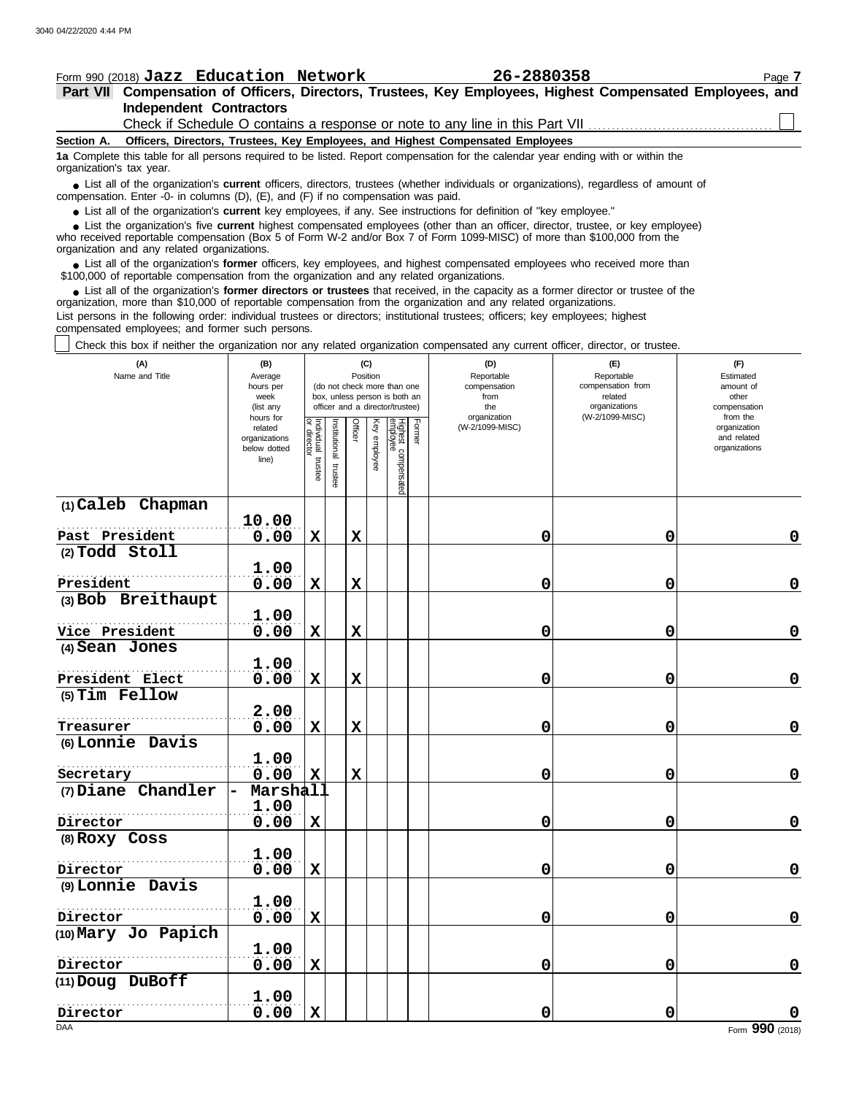| Form 990 (2018) Jazz Education Network                                                                                                                                                                                                                                                                     |                       |                                   |               |             |          |                                                              |        | 26-2880358                                                                      |                              |                          | Page 7 |
|------------------------------------------------------------------------------------------------------------------------------------------------------------------------------------------------------------------------------------------------------------------------------------------------------------|-----------------------|-----------------------------------|---------------|-------------|----------|--------------------------------------------------------------|--------|---------------------------------------------------------------------------------|------------------------------|--------------------------|--------|
| Part VII Compensation of Officers, Directors, Trustees, Key Employees, Highest Compensated Employees, and                                                                                                                                                                                                  |                       |                                   |               |             |          |                                                              |        |                                                                                 |                              |                          |        |
| <b>Independent Contractors</b>                                                                                                                                                                                                                                                                             |                       |                                   |               |             |          |                                                              |        |                                                                                 |                              |                          |        |
|                                                                                                                                                                                                                                                                                                            |                       |                                   |               |             |          |                                                              |        | Check if Schedule O contains a response or note to any line in this Part VII    |                              |                          |        |
| Section A.                                                                                                                                                                                                                                                                                                 |                       |                                   |               |             |          |                                                              |        | Officers, Directors, Trustees, Key Employees, and Highest Compensated Employees |                              |                          |        |
| 1a Complete this table for all persons required to be listed. Report compensation for the calendar year ending with or within the<br>organization's tax year.                                                                                                                                              |                       |                                   |               |             |          |                                                              |        |                                                                                 |                              |                          |        |
| • List all of the organization's <b>current</b> officers, directors, trustees (whether individuals or organizations), regardless of amount of<br>compensation. Enter -0- in columns (D), (E), and (F) if no compensation was paid.                                                                         |                       |                                   |               |             |          |                                                              |        |                                                                                 |                              |                          |        |
| • List all of the organization's current key employees, if any. See instructions for definition of "key employee."                                                                                                                                                                                         |                       |                                   |               |             |          |                                                              |        |                                                                                 |                              |                          |        |
| • List the organization's five current highest compensated employees (other than an officer, director, trustee, or key employee)<br>who received reportable compensation (Box 5 of Form W-2 and/or Box 7 of Form 1099-MISC) of more than \$100,000 from the<br>organization and any related organizations. |                       |                                   |               |             |          |                                                              |        |                                                                                 |                              |                          |        |
| • List all of the organization's former officers, key employees, and highest compensated employees who received more than<br>\$100,000 of reportable compensation from the organization and any related organizations.                                                                                     |                       |                                   |               |             |          |                                                              |        |                                                                                 |                              |                          |        |
| • List all of the organization's former directors or trustees that received, in the capacity as a former director or trustee of the<br>organization, more than \$10,000 of reportable compensation from the organization and any related organizations.                                                    |                       |                                   |               |             |          |                                                              |        |                                                                                 |                              |                          |        |
| List persons in the following order: individual trustees or directors; institutional trustees; officers; key employees; highest<br>compensated employees; and former such persons.                                                                                                                         |                       |                                   |               |             |          |                                                              |        |                                                                                 |                              |                          |        |
| Check this box if neither the organization nor any related organization compensated any current officer, director, or trustee.                                                                                                                                                                             |                       |                                   |               |             |          |                                                              |        |                                                                                 |                              |                          |        |
|                                                                                                                                                                                                                                                                                                            |                       |                                   |               | (C)         |          |                                                              |        | (D)                                                                             |                              | (F)                      |        |
| (A)<br>Name and Title                                                                                                                                                                                                                                                                                      | (B)<br>Average        |                                   |               | Position    |          |                                                              |        | Reportable                                                                      | (E)<br>Reportable            | Estimated                |        |
|                                                                                                                                                                                                                                                                                                            | hours per<br>week     |                                   |               |             |          | (do not check more than one<br>box, unless person is both an |        | compensation<br>from                                                            | compensation from<br>related | amount of<br>other       |        |
|                                                                                                                                                                                                                                                                                                            | (list any             |                                   |               |             |          | officer and a director/trustee)                              |        | the                                                                             | organizations                | compensation             |        |
|                                                                                                                                                                                                                                                                                                            | hours for<br>related  |                                   |               | Officer     | Key      |                                                              |        | organization<br>(W-2/1099-MISC)                                                 | (W-2/1099-MISC)              | from the<br>organization |        |
|                                                                                                                                                                                                                                                                                                            | organizations         |                                   | Institutional |             |          |                                                              | Former |                                                                                 |                              | and related              |        |
|                                                                                                                                                                                                                                                                                                            | below dotted<br>line) |                                   |               |             | employee |                                                              |        |                                                                                 |                              | organizations            |        |
|                                                                                                                                                                                                                                                                                                            |                       | Individual trustee<br>or director | trustee       |             |          | Highest compensated<br>employee                              |        |                                                                                 |                              |                          |        |
|                                                                                                                                                                                                                                                                                                            |                       |                                   |               |             |          |                                                              |        |                                                                                 |                              |                          |        |
| (1) Caleb Chapman                                                                                                                                                                                                                                                                                          |                       |                                   |               |             |          |                                                              |        |                                                                                 |                              |                          |        |
|                                                                                                                                                                                                                                                                                                            | 10.00                 |                                   |               |             |          |                                                              |        |                                                                                 |                              |                          |        |
| Past President                                                                                                                                                                                                                                                                                             | 0.00                  | $\mathbf x$                       |               | X           |          |                                                              |        | 0                                                                               | 0                            |                          | 0      |
| (2) Todd Stoll                                                                                                                                                                                                                                                                                             |                       |                                   |               |             |          |                                                              |        |                                                                                 |                              |                          |        |
|                                                                                                                                                                                                                                                                                                            | 1.00                  |                                   |               |             |          |                                                              |        |                                                                                 |                              |                          |        |
| President                                                                                                                                                                                                                                                                                                  | 0.00                  | $\mathbf X$                       |               | $\mathbf x$ |          |                                                              |        | 0                                                                               | 0                            |                          | 0      |
| (3) Bob Breithaupt                                                                                                                                                                                                                                                                                         |                       |                                   |               |             |          |                                                              |        |                                                                                 |                              |                          |        |
|                                                                                                                                                                                                                                                                                                            | 1.00                  |                                   |               |             |          |                                                              |        |                                                                                 |                              |                          |        |

|                     | 1.00                                 |             |             |          |   |                 |
|---------------------|--------------------------------------|-------------|-------------|----------|---|-----------------|
| Vice President      | 0.00                                 | $\mathbf x$ | X           | 0        | 0 | $\pmb{0}$       |
| (4) Sean Jones      |                                      |             |             |          |   |                 |
|                     | 1.00                                 |             |             |          |   |                 |
| President Elect     | 0.00                                 | $\mathbf X$ | $\mathbf x$ | $\Omega$ | O | $\pmb{0}$       |
| $(5)$ Tim Fellow    |                                      |             |             |          |   |                 |
|                     | 2.00                                 |             |             |          |   |                 |
| Treasurer           | 0.00                                 | $\mathbf X$ | $\mathbf x$ | 0        | 0 | $\pmb{0}$       |
| (6) Lonnie Davis    |                                      |             |             |          |   |                 |
|                     | 1.00                                 |             |             |          |   |                 |
| Secretary           | 0.00                                 | $\mathbf x$ | $\mathbf x$ | 0        | 0 | $\mathbf 0$     |
| (7) Diane Chandler  | Marshall<br>$\overline{\phantom{0}}$ |             |             |          |   |                 |
|                     | 1.00                                 |             |             |          |   |                 |
| Director            | 0.00                                 | $\mathbf X$ |             | 0        | 0 | $\mathbf 0$     |
| (8) Roxy Coss       |                                      |             |             |          |   |                 |
|                     | 1.00                                 |             |             |          |   |                 |
| Director            | 0.00                                 | $\mathbf X$ |             | 0        | 0 | $\pmb{0}$       |
| (9) Lonnie Davis    |                                      |             |             |          |   |                 |
|                     | 1.00                                 |             |             |          |   |                 |
| Director            | 0.00                                 | X           |             | 0        | 0 | $\mathbf 0$     |
| (10) Mary Jo Papich |                                      |             |             |          |   |                 |
|                     | 1.00                                 |             |             |          |   |                 |
| Director            | 0.00                                 | $\mathbf x$ |             | $\Omega$ | 0 | $\mathbf 0$     |
| (11) Doug DuBoff    |                                      |             |             |          |   |                 |
|                     | 1.00                                 |             |             |          |   |                 |
| Director            | 0.00                                 | $\mathbf x$ |             | 0        | 0 | 0               |
| DAA                 |                                      |             |             |          |   | Form 990 (2018) |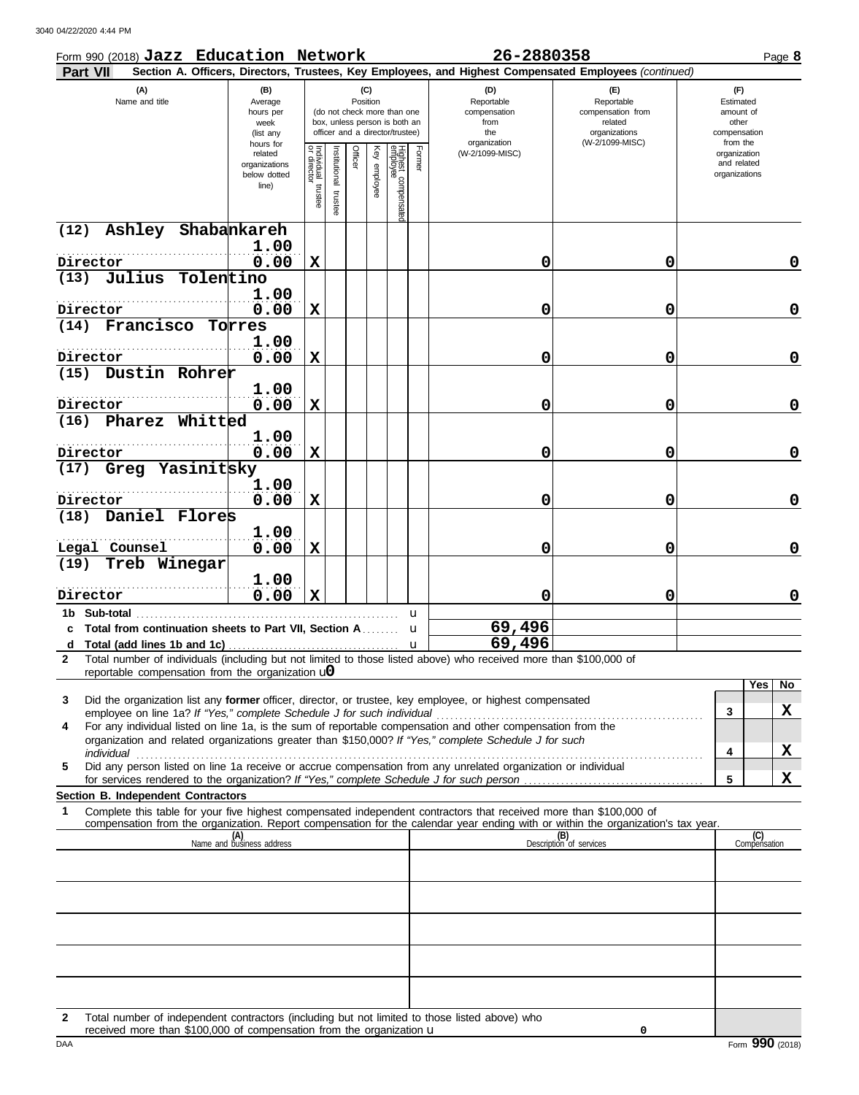| Form 990 (2018) Jazz Education Network                                                                                                                                                  |                                  |                                   |               |                                                                  |              |                                 |        | 26-2880358                      |                                                                                                        | Page 8                       |    |
|-----------------------------------------------------------------------------------------------------------------------------------------------------------------------------------------|----------------------------------|-----------------------------------|---------------|------------------------------------------------------------------|--------------|---------------------------------|--------|---------------------------------|--------------------------------------------------------------------------------------------------------|------------------------------|----|
| <b>Part VII</b>                                                                                                                                                                         |                                  |                                   |               |                                                                  |              |                                 |        |                                 | Section A. Officers, Directors, Trustees, Key Employees, and Highest Compensated Employees (continued) |                              |    |
| (A)<br>Name and title                                                                                                                                                                   | (B)<br>Average                   |                                   |               | (C)<br>Position                                                  |              |                                 |        | (D)<br>Reportable               | (F)<br>Reportable                                                                                      | (F)<br>Estimated             |    |
|                                                                                                                                                                                         | hours per                        |                                   |               | (do not check more than one                                      |              |                                 |        | compensation                    | compensation from                                                                                      | amount of                    |    |
|                                                                                                                                                                                         | week<br>(list any                |                                   |               | box, unless person is both an<br>officer and a director/trustee) |              |                                 |        | from<br>the                     | related<br>organizations                                                                               | other<br>compensation        |    |
|                                                                                                                                                                                         | hours for<br>related             |                                   |               | Officer                                                          |              |                                 |        | organization<br>(W-2/1099-MISC) | (W-2/1099-MISC)                                                                                        | from the<br>organization     |    |
|                                                                                                                                                                                         | organizations<br>below dotted    |                                   | Institutional |                                                                  |              |                                 | Former |                                 |                                                                                                        | and related<br>organizations |    |
|                                                                                                                                                                                         | line)                            | Individual trustee<br>or director |               |                                                                  | Key employee |                                 |        |                                 |                                                                                                        |                              |    |
|                                                                                                                                                                                         |                                  |                                   | trustee       |                                                                  |              | Highest compensatec<br>employee |        |                                 |                                                                                                        |                              |    |
| Ashley Shabankareh<br>(12)                                                                                                                                                              |                                  |                                   |               |                                                                  |              |                                 |        |                                 |                                                                                                        |                              |    |
|                                                                                                                                                                                         | 1.00                             |                                   |               |                                                                  |              |                                 |        |                                 |                                                                                                        |                              |    |
| Director                                                                                                                                                                                | 0.00                             | $\mathbf X$                       |               |                                                                  |              |                                 |        | 0                               | 0                                                                                                      |                              | 0  |
| Julius<br>Tolentino<br>(13)                                                                                                                                                             |                                  |                                   |               |                                                                  |              |                                 |        |                                 |                                                                                                        |                              |    |
|                                                                                                                                                                                         | 1.00                             |                                   |               |                                                                  |              |                                 |        |                                 |                                                                                                        |                              |    |
| Director                                                                                                                                                                                | 0.00                             | $\mathbf x$                       |               |                                                                  |              |                                 |        | 0                               | 0                                                                                                      |                              | 0  |
| (14)<br>Francisco                                                                                                                                                                       | Torres<br>1.00                   |                                   |               |                                                                  |              |                                 |        |                                 |                                                                                                        |                              |    |
| Director                                                                                                                                                                                | 0.00                             | $\mathbf X$                       |               |                                                                  |              |                                 |        | 0                               | 0                                                                                                      |                              | 0  |
| Dustin Rohrer<br>(15)                                                                                                                                                                   |                                  |                                   |               |                                                                  |              |                                 |        |                                 |                                                                                                        |                              |    |
|                                                                                                                                                                                         | 1.00                             |                                   |               |                                                                  |              |                                 |        |                                 |                                                                                                        |                              |    |
| Director                                                                                                                                                                                | 0.00                             | $\mathbf x$                       |               |                                                                  |              |                                 |        | 0                               | 0                                                                                                      |                              | 0  |
| Pharez<br>Whitted<br>(16)                                                                                                                                                               | 1.00                             |                                   |               |                                                                  |              |                                 |        |                                 |                                                                                                        |                              |    |
| Director                                                                                                                                                                                | 0.00                             | $\mathbf x$                       |               |                                                                  |              |                                 |        | 0                               | 0                                                                                                      |                              | 0  |
| Greg Yasinitsky<br>(17)                                                                                                                                                                 |                                  |                                   |               |                                                                  |              |                                 |        |                                 |                                                                                                        |                              |    |
|                                                                                                                                                                                         | 1.00                             |                                   |               |                                                                  |              |                                 |        |                                 |                                                                                                        |                              |    |
| Director                                                                                                                                                                                | 0.00                             | $\mathbf x$                       |               |                                                                  |              |                                 |        | 0                               | 0                                                                                                      |                              | 0  |
| Daniel<br>Flores<br>(18)                                                                                                                                                                |                                  |                                   |               |                                                                  |              |                                 |        |                                 |                                                                                                        |                              |    |
| Legal Counsel                                                                                                                                                                           | 1.00<br>0.00                     | $\mathbf x$                       |               |                                                                  |              |                                 |        | 0                               | 0                                                                                                      |                              | 0  |
| Treb Winegar<br>(19)                                                                                                                                                                    |                                  |                                   |               |                                                                  |              |                                 |        |                                 |                                                                                                        |                              |    |
|                                                                                                                                                                                         | 1.00                             |                                   |               |                                                                  |              |                                 |        |                                 |                                                                                                        |                              |    |
| Director                                                                                                                                                                                | 0.00                             | $\mathbf x$                       |               |                                                                  |              |                                 |        | 0                               | 0                                                                                                      |                              | 0  |
| 1b Sub-total                                                                                                                                                                            |                                  |                                   |               |                                                                  |              |                                 | u      |                                 |                                                                                                        |                              |    |
| c Total from continuation sheets to Part VII, Section A                                                                                                                                 |                                  |                                   |               |                                                                  |              |                                 | u      | 69,496                          |                                                                                                        |                              |    |
| d<br>Total number of individuals (including but not limited to those listed above) who received more than \$100,000 of<br>$\mathbf{2}$                                                  |                                  |                                   |               |                                                                  |              |                                 | u      | <u>69,4</u> 96                  |                                                                                                        |                              |    |
| reportable compensation from the organization $\mathbf{u}$                                                                                                                              |                                  |                                   |               |                                                                  |              |                                 |        |                                 |                                                                                                        |                              |    |
|                                                                                                                                                                                         |                                  |                                   |               |                                                                  |              |                                 |        |                                 |                                                                                                        | Yes                          | No |
| Did the organization list any former officer, director, or trustee, key employee, or highest compensated<br>3<br>employee on line 1a? If "Yes," complete Schedule J for such individual |                                  |                                   |               |                                                                  |              |                                 |        |                                 |                                                                                                        | 3                            | X  |
| For any individual listed on line 1a, is the sum of reportable compensation and other compensation from the<br>4                                                                        |                                  |                                   |               |                                                                  |              |                                 |        |                                 |                                                                                                        |                              |    |
| organization and related organizations greater than \$150,000? If "Yes," complete Schedule J for such<br>individual                                                                     |                                  |                                   |               |                                                                  |              |                                 |        |                                 |                                                                                                        | 4                            | X  |
| Did any person listed on line 1a receive or accrue compensation from any unrelated organization or individual<br>5                                                                      |                                  |                                   |               |                                                                  |              |                                 |        |                                 |                                                                                                        |                              |    |
|                                                                                                                                                                                         |                                  |                                   |               |                                                                  |              |                                 |        |                                 |                                                                                                        | 5                            | X  |
| Section B. Independent Contractors<br>Complete this table for your five highest compensated independent contractors that received more than \$100,000 of<br>1                           |                                  |                                   |               |                                                                  |              |                                 |        |                                 |                                                                                                        |                              |    |
| compensation from the organization. Report compensation for the calendar year ending with or within the organization's tax year.                                                        |                                  |                                   |               |                                                                  |              |                                 |        |                                 |                                                                                                        |                              |    |
|                                                                                                                                                                                         | (A)<br>Name and business address |                                   |               |                                                                  |              |                                 |        |                                 | (B)<br>Description of services                                                                         | (C)<br>Compensation          |    |
|                                                                                                                                                                                         |                                  |                                   |               |                                                                  |              |                                 |        |                                 |                                                                                                        |                              |    |
|                                                                                                                                                                                         |                                  |                                   |               |                                                                  |              |                                 |        |                                 |                                                                                                        |                              |    |
|                                                                                                                                                                                         |                                  |                                   |               |                                                                  |              |                                 |        |                                 |                                                                                                        |                              |    |
|                                                                                                                                                                                         |                                  |                                   |               |                                                                  |              |                                 |        |                                 |                                                                                                        |                              |    |
|                                                                                                                                                                                         |                                  |                                   |               |                                                                  |              |                                 |        |                                 |                                                                                                        |                              |    |
|                                                                                                                                                                                         |                                  |                                   |               |                                                                  |              |                                 |        |                                 |                                                                                                        |                              |    |
|                                                                                                                                                                                         |                                  |                                   |               |                                                                  |              |                                 |        |                                 |                                                                                                        |                              |    |
|                                                                                                                                                                                         |                                  |                                   |               |                                                                  |              |                                 |        |                                 |                                                                                                        |                              |    |
|                                                                                                                                                                                         |                                  |                                   |               |                                                                  |              |                                 |        |                                 |                                                                                                        |                              |    |

**2** Total number of independent contractors (including but not limited to those listed above) who received more than \$100,000 of compensation from the organization u

**0**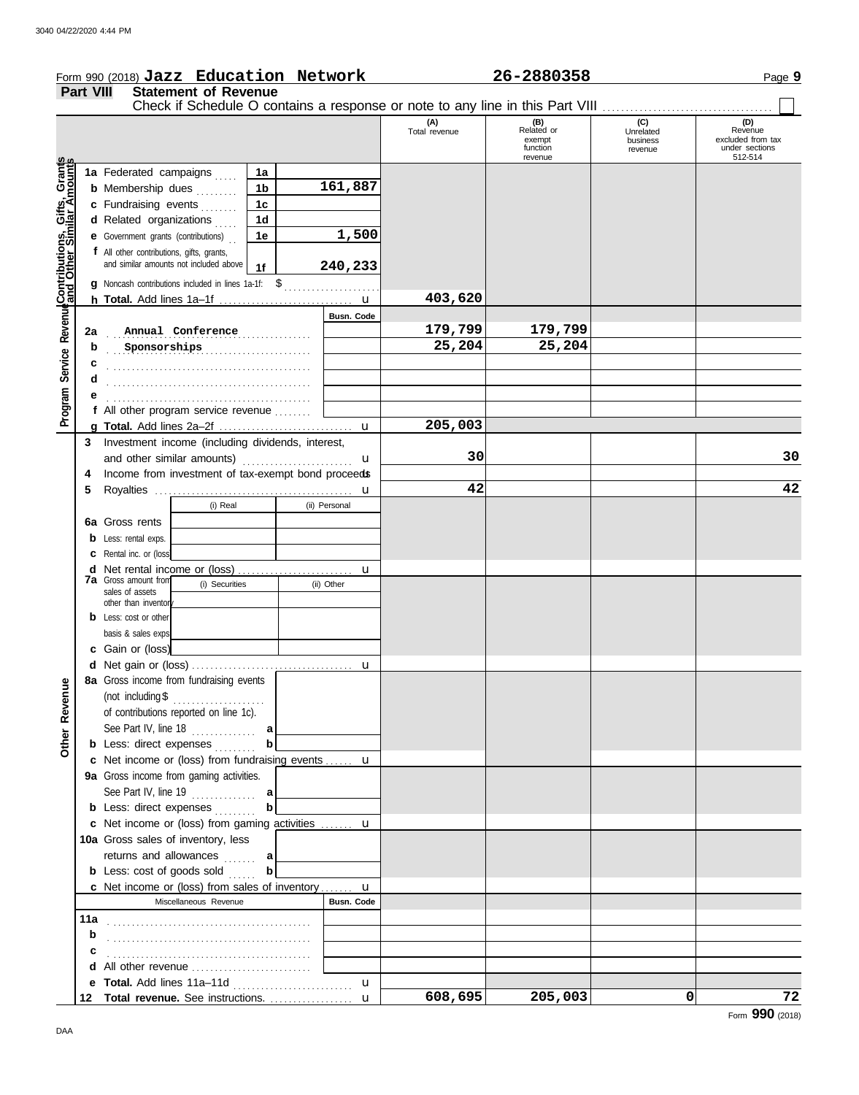|                                              |                  | Form 990 (2018) Jazz Education Network                                              |                |   |                   |                      | 26-2880358                              |                                         | Page 9                                                |
|----------------------------------------------|------------------|-------------------------------------------------------------------------------------|----------------|---|-------------------|----------------------|-----------------------------------------|-----------------------------------------|-------------------------------------------------------|
|                                              | <b>Part VIII</b> | <b>Statement of Revenue</b>                                                         |                |   |                   |                      |                                         |                                         |                                                       |
|                                              |                  | Check if Schedule O contains a response or note to any line in this Part VIII       |                |   |                   | (A)<br>Total revenue | (B)<br>Related or<br>exempt<br>function | (C)<br>Unrelated<br>business<br>revenue | (D)<br>Revenue<br>excluded from tax<br>under sections |
|                                              |                  |                                                                                     |                |   |                   |                      | revenue                                 |                                         | 512-514                                               |
|                                              |                  | 1a Federated campaigns                                                              | 1a             |   |                   |                      |                                         |                                         |                                                       |
|                                              |                  | <b>b</b> Membership dues<br>.                                                       | 1 <sub>b</sub> |   | 161,887           |                      |                                         |                                         |                                                       |
|                                              |                  | c Fundraising events                                                                | 1 <sub>c</sub> |   |                   |                      |                                         |                                         |                                                       |
|                                              |                  | d Related organizations                                                             | 1 <sub>d</sub> |   |                   |                      |                                         |                                         |                                                       |
|                                              |                  | e Government grants (contributions)                                                 | 1e             |   | 1,500             |                      |                                         |                                         |                                                       |
| Service Revenue Contributions, Gifts, Grants |                  | f All other contributions, gifts, grants,<br>and similar amounts not included above | 1f             |   | 240,233           |                      |                                         |                                         |                                                       |
|                                              |                  | <b>g</b> Noncash contributions included in lines $1a-1f$ : $\$$                     |                |   |                   |                      |                                         |                                         |                                                       |
|                                              |                  |                                                                                     |                |   |                   | 403,620              |                                         |                                         |                                                       |
|                                              |                  |                                                                                     |                |   | <b>Busn. Code</b> |                      |                                         |                                         |                                                       |
|                                              | 2a               | Annual Conference                                                                   |                |   |                   | 179,799              | 179,799                                 |                                         |                                                       |
|                                              | b                | Sponsorships                                                                        |                | . |                   | 25,204               | 25,204                                  |                                         |                                                       |
|                                              | с                |                                                                                     |                |   |                   |                      |                                         |                                         |                                                       |
|                                              | d                |                                                                                     |                |   |                   |                      |                                         |                                         |                                                       |
| Program                                      |                  |                                                                                     |                |   |                   |                      |                                         |                                         |                                                       |
|                                              |                  | f All other program service revenue                                                 |                |   |                   |                      |                                         |                                         |                                                       |
|                                              |                  |                                                                                     |                |   |                   | 205,003              |                                         |                                         |                                                       |
|                                              | 3                | Investment income (including dividends, interest,                                   |                |   |                   |                      |                                         |                                         |                                                       |
|                                              |                  | and other similar amounts)                                                          |                |   | u                 | 30                   |                                         |                                         | 30                                                    |
|                                              | 4                | Income from investment of tax-exempt bond proceeds                                  |                |   |                   |                      |                                         |                                         |                                                       |
|                                              | 5                |                                                                                     |                |   | u                 | 42                   |                                         |                                         | 42                                                    |
|                                              |                  | (i) Real                                                                            |                |   | (ii) Personal     |                      |                                         |                                         |                                                       |
|                                              | 6а               | Gross rents                                                                         |                |   |                   |                      |                                         |                                         |                                                       |
|                                              | b                | Less: rental exps.                                                                  |                |   |                   |                      |                                         |                                         |                                                       |
|                                              |                  | Rental inc. or (loss)                                                               |                |   |                   |                      |                                         |                                         |                                                       |
|                                              | d                | <b>7a</b> Gross amount from<br>(i) Securities                                       |                |   | u<br>(ii) Other   |                      |                                         |                                         |                                                       |
|                                              |                  | sales of assets                                                                     |                |   |                   |                      |                                         |                                         |                                                       |
|                                              |                  | other than inventor<br>Less: cost or other                                          |                |   |                   |                      |                                         |                                         |                                                       |
|                                              |                  | basis & sales exps.                                                                 |                |   |                   |                      |                                         |                                         |                                                       |
|                                              |                  | c Gain or (loss)                                                                    |                |   |                   |                      |                                         |                                         |                                                       |
|                                              |                  |                                                                                     |                |   |                   |                      |                                         |                                         |                                                       |
|                                              |                  | 8a Gross income from fundraising events                                             |                |   |                   |                      |                                         |                                         |                                                       |
|                                              |                  | (not including \$<br>.                                                              |                |   |                   |                      |                                         |                                         |                                                       |
|                                              |                  | of contributions reported on line 1c).                                              |                |   |                   |                      |                                         |                                         |                                                       |
| Other Revenue                                |                  |                                                                                     |                |   |                   |                      |                                         |                                         |                                                       |
|                                              |                  | <b>b</b> Less: direct expenses                                                      | b              |   |                   |                      |                                         |                                         |                                                       |
|                                              |                  | c Net income or (loss) from fundraising events  u                                   |                |   |                   |                      |                                         |                                         |                                                       |
|                                              |                  | 9a Gross income from gaming activities.                                             |                |   |                   |                      |                                         |                                         |                                                       |
|                                              |                  |                                                                                     |                |   |                   |                      |                                         |                                         |                                                       |
|                                              |                  | <b>b</b> Less: direct expenses                                                      | b              |   |                   |                      |                                         |                                         |                                                       |
|                                              |                  | c Net income or (loss) from gaming activities  u                                    |                |   |                   |                      |                                         |                                         |                                                       |
|                                              |                  | 10a Gross sales of inventory, less                                                  |                |   |                   |                      |                                         |                                         |                                                       |
|                                              |                  | returns and allowances  a                                                           |                |   |                   |                      |                                         |                                         |                                                       |
|                                              |                  | <b>b</b> Less: cost of goods sold<br>c Net income or (loss) from sales of inventory |                |   | $\mathbf{u}$      |                      |                                         |                                         |                                                       |
|                                              |                  | Miscellaneous Revenue                                                               |                |   | Busn. Code        |                      |                                         |                                         |                                                       |
|                                              |                  |                                                                                     |                |   |                   |                      |                                         |                                         |                                                       |
|                                              | b                |                                                                                     |                |   |                   |                      |                                         |                                         |                                                       |
|                                              | с                |                                                                                     |                |   |                   |                      |                                         |                                         |                                                       |
|                                              |                  |                                                                                     |                |   |                   |                      |                                         |                                         |                                                       |
|                                              |                  |                                                                                     |                |   | $\mathbf{u}$      |                      |                                         |                                         |                                                       |
|                                              |                  |                                                                                     |                |   |                   | 608,695              | 205,003                                 | 0                                       | 72                                                    |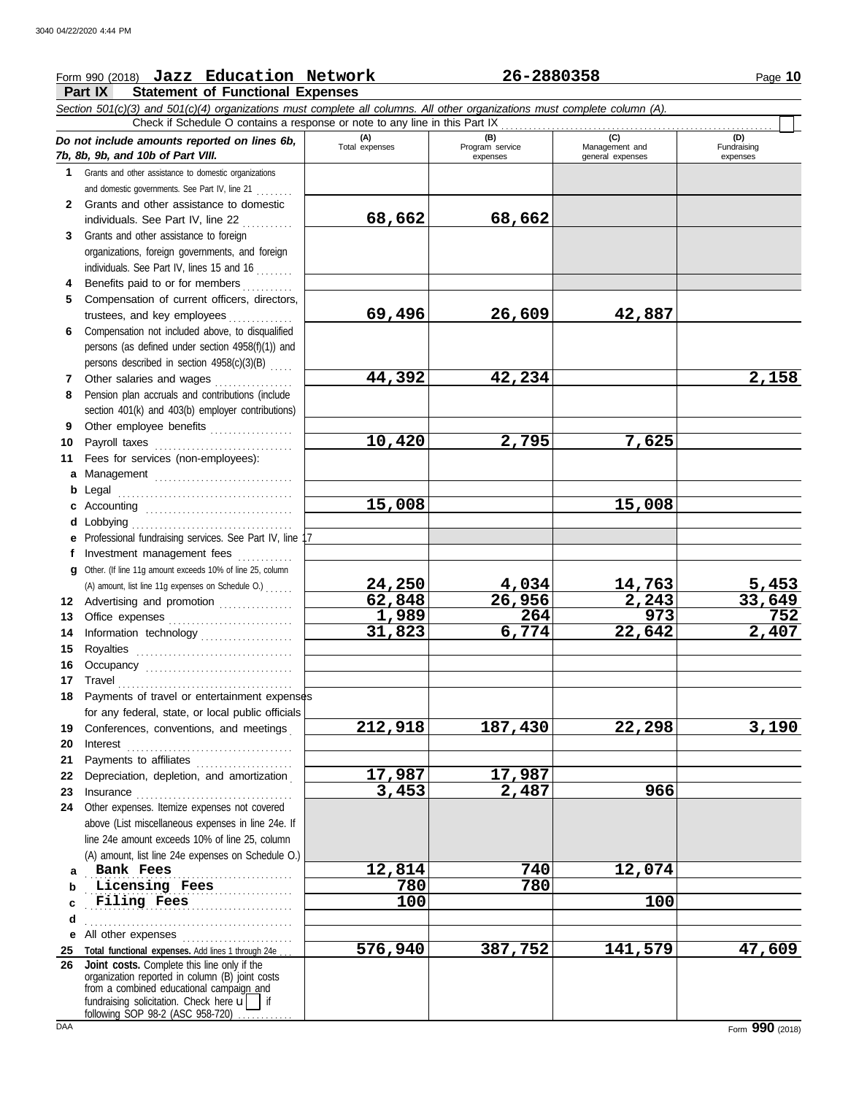# Form 990 (2018) Page **10 Jazz Education Network 26-2880358**

**Part IX Statement of Functional Expenses**

| 1<br>$\mathbf{2}$<br>3<br>4<br>5.<br>6<br>7<br>8 | Do not include amounts reported on lines 6b,<br>7b, 8b, 9b, and 10b of Part VIII.<br>Grants and other assistance to domestic organizations<br>and domestic governments. See Part IV, line 21<br>Grants and other assistance to domestic<br>individuals. See Part IV, line 22<br>Grants and other assistance to foreign<br>organizations, foreign governments, and foreign<br>individuals. See Part IV, lines 15 and 16<br>Benefits paid to or for members<br>Compensation of current officers, directors,<br>trustees, and key employees<br>Compensation not included above, to disqualified<br>persons (as defined under section 4958(f)(1)) and<br>persons described in section 4958(c)(3)(B)<br>Other salaries and wages<br>Pension plan accruals and contributions (include<br>section 401(k) and 403(b) employer contributions) | (A)<br>Total expenses<br>68,662<br>69,496<br>44,392 | (B)<br>Program service<br>expenses<br>68,662<br>26,609 | (C)<br>Management and<br>general expenses<br>42,887 | (D)<br>Fundraising<br>expenses |
|--------------------------------------------------|--------------------------------------------------------------------------------------------------------------------------------------------------------------------------------------------------------------------------------------------------------------------------------------------------------------------------------------------------------------------------------------------------------------------------------------------------------------------------------------------------------------------------------------------------------------------------------------------------------------------------------------------------------------------------------------------------------------------------------------------------------------------------------------------------------------------------------------|-----------------------------------------------------|--------------------------------------------------------|-----------------------------------------------------|--------------------------------|
|                                                  |                                                                                                                                                                                                                                                                                                                                                                                                                                                                                                                                                                                                                                                                                                                                                                                                                                      |                                                     |                                                        |                                                     |                                |
|                                                  |                                                                                                                                                                                                                                                                                                                                                                                                                                                                                                                                                                                                                                                                                                                                                                                                                                      |                                                     |                                                        |                                                     |                                |
|                                                  |                                                                                                                                                                                                                                                                                                                                                                                                                                                                                                                                                                                                                                                                                                                                                                                                                                      |                                                     |                                                        |                                                     |                                |
|                                                  |                                                                                                                                                                                                                                                                                                                                                                                                                                                                                                                                                                                                                                                                                                                                                                                                                                      |                                                     |                                                        |                                                     |                                |
|                                                  |                                                                                                                                                                                                                                                                                                                                                                                                                                                                                                                                                                                                                                                                                                                                                                                                                                      |                                                     |                                                        |                                                     |                                |
|                                                  |                                                                                                                                                                                                                                                                                                                                                                                                                                                                                                                                                                                                                                                                                                                                                                                                                                      |                                                     |                                                        |                                                     |                                |
|                                                  |                                                                                                                                                                                                                                                                                                                                                                                                                                                                                                                                                                                                                                                                                                                                                                                                                                      |                                                     |                                                        |                                                     |                                |
|                                                  |                                                                                                                                                                                                                                                                                                                                                                                                                                                                                                                                                                                                                                                                                                                                                                                                                                      |                                                     |                                                        |                                                     |                                |
|                                                  |                                                                                                                                                                                                                                                                                                                                                                                                                                                                                                                                                                                                                                                                                                                                                                                                                                      |                                                     |                                                        |                                                     |                                |
|                                                  |                                                                                                                                                                                                                                                                                                                                                                                                                                                                                                                                                                                                                                                                                                                                                                                                                                      |                                                     |                                                        |                                                     |                                |
|                                                  |                                                                                                                                                                                                                                                                                                                                                                                                                                                                                                                                                                                                                                                                                                                                                                                                                                      |                                                     |                                                        |                                                     |                                |
|                                                  |                                                                                                                                                                                                                                                                                                                                                                                                                                                                                                                                                                                                                                                                                                                                                                                                                                      |                                                     |                                                        |                                                     |                                |
|                                                  |                                                                                                                                                                                                                                                                                                                                                                                                                                                                                                                                                                                                                                                                                                                                                                                                                                      |                                                     |                                                        |                                                     |                                |
|                                                  |                                                                                                                                                                                                                                                                                                                                                                                                                                                                                                                                                                                                                                                                                                                                                                                                                                      |                                                     |                                                        |                                                     |                                |
|                                                  |                                                                                                                                                                                                                                                                                                                                                                                                                                                                                                                                                                                                                                                                                                                                                                                                                                      |                                                     | 42,234                                                 |                                                     | 2,158                          |
|                                                  |                                                                                                                                                                                                                                                                                                                                                                                                                                                                                                                                                                                                                                                                                                                                                                                                                                      |                                                     |                                                        |                                                     |                                |
|                                                  |                                                                                                                                                                                                                                                                                                                                                                                                                                                                                                                                                                                                                                                                                                                                                                                                                                      |                                                     |                                                        |                                                     |                                |
| 9                                                |                                                                                                                                                                                                                                                                                                                                                                                                                                                                                                                                                                                                                                                                                                                                                                                                                                      |                                                     |                                                        |                                                     |                                |
| 10                                               | Payroll taxes                                                                                                                                                                                                                                                                                                                                                                                                                                                                                                                                                                                                                                                                                                                                                                                                                        | 10,420                                              | 2,795                                                  | 7,625                                               |                                |
| 11                                               | Fees for services (non-employees):                                                                                                                                                                                                                                                                                                                                                                                                                                                                                                                                                                                                                                                                                                                                                                                                   |                                                     |                                                        |                                                     |                                |
| a                                                |                                                                                                                                                                                                                                                                                                                                                                                                                                                                                                                                                                                                                                                                                                                                                                                                                                      |                                                     |                                                        |                                                     |                                |
| b                                                | Legal                                                                                                                                                                                                                                                                                                                                                                                                                                                                                                                                                                                                                                                                                                                                                                                                                                |                                                     |                                                        |                                                     |                                |
| c                                                | Accounting                                                                                                                                                                                                                                                                                                                                                                                                                                                                                                                                                                                                                                                                                                                                                                                                                           | 15,008                                              |                                                        | 15,008                                              |                                |
| d                                                | Lobbying                                                                                                                                                                                                                                                                                                                                                                                                                                                                                                                                                                                                                                                                                                                                                                                                                             |                                                     |                                                        |                                                     |                                |
| e                                                | Professional fundraising services. See Part IV, line 17                                                                                                                                                                                                                                                                                                                                                                                                                                                                                                                                                                                                                                                                                                                                                                              |                                                     |                                                        |                                                     |                                |
| f                                                | Investment management fees                                                                                                                                                                                                                                                                                                                                                                                                                                                                                                                                                                                                                                                                                                                                                                                                           |                                                     |                                                        |                                                     |                                |
| a                                                | Other. (If line 11g amount exceeds 10% of line 25, column                                                                                                                                                                                                                                                                                                                                                                                                                                                                                                                                                                                                                                                                                                                                                                            |                                                     |                                                        |                                                     |                                |
|                                                  | (A) amount, list line 11g expenses on Schedule O.)                                                                                                                                                                                                                                                                                                                                                                                                                                                                                                                                                                                                                                                                                                                                                                                   | <u>24,250</u>                                       | 4,034                                                  | 14,763                                              | <u>5,453</u>                   |
|                                                  | 12 Advertising and promotion                                                                                                                                                                                                                                                                                                                                                                                                                                                                                                                                                                                                                                                                                                                                                                                                         | 62,848                                              | 26,956                                                 | 2,243                                               | 33,649                         |
| 13                                               |                                                                                                                                                                                                                                                                                                                                                                                                                                                                                                                                                                                                                                                                                                                                                                                                                                      | 1,989                                               | 264                                                    | 973                                                 | 752                            |
| 14                                               | Information technology                                                                                                                                                                                                                                                                                                                                                                                                                                                                                                                                                                                                                                                                                                                                                                                                               | 31,823                                              | 6,774                                                  | 22,642                                              | 2,407                          |
| 15                                               | Royalties                                                                                                                                                                                                                                                                                                                                                                                                                                                                                                                                                                                                                                                                                                                                                                                                                            |                                                     |                                                        |                                                     |                                |
| 16                                               | Occupancy                                                                                                                                                                                                                                                                                                                                                                                                                                                                                                                                                                                                                                                                                                                                                                                                                            |                                                     |                                                        |                                                     |                                |
| 17                                               | Travel                                                                                                                                                                                                                                                                                                                                                                                                                                                                                                                                                                                                                                                                                                                                                                                                                               |                                                     |                                                        |                                                     |                                |
|                                                  | 18 Payments of travel or entertainment expenses                                                                                                                                                                                                                                                                                                                                                                                                                                                                                                                                                                                                                                                                                                                                                                                      |                                                     |                                                        |                                                     |                                |
|                                                  | for any federal, state, or local public officials                                                                                                                                                                                                                                                                                                                                                                                                                                                                                                                                                                                                                                                                                                                                                                                    | $\overline{212,918}$                                | 187,430                                                | 22,298                                              | 3,190                          |
| 19<br>20                                         | Conferences, conventions, and meetings                                                                                                                                                                                                                                                                                                                                                                                                                                                                                                                                                                                                                                                                                                                                                                                               |                                                     |                                                        |                                                     |                                |
| 21                                               | Interest<br>Payments to affiliates                                                                                                                                                                                                                                                                                                                                                                                                                                                                                                                                                                                                                                                                                                                                                                                                   |                                                     |                                                        |                                                     |                                |
| 22                                               | <u> 1966 - Johann Stoff, Amerikaansk kanton (</u><br>Depreciation, depletion, and amortization                                                                                                                                                                                                                                                                                                                                                                                                                                                                                                                                                                                                                                                                                                                                       | 17,987                                              | 17,987                                                 |                                                     |                                |
| 23                                               |                                                                                                                                                                                                                                                                                                                                                                                                                                                                                                                                                                                                                                                                                                                                                                                                                                      | 3,453                                               | 2,487                                                  | 966                                                 |                                |
| 24                                               | Insurance with a construction of the construction of the construction of the construction of the construction of the construction of the construction of the construction of the construction of the construction of the const<br>Other expenses. Itemize expenses not covered                                                                                                                                                                                                                                                                                                                                                                                                                                                                                                                                                       |                                                     |                                                        |                                                     |                                |
|                                                  | above (List miscellaneous expenses in line 24e. If                                                                                                                                                                                                                                                                                                                                                                                                                                                                                                                                                                                                                                                                                                                                                                                   |                                                     |                                                        |                                                     |                                |
|                                                  | line 24e amount exceeds 10% of line 25, column                                                                                                                                                                                                                                                                                                                                                                                                                                                                                                                                                                                                                                                                                                                                                                                       |                                                     |                                                        |                                                     |                                |
|                                                  | (A) amount, list line 24e expenses on Schedule O.)                                                                                                                                                                                                                                                                                                                                                                                                                                                                                                                                                                                                                                                                                                                                                                                   |                                                     |                                                        |                                                     |                                |
| a                                                | Bank Fees                                                                                                                                                                                                                                                                                                                                                                                                                                                                                                                                                                                                                                                                                                                                                                                                                            | 12,814                                              | 740                                                    | 12,074                                              |                                |
| b                                                | Licensing Fees                                                                                                                                                                                                                                                                                                                                                                                                                                                                                                                                                                                                                                                                                                                                                                                                                       | 780                                                 | 780                                                    |                                                     |                                |
| C                                                | <b>Filing Fees</b>                                                                                                                                                                                                                                                                                                                                                                                                                                                                                                                                                                                                                                                                                                                                                                                                                   | 100                                                 |                                                        | 100                                                 |                                |
| d                                                |                                                                                                                                                                                                                                                                                                                                                                                                                                                                                                                                                                                                                                                                                                                                                                                                                                      |                                                     |                                                        |                                                     |                                |
| е                                                | All other expenses                                                                                                                                                                                                                                                                                                                                                                                                                                                                                                                                                                                                                                                                                                                                                                                                                   |                                                     |                                                        |                                                     |                                |
| 25                                               | Total functional expenses. Add lines 1 through 24e                                                                                                                                                                                                                                                                                                                                                                                                                                                                                                                                                                                                                                                                                                                                                                                   | 576,940                                             | 387,752                                                | 141,579                                             | 47,609                         |
| 26<br>following SOP 98-2 (ASC 958-720)           | Joint costs. Complete this line only if the<br>organization reported in column (B) joint costs<br>from a combined educational campaign and<br>fundraising solicitation. Check here $\mathbf{u}$   if                                                                                                                                                                                                                                                                                                                                                                                                                                                                                                                                                                                                                                 |                                                     |                                                        |                                                     |                                |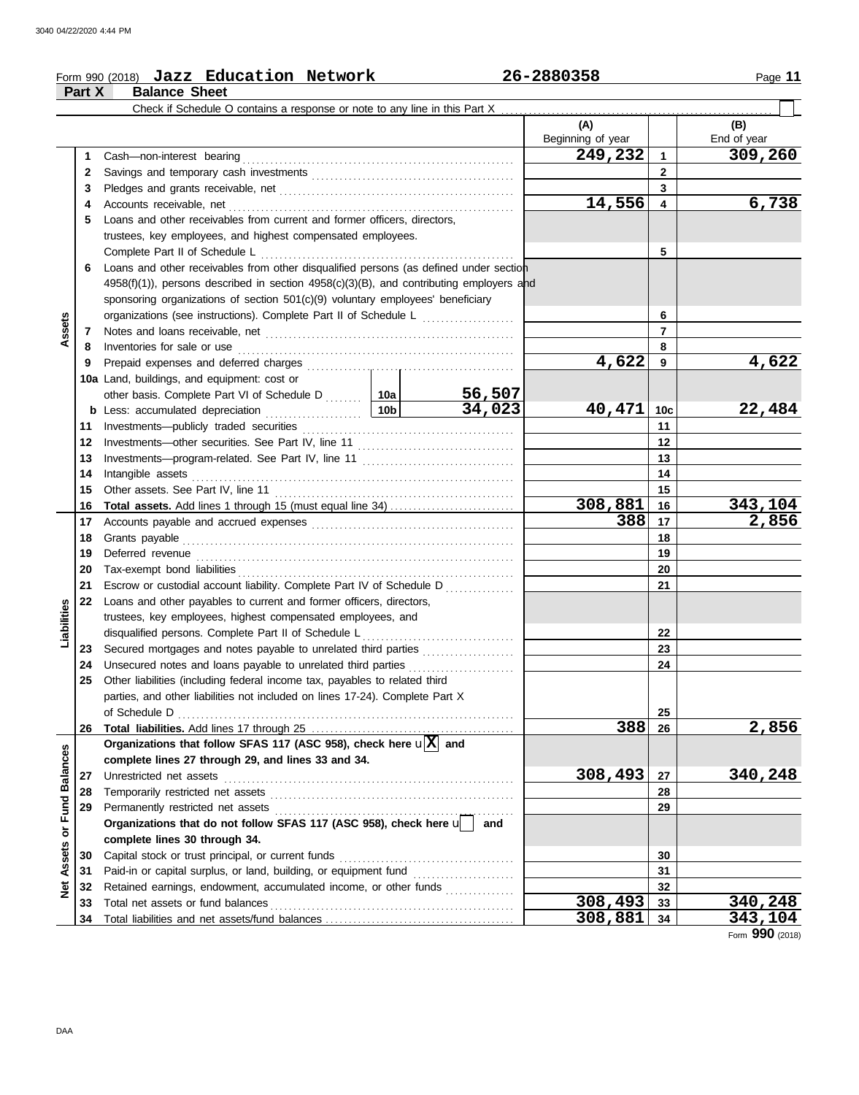#### Form 990 (2018) Page **11 Jazz Education Network 26-2880358 Part X Balance Sheet** Check if Schedule O contains a response or note to any line in this Part X **(A) (B)** Beginning of year | End of year **249,232 309,260** Cash—non-interest bearing . . . . . . . . . . . . . . . . . . . . . . . . . . . . . . . . . . . . . . . . . . . . . . . . . . . . . . . . . . . **1 1 2 2** Savings and temporary cash investments . . . . . . . . . . . . . . . . . . . . . . . . . . . . . . . . . . . . . . . . . . . . **3 3** Pledges and grants receivable, net **chanocologies** contains and state of the state of the state of the state of the state of the state of the state of the state of the state of the state of the state of the state of th **14,556 6,738 4 4** Accounts receivable, net . . . . . . . . . . . . . . . . . . . . . . . . . . . . . . . . . . . . . . . . . . . . . . . . . . . . . . . . . . . . . . **5** Loans and other receivables from current and former officers, directors, trustees, key employees, and highest compensated employees. Complete Part II of Schedule L . . . . . . . . . . . . . . . . . . . . . . . . . . . . . . . . . . . . . . . . . . . . . . . . . . . . . . . **5 6** Loans and other receivables from other disqualified persons (as defined under section 4958(f)(1)), persons described in section 4958(c)(3)(B), and contributing employers and sponsoring organizations of section 501(c)(9) voluntary employees' beneficiary organizations (see instructions). Complete Part II of Schedule L ...................... **6 Assets 7 7** Notes and loans receivable, net . . . . . . . . . . . . . . . . . . . . . . . . . . . . . . . . . . . . . . . . . . . . . . . . . . . . . . **8 8** Inventories for sale or use . . . . . . . . . . . . . . . . . . . . . . . . . . . . . . . . . . . . . . . . . . . . . . . . . . . . . . . . . . . . **4,622 4,622 9 9** Prepaid expenses and deferred charges . . . . . . . . . . . . . . . . . . . . . . . . . . . . . . . . . . . . . . . . . . . . . **10a** Land, buildings, and equipment: cost or other basis. Complete Part VI of Schedule D ........ **10a 56,507 34,023 40,471 22,484 10c b** Less: accumulated depreciation . . . . . . . . . . . . . . . . 10b **11 11** Investments—publicly traded securities . . . . . . . . . . . . . . . . . . . . . . . . . . . . . . . . . . . . . . . . . . . . . . **12 12** Investments—other securities. See Part IV, line 11 . . . . . . . . . . . . . . . . . . . . . . . . . . . . . . . . . . **13 13** Investments—program-related. See Part IV, line 11 ................................. **14** Intangible assets . . . . . . . . . . . . . . . . . . . . . . . . . . . . . . . . . . . . . . . . . . . . . . . . . . . . . . . . . . . . . . . . . . . . . . **14** Other assets. See Part IV, line 11 . . . . . . . . . . . . . . . . . . . . . . . . . . . . . . . . . . . . . . . . . . . . . . . . . . . . **15 15 308,881 343,104 Total assets.** Add lines 1 through 15 (must equal line 34) . . . . . . . . . . . . . . . . . . . . . . . . . . . **16 16** Accounts payable and accrued expenses . . . . . . . . . . . . . . . . . . . . . . . . . . . . . . . . . . . . . . . . . . . . **388 2,856 17 17 18** Grants payable . . . . . . . . . . . . . . . . . . . . . . . . . . . . . . . . . . . . . . . . . . . . . . . . . . . . . . . . . . . . . . . . . . . . . . . . **18 19** Deferred revenue . . . . . . . . . . . . . . . . . . . . . . . . . . . . . . . . . . . . . . . . . . . . . . . . . . . . . . . . . . . . . . . . . . . . . **19 20** Tax-exempt bond liabilities . . . . . . . . . . . . . . . . . . . . . . . . . . . . . . . . . . . . . . . . . . . . . . . . . . . . . . . . . . . . **20 21 21** Escrow or custodial account liability. Complete Part IV of Schedule D . . . . . . . . . . . . . **22** Loans and other payables to current and former officers, directors, **Liabilities** trustees, key employees, highest compensated employees, and disqualified persons. Complete Part II of Schedule L . . . . . . . . . . . . . . . . . . . . . . . . . . . . . . . . . **22 23** Secured mortgages and notes payable to unrelated third parties **23** Unsecured notes and loans payable to unrelated third parties .......... **24 24 25** Other liabilities (including federal income tax, payables to related third parties, and other liabilities not included on lines 17-24). Complete Part X of Schedule D . . . . . . . . . . . . . . . . . . . . . . . . . . . . . . . . . . . . . . . . . . . . . . . . . . . . . . . . . . . . . . . . . . . . . . . . . **25 388 2,856 26 Total liabilities.** Add lines 17 through 25 ........................ **26** Organizations that follow SFAS 117 (ASC 958), check here  $\mathbf{u}[\mathbf{X}]$  and **Balances Net Assets or Fund Balances complete lines 27 through 29, and lines 33 and 34. 308,493 340,248 27** Unrestricted net assets . . . . . . . . . . . . . . . . . . . . . . . . . . . . . . . . . . . . . . . . . . . . . . . . . . . . . . . . . . . . . . . **27** Temporarily restricted net assets . . . . . . . . . . . . . . . . . . . . . . . . . . . . . . . . . . . . . . . . . . . . . . . . . . . . . **28 28** Net Assets or Fund Permanently restricted net assets . . . . . . . . . . . . . . . . . . . . . . . . . . . . . . . . . . . . . . . . . . . . . . . . . . . . **29 29 and Organizations that do not follow SFAS 117 (ASC 958), check here** u **complete lines 30 through 34.** Capital stock or trust principal, or current funds . . . . . . . . . . . . . . . . . . . . . . . . . . . . . . . . . . . . . . **30 30** Paid-in or capital surplus, or land, building, or equipment fund ...................... **31 31** Retained earnings, endowment, accumulated income, or other funds ............... **32 32** Total net assets or fund balances . . . . . . . . . . . . . . . . . . . . . . . . . . . . . . . . . . . . . . . . . . . . . . . . . . . . . **308,493 340,248 33 33 308,881 343,104 34** Total liabilities and net assets/fund balances ... **34**

Form **990** (2018)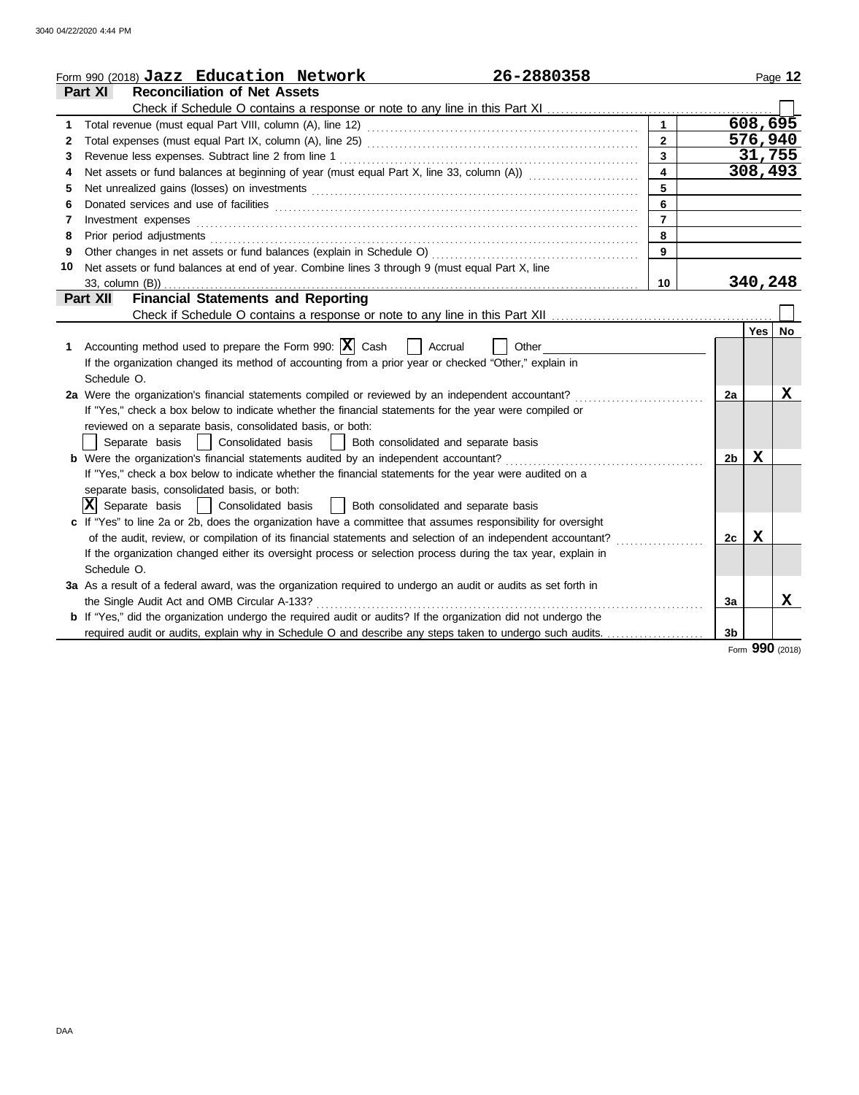|    | 26-2880358<br>Form 990 (2018) Jazz Education Network                                                           |                |                |             | Page 12   |  |  |
|----|----------------------------------------------------------------------------------------------------------------|----------------|----------------|-------------|-----------|--|--|
|    | <b>Reconciliation of Net Assets</b><br>Part XI                                                                 |                |                |             |           |  |  |
|    |                                                                                                                |                |                |             |           |  |  |
| 1  |                                                                                                                | $\mathbf{1}$   |                | 608, 695    |           |  |  |
| 2  | $\overline{2}$                                                                                                 |                |                |             |           |  |  |
| 3  | Revenue less expenses. Subtract line 2 from line 1                                                             | $\overline{3}$ |                | 576,940     | 31,755    |  |  |
| 4  | Net assets or fund balances at beginning of year (must equal Part X, line 33, column (A)) [[[[[[[[[[[[[[[[[[[  | $\overline{4}$ |                |             | 308,493   |  |  |
| 5  |                                                                                                                | 5              |                |             |           |  |  |
| 6  |                                                                                                                | 6              |                |             |           |  |  |
| 7  | Investment expenses <b>constant expenses</b>                                                                   | $\overline{7}$ |                |             |           |  |  |
| 8  |                                                                                                                | 8              |                |             |           |  |  |
| 9  |                                                                                                                | 9              |                |             |           |  |  |
| 10 | Net assets or fund balances at end of year. Combine lines 3 through 9 (must equal Part X, line                 |                |                |             |           |  |  |
|    |                                                                                                                | 10             |                | 340,248     |           |  |  |
|    | <b>Financial Statements and Reporting</b><br>Part XII                                                          |                |                |             |           |  |  |
|    |                                                                                                                |                |                |             |           |  |  |
|    |                                                                                                                |                |                | <b>Yes</b>  | <b>No</b> |  |  |
| 1. | Accounting method used to prepare the Form 990: $ \mathbf{X} $ Cash<br>Accrual<br>Other                        |                |                |             |           |  |  |
|    | If the organization changed its method of accounting from a prior year or checked "Other," explain in          |                |                |             |           |  |  |
|    | Schedule O.                                                                                                    |                |                |             |           |  |  |
|    | 2a Were the organization's financial statements compiled or reviewed by an independent accountant?             |                | 2a             |             | X         |  |  |
|    | If "Yes," check a box below to indicate whether the financial statements for the year were compiled or         |                |                |             |           |  |  |
|    | reviewed on a separate basis, consolidated basis, or both:                                                     |                |                |             |           |  |  |
|    | Both consolidated and separate basis<br>Separate basis<br>Consolidated basis                                   |                |                |             |           |  |  |
|    | <b>b</b> Were the organization's financial statements audited by an independent accountant?                    |                | 2 <sub>b</sub> | $\mathbf x$ |           |  |  |
|    | If "Yes," check a box below to indicate whether the financial statements for the year were audited on a        |                |                |             |           |  |  |
|    | separate basis, consolidated basis, or both:                                                                   |                |                |             |           |  |  |
|    | $ X $ Separate basis<br>Consolidated basis<br>  Both consolidated and separate basis                           |                |                |             |           |  |  |
|    | c If "Yes" to line 2a or 2b, does the organization have a committee that assumes responsibility for oversight  |                |                |             |           |  |  |
|    | of the audit, review, or compilation of its financial statements and selection of an independent accountant?   |                | 2с             | $\mathbf x$ |           |  |  |
|    | If the organization changed either its oversight process or selection process during the tax year, explain in  |                |                |             |           |  |  |
|    | Schedule O.                                                                                                    |                |                |             |           |  |  |
|    | 3a As a result of a federal award, was the organization required to undergo an audit or audits as set forth in |                |                |             |           |  |  |
|    | the Single Audit Act and OMB Circular A-133?                                                                   |                | 3a             |             | x         |  |  |
|    | b If "Yes," did the organization undergo the required audit or audits? If the organization did not undergo the |                |                |             |           |  |  |
|    | required audit or audits, explain why in Schedule O and describe any steps taken to undergo such audits.       |                | 3 <sub>b</sub> |             |           |  |  |

Form **990** (2018)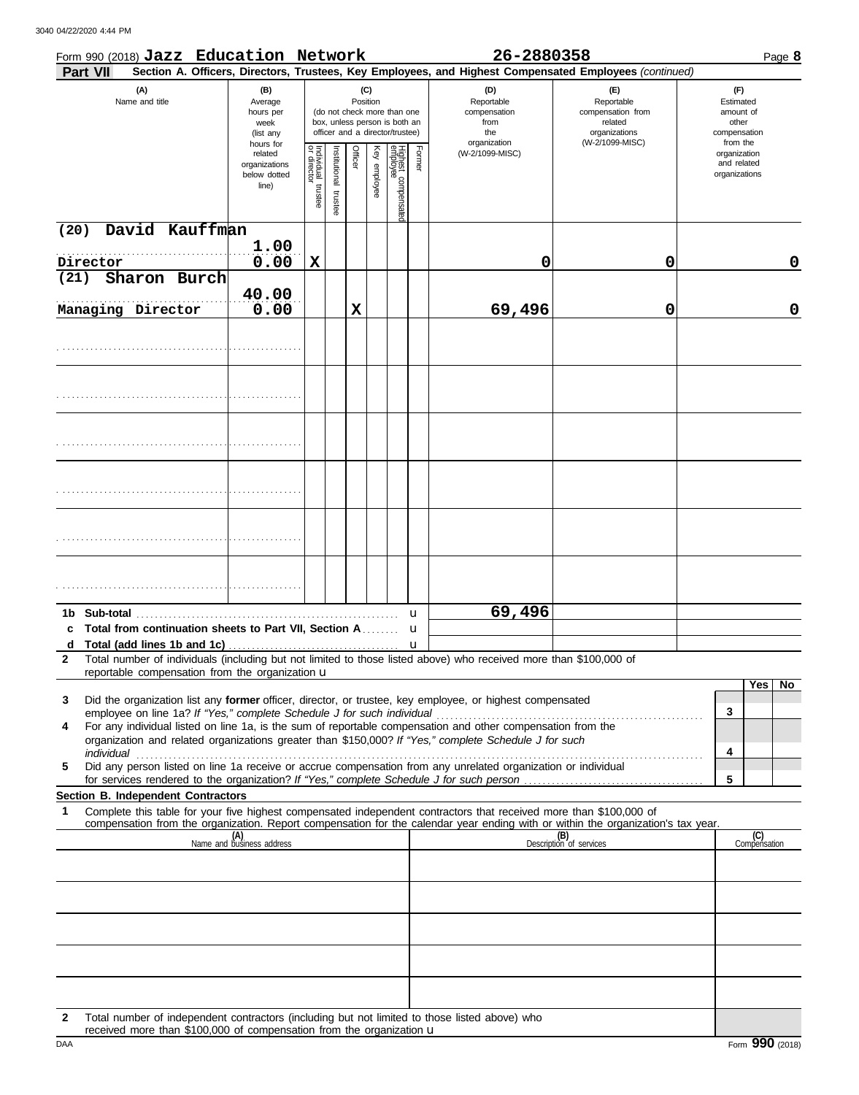|                 | Form 990 (2018) Jazz Education Network                                                                     |                                                               |                                        |                         |         |                 |                                                                                                 |        | 26-2880358                                                                                                                                                                                                             |                                                                                       |                                                                    | Page 8   |
|-----------------|------------------------------------------------------------------------------------------------------------|---------------------------------------------------------------|----------------------------------------|-------------------------|---------|-----------------|-------------------------------------------------------------------------------------------------|--------|------------------------------------------------------------------------------------------------------------------------------------------------------------------------------------------------------------------------|---------------------------------------------------------------------------------------|--------------------------------------------------------------------|----------|
| <b>Part VII</b> |                                                                                                            |                                                               |                                        |                         |         |                 |                                                                                                 |        | Section A. Officers, Directors, Trustees, Key Employees, and Highest Compensated Employees (continued)                                                                                                                 |                                                                                       |                                                                    |          |
|                 | (A)<br>Name and title                                                                                      | (B)<br>Average<br>hours per<br>week<br>(list any<br>hours for |                                        |                         |         | (C)<br>Position | (do not check more than one<br>box, unless person is both an<br>officer and a director/trustee) |        | (D)<br>Reportable<br>compensation<br>from<br>the<br>organization                                                                                                                                                       | (E)<br>Reportable<br>compensation from<br>related<br>organizations<br>(W-2/1099-MISC) | (F)<br>Estimated<br>amount of<br>other<br>compensation<br>from the |          |
|                 |                                                                                                            | related<br>organizations<br>below dotted<br>line)             | Individual 1<br>or director<br>trustee | nstitutional<br>trustee | Officer | Key employee    | Highest compensate<br>employee                                                                  | Former | (W-2/1099-MISC)                                                                                                                                                                                                        |                                                                                       | organization<br>and related<br>organizations                       |          |
| (20)            | David Kauffman                                                                                             |                                                               |                                        |                         |         |                 |                                                                                                 |        |                                                                                                                                                                                                                        |                                                                                       |                                                                    |          |
| Director        |                                                                                                            | 1.00<br>0.00                                                  | $\mathbf x$                            |                         |         |                 |                                                                                                 |        | 0                                                                                                                                                                                                                      | 0                                                                                     |                                                                    | 0        |
| (21)            | Sharon Burch                                                                                               |                                                               |                                        |                         |         |                 |                                                                                                 |        |                                                                                                                                                                                                                        |                                                                                       |                                                                    |          |
|                 | Managing Director                                                                                          | 40.00<br>0.00                                                 |                                        |                         | X       |                 |                                                                                                 |        | 69,496                                                                                                                                                                                                                 | 0                                                                                     |                                                                    | 0        |
|                 |                                                                                                            |                                                               |                                        |                         |         |                 |                                                                                                 |        |                                                                                                                                                                                                                        |                                                                                       |                                                                    |          |
|                 |                                                                                                            |                                                               |                                        |                         |         |                 |                                                                                                 |        |                                                                                                                                                                                                                        |                                                                                       |                                                                    |          |
|                 |                                                                                                            |                                                               |                                        |                         |         |                 |                                                                                                 |        |                                                                                                                                                                                                                        |                                                                                       |                                                                    |          |
|                 |                                                                                                            |                                                               |                                        |                         |         |                 |                                                                                                 |        |                                                                                                                                                                                                                        |                                                                                       |                                                                    |          |
|                 |                                                                                                            |                                                               |                                        |                         |         |                 |                                                                                                 |        |                                                                                                                                                                                                                        |                                                                                       |                                                                    |          |
|                 |                                                                                                            |                                                               |                                        |                         |         |                 |                                                                                                 |        |                                                                                                                                                                                                                        |                                                                                       |                                                                    |          |
|                 |                                                                                                            |                                                               |                                        |                         |         |                 |                                                                                                 | u      | 69,496                                                                                                                                                                                                                 |                                                                                       |                                                                    |          |
| $\mathbf{2}$    | c Total from continuation sheets to Part VII, Section A<br>reportable compensation from the organization u |                                                               |                                        |                         |         |                 |                                                                                                 | u      | Total number of individuals (including but not limited to those listed above) who received more than \$100,000 of                                                                                                      |                                                                                       |                                                                    |          |
| 3               |                                                                                                            |                                                               |                                        |                         |         |                 |                                                                                                 |        | Did the organization list any former officer, director, or trustee, key employee, or highest compensated                                                                                                               |                                                                                       |                                                                    | Yes   No |
| 4               |                                                                                                            |                                                               |                                        |                         |         |                 |                                                                                                 |        | For any individual listed on line 1a, is the sum of reportable compensation and other compensation from the                                                                                                            |                                                                                       | 3                                                                  |          |
|                 |                                                                                                            |                                                               |                                        |                         |         |                 |                                                                                                 |        | organization and related organizations greater than \$150,000? If "Yes," complete Schedule J for such<br>Did any person listed on line 1a receive or accrue compensation from any unrelated organization or individual |                                                                                       | 4                                                                  |          |
| 5               |                                                                                                            |                                                               |                                        |                         |         |                 |                                                                                                 |        |                                                                                                                                                                                                                        |                                                                                       | 5                                                                  |          |
| 1               | Section B. Independent Contractors                                                                         |                                                               |                                        |                         |         |                 |                                                                                                 |        | Complete this table for your five highest compensated independent contractors that received more than \$100,000 of                                                                                                     |                                                                                       |                                                                    |          |
|                 |                                                                                                            |                                                               |                                        |                         |         |                 |                                                                                                 |        | compensation from the organization. Report compensation for the calendar year ending with or within the organization's tax year.                                                                                       |                                                                                       |                                                                    |          |
|                 |                                                                                                            | (A)<br>Name and business address                              |                                        |                         |         |                 |                                                                                                 |        |                                                                                                                                                                                                                        | (B)<br>Description of services                                                        | (C)<br>Compensation                                                |          |
|                 |                                                                                                            |                                                               |                                        |                         |         |                 |                                                                                                 |        |                                                                                                                                                                                                                        |                                                                                       |                                                                    |          |
|                 |                                                                                                            |                                                               |                                        |                         |         |                 |                                                                                                 |        |                                                                                                                                                                                                                        |                                                                                       |                                                                    |          |
|                 |                                                                                                            |                                                               |                                        |                         |         |                 |                                                                                                 |        |                                                                                                                                                                                                                        |                                                                                       |                                                                    |          |
|                 |                                                                                                            |                                                               |                                        |                         |         |                 |                                                                                                 |        |                                                                                                                                                                                                                        |                                                                                       |                                                                    |          |
|                 |                                                                                                            |                                                               |                                        |                         |         |                 |                                                                                                 |        |                                                                                                                                                                                                                        |                                                                                       |                                                                    |          |

**2** Total number of independent contractors (including but not limited to those listed above) who received more than \$100,000 of compensation from the organization u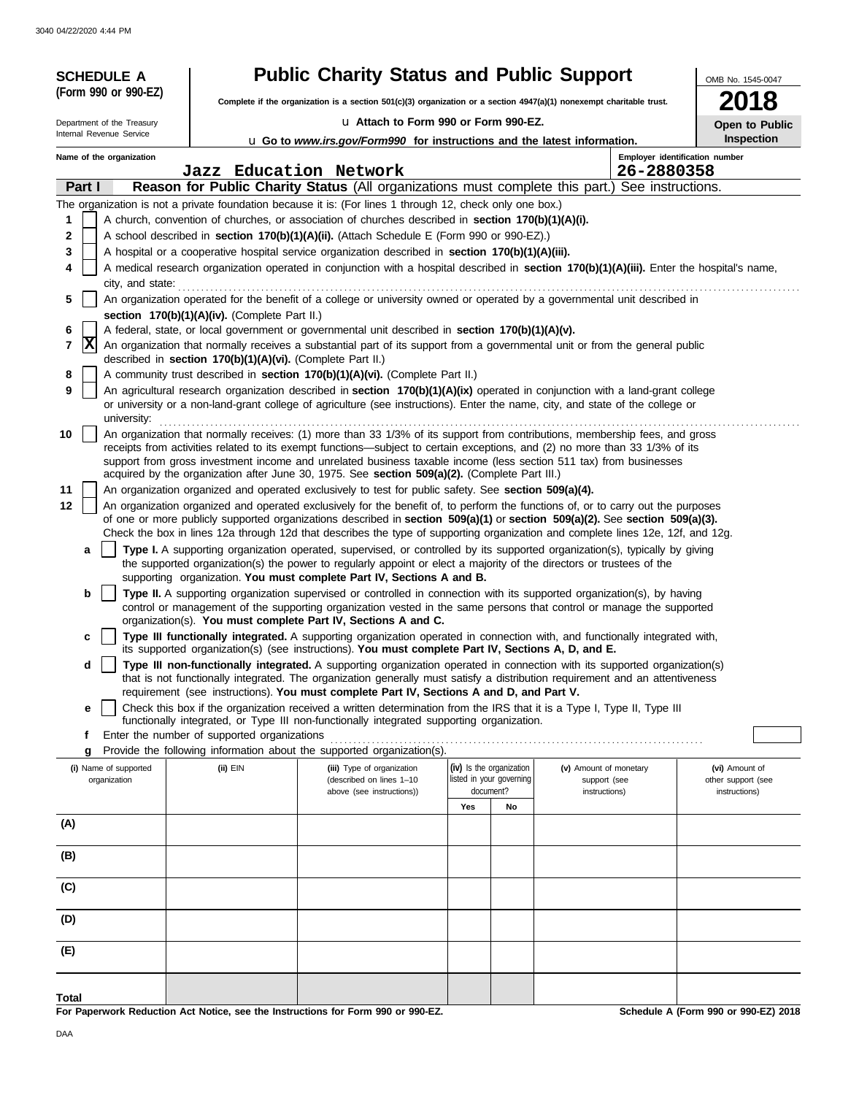|        | <b>SCHEDULE A</b>                     |                                                            | <b>Public Charity Status and Public Support</b>                                                                                                                                                                                                                                                                                                   |      |                                                      |                                        |                                 | OMB No. 1545-0047                    |
|--------|---------------------------------------|------------------------------------------------------------|---------------------------------------------------------------------------------------------------------------------------------------------------------------------------------------------------------------------------------------------------------------------------------------------------------------------------------------------------|------|------------------------------------------------------|----------------------------------------|---------------------------------|--------------------------------------|
|        | (Form 990 or 990-EZ)                  |                                                            | Complete if the organization is a section 501(c)(3) organization or a section 4947(a)(1) nonexempt charitable trust.                                                                                                                                                                                                                              | 2018 |                                                      |                                        |                                 |                                      |
|        | Department of the Treasury            |                                                            | La Attach to Form 990 or Form 990-EZ.                                                                                                                                                                                                                                                                                                             |      |                                                      |                                        |                                 | Open to Public                       |
|        | Internal Revenue Service              |                                                            | u Go to www.irs.gov/Form990 for instructions and the latest information.                                                                                                                                                                                                                                                                          |      |                                                      |                                        |                                 | <b>Inspection</b>                    |
|        | Name of the organization              |                                                            |                                                                                                                                                                                                                                                                                                                                                   |      | Employer identification number                       |                                        |                                 |                                      |
|        | Part I                                | Jazz Education Network                                     | Reason for Public Charity Status (All organizations must complete this part.)                                                                                                                                                                                                                                                                     |      |                                                      |                                        | 26-2880358<br>See instructions. |                                      |
|        |                                       |                                                            | The organization is not a private foundation because it is: (For lines 1 through 12, check only one box.)                                                                                                                                                                                                                                         |      |                                                      |                                        |                                 |                                      |
| 1      |                                       |                                                            | A church, convention of churches, or association of churches described in <b>section 170(b)(1)(A)(i).</b>                                                                                                                                                                                                                                         |      |                                                      |                                        |                                 |                                      |
| 2      |                                       |                                                            | A school described in section 170(b)(1)(A)(ii). (Attach Schedule E (Form 990 or 990-EZ).)                                                                                                                                                                                                                                                         |      |                                                      |                                        |                                 |                                      |
| 3      |                                       |                                                            | A hospital or a cooperative hospital service organization described in section 170(b)(1)(A)(iii).                                                                                                                                                                                                                                                 |      |                                                      |                                        |                                 |                                      |
| 4      |                                       |                                                            | A medical research organization operated in conjunction with a hospital described in section 170(b)(1)(A)(iii). Enter the hospital's name,                                                                                                                                                                                                        |      |                                                      |                                        |                                 |                                      |
| 5      | city, and state:                      |                                                            | An organization operated for the benefit of a college or university owned or operated by a governmental unit described in                                                                                                                                                                                                                         |      |                                                      |                                        |                                 |                                      |
|        |                                       | section 170(b)(1)(A)(iv). (Complete Part II.)              |                                                                                                                                                                                                                                                                                                                                                   |      |                                                      |                                        |                                 |                                      |
| 6      |                                       |                                                            | A federal, state, or local government or governmental unit described in section 170(b)(1)(A)(v).                                                                                                                                                                                                                                                  |      |                                                      |                                        |                                 |                                      |
| 7      | X                                     | described in section 170(b)(1)(A)(vi). (Complete Part II.) | An organization that normally receives a substantial part of its support from a governmental unit or from the general public                                                                                                                                                                                                                      |      |                                                      |                                        |                                 |                                      |
| 8<br>9 |                                       |                                                            | A community trust described in section 170(b)(1)(A)(vi). (Complete Part II.)<br>An agricultural research organization described in section 170(b)(1)(A)(ix) operated in conjunction with a land-grant college                                                                                                                                     |      |                                                      |                                        |                                 |                                      |
|        | university:                           |                                                            | or university or a non-land-grant college of agriculture (see instructions). Enter the name, city, and state of the college or                                                                                                                                                                                                                    |      |                                                      |                                        |                                 |                                      |
| 10     |                                       |                                                            | An organization that normally receives: (1) more than 33 1/3% of its support from contributions, membership fees, and gross                                                                                                                                                                                                                       |      |                                                      |                                        |                                 |                                      |
|        |                                       |                                                            | receipts from activities related to its exempt functions—subject to certain exceptions, and (2) no more than 33 1/3% of its<br>support from gross investment income and unrelated business taxable income (less section 511 tax) from businesses<br>acquired by the organization after June 30, 1975. See section 509(a)(2). (Complete Part III.) |      |                                                      |                                        |                                 |                                      |
| 11     |                                       |                                                            | An organization organized and operated exclusively to test for public safety. See section 509(a)(4).                                                                                                                                                                                                                                              |      |                                                      |                                        |                                 |                                      |
| 12     |                                       |                                                            | An organization organized and operated exclusively for the benefit of, to perform the functions of, or to carry out the purposes                                                                                                                                                                                                                  |      |                                                      |                                        |                                 |                                      |
|        |                                       |                                                            | of one or more publicly supported organizations described in section $509(a)(1)$ or section $509(a)(2)$ . See section $509(a)(3)$ .<br>Check the box in lines 12a through 12d that describes the type of supporting organization and complete lines 12e, 12f, and 12g.                                                                            |      |                                                      |                                        |                                 |                                      |
|        | a                                     |                                                            | Type I. A supporting organization operated, supervised, or controlled by its supported organization(s), typically by giving                                                                                                                                                                                                                       |      |                                                      |                                        |                                 |                                      |
|        |                                       |                                                            | the supported organization(s) the power to regularly appoint or elect a majority of the directors or trustees of the<br>supporting organization. You must complete Part IV, Sections A and B.                                                                                                                                                     |      |                                                      |                                        |                                 |                                      |
|        | b                                     |                                                            | Type II. A supporting organization supervised or controlled in connection with its supported organization(s), by having<br>control or management of the supporting organization vested in the same persons that control or manage the supported                                                                                                   |      |                                                      |                                        |                                 |                                      |
|        | c                                     |                                                            | organization(s). You must complete Part IV, Sections A and C.<br>Type III functionally integrated. A supporting organization operated in connection with, and functionally integrated with,<br>its supported organization(s) (see instructions). You must complete Part IV, Sections A, D, and E.                                                 |      |                                                      |                                        |                                 |                                      |
|        | d                                     |                                                            | Type III non-functionally integrated. A supporting organization operated in connection with its supported organization(s)<br>that is not functionally integrated. The organization generally must satisfy a distribution requirement and an attentiveness                                                                                         |      |                                                      |                                        |                                 |                                      |
|        |                                       |                                                            | requirement (see instructions). You must complete Part IV, Sections A and D, and Part V.                                                                                                                                                                                                                                                          |      |                                                      |                                        |                                 |                                      |
|        | е                                     |                                                            | Check this box if the organization received a written determination from the IRS that it is a Type I, Type II, Type III<br>functionally integrated, or Type III non-functionally integrated supporting organization.                                                                                                                              |      |                                                      |                                        |                                 |                                      |
|        | f                                     | Enter the number of supported organizations                |                                                                                                                                                                                                                                                                                                                                                   |      |                                                      |                                        |                                 |                                      |
|        | g                                     |                                                            | Provide the following information about the supported organization(s).                                                                                                                                                                                                                                                                            |      |                                                      |                                        |                                 |                                      |
|        | (i) Name of supported<br>organization | (ii) EIN                                                   | (iii) Type of organization<br>(described on lines 1-10                                                                                                                                                                                                                                                                                            |      | (iv) Is the organization<br>listed in your governing | (v) Amount of monetary<br>support (see |                                 | (vi) Amount of<br>other support (see |
|        |                                       |                                                            | above (see instructions))                                                                                                                                                                                                                                                                                                                         |      | document?                                            | instructions)                          |                                 | instructions)                        |
| (A)    |                                       |                                                            |                                                                                                                                                                                                                                                                                                                                                   | Yes  | No                                                   |                                        |                                 |                                      |
|        |                                       |                                                            |                                                                                                                                                                                                                                                                                                                                                   |      |                                                      |                                        |                                 |                                      |
| (B)    |                                       |                                                            |                                                                                                                                                                                                                                                                                                                                                   |      |                                                      |                                        |                                 |                                      |
| (C)    |                                       |                                                            |                                                                                                                                                                                                                                                                                                                                                   |      |                                                      |                                        |                                 |                                      |
| (D)    |                                       |                                                            |                                                                                                                                                                                                                                                                                                                                                   |      |                                                      |                                        |                                 |                                      |
| (E)    |                                       |                                                            |                                                                                                                                                                                                                                                                                                                                                   |      |                                                      |                                        |                                 |                                      |
|        |                                       |                                                            |                                                                                                                                                                                                                                                                                                                                                   |      |                                                      |                                        |                                 |                                      |
| Total  |                                       |                                                            |                                                                                                                                                                                                                                                                                                                                                   |      |                                                      |                                        |                                 |                                      |

**For Paperwork Reduction Act Notice, see the Instructions for Form 990 or 990-EZ.**

**Schedule A (Form 990 or 990-EZ) 2018**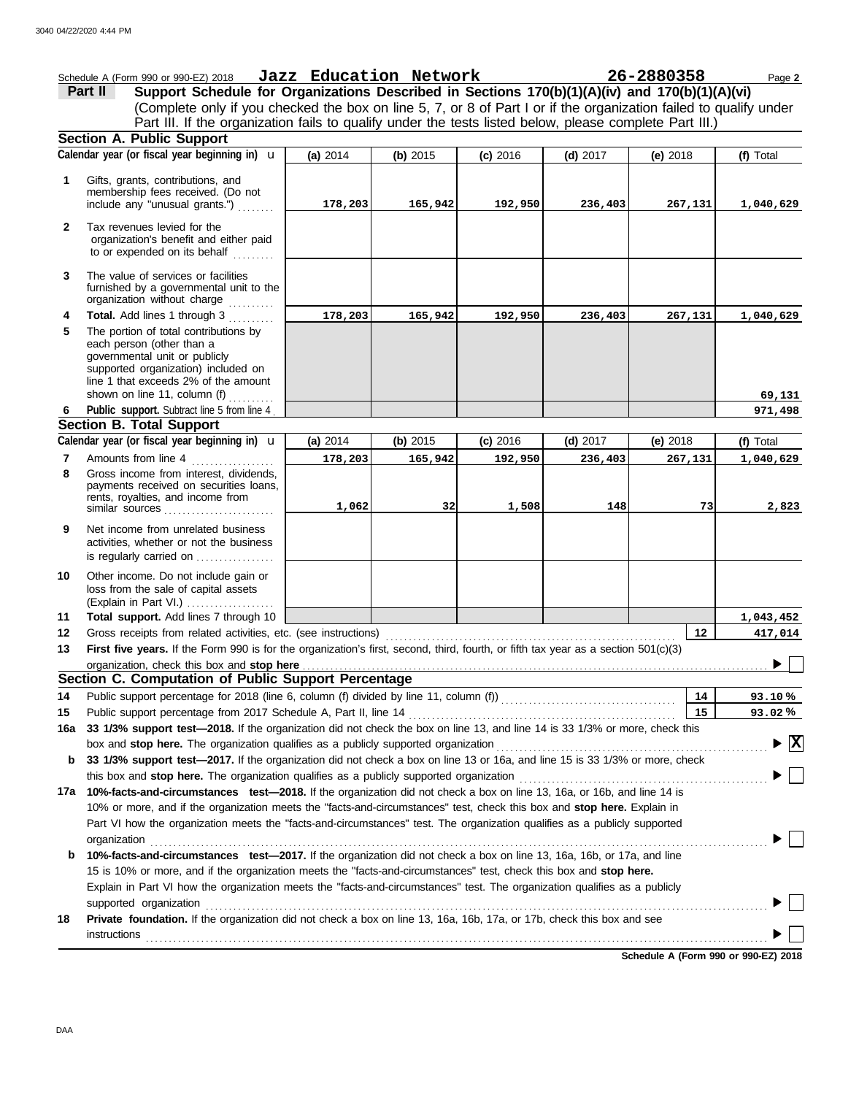|              | Schedule A (Form 990 or 990-EZ) 2018<br>Support Schedule for Organizations Described in Sections 170(b)(1)(A)(iv) and 170(b)(1)(A)(vi)<br>Part II                                                                              | Jazz Education Network |                 |            |            | 26-2880358 | Page 2                          |
|--------------|--------------------------------------------------------------------------------------------------------------------------------------------------------------------------------------------------------------------------------|------------------------|-----------------|------------|------------|------------|---------------------------------|
|              | (Complete only if you checked the box on line 5, 7, or 8 of Part I or if the organization failed to qualify under                                                                                                              |                        |                 |            |            |            |                                 |
|              | Part III. If the organization fails to qualify under the tests listed below, please complete Part III.)                                                                                                                        |                        |                 |            |            |            |                                 |
|              | <b>Section A. Public Support</b>                                                                                                                                                                                               |                        |                 |            |            |            |                                 |
|              | Calendar year (or fiscal year beginning in) $\mathbf u$                                                                                                                                                                        | (a) 2014               | (b) 2015        | $(c)$ 2016 | $(d)$ 2017 | (e) $2018$ | (f) Total                       |
|              |                                                                                                                                                                                                                                |                        |                 |            |            |            |                                 |
| 1            | Gifts, grants, contributions, and                                                                                                                                                                                              |                        |                 |            |            |            |                                 |
|              | membership fees received. (Do not<br>include any "unusual grants.")                                                                                                                                                            | 178,203                | 165,942         | 192,950    | 236,403    | 267, 131   | 1,040,629                       |
|              |                                                                                                                                                                                                                                |                        |                 |            |            |            |                                 |
| $\mathbf{2}$ | Tax revenues levied for the<br>organization's benefit and either paid                                                                                                                                                          |                        |                 |            |            |            |                                 |
|              | to or expended on its behalf                                                                                                                                                                                                   |                        |                 |            |            |            |                                 |
|              |                                                                                                                                                                                                                                |                        |                 |            |            |            |                                 |
| 3            | The value of services or facilities<br>furnished by a governmental unit to the                                                                                                                                                 |                        |                 |            |            |            |                                 |
|              | organization without charge                                                                                                                                                                                                    |                        |                 |            |            |            |                                 |
| 4            | Total. Add lines 1 through 3                                                                                                                                                                                                   | 178,203                | 165,942         | 192,950    | 236,403    | 267,131    | 1,040,629                       |
| 5            | The portion of total contributions by                                                                                                                                                                                          |                        |                 |            |            |            |                                 |
|              | each person (other than a                                                                                                                                                                                                      |                        |                 |            |            |            |                                 |
|              | governmental unit or publicly<br>supported organization) included on                                                                                                                                                           |                        |                 |            |            |            |                                 |
|              | line 1 that exceeds 2% of the amount                                                                                                                                                                                           |                        |                 |            |            |            |                                 |
|              | shown on line 11, column (f) $\ldots$                                                                                                                                                                                          |                        |                 |            |            |            | 69,131                          |
| 6            | Public support. Subtract line 5 from line 4.                                                                                                                                                                                   |                        |                 |            |            |            | 971,498                         |
|              | <b>Section B. Total Support</b>                                                                                                                                                                                                |                        |                 |            |            |            |                                 |
|              | Calendar year (or fiscal year beginning in) <b>u</b>                                                                                                                                                                           | (a) 2014               | (b) 2015        | (c) 2016   | $(d)$ 2017 | (e) 2018   | (f) Total                       |
| 7            | Amounts from line 4                                                                                                                                                                                                            | 178,203                | 165,942         | 192,950    | 236,403    | 267,131    | 1,040,629                       |
| 8            | Gross income from interest, dividends,<br>payments received on securities loans,                                                                                                                                               |                        |                 |            |            |            |                                 |
|              | rents, royalties, and income from                                                                                                                                                                                              |                        |                 |            |            |            |                                 |
|              | similar sources                                                                                                                                                                                                                | 1,062                  | 32 <sub>1</sub> | 1,508      | 148        | 73         | 2,823                           |
| 9            | Net income from unrelated business                                                                                                                                                                                             |                        |                 |            |            |            |                                 |
|              | activities, whether or not the business                                                                                                                                                                                        |                        |                 |            |            |            |                                 |
|              | is regularly carried on                                                                                                                                                                                                        |                        |                 |            |            |            |                                 |
| 10           | Other income. Do not include gain or                                                                                                                                                                                           |                        |                 |            |            |            |                                 |
|              | loss from the sale of capital assets<br>(Explain in Part VI.)                                                                                                                                                                  |                        |                 |            |            |            |                                 |
| 11           | Total support. Add lines 7 through 10                                                                                                                                                                                          |                        |                 |            |            |            | 1,043,452                       |
| 12           | Gross receipts from related activities, etc. (see instructions)                                                                                                                                                                |                        |                 |            |            | 12         | 417,014                         |
| 13           | First five years. If the Form 990 is for the organization's first, second, third, fourth, or fifth tax year as a section 501(c)(3)                                                                                             |                        |                 |            |            |            |                                 |
|              |                                                                                                                                                                                                                                |                        |                 |            |            |            | $\overline{ }$                  |
|              | Section C. Computation of Public Support Percentage                                                                                                                                                                            |                        |                 |            |            |            |                                 |
| 14           |                                                                                                                                                                                                                                |                        |                 |            |            | 14         | 93.10%                          |
| 15           |                                                                                                                                                                                                                                |                        |                 |            |            | 15         | 93.02%                          |
| 16a          | 33 1/3% support test-2018. If the organization did not check the box on line 13, and line 14 is 33 1/3% or more, check this                                                                                                    |                        |                 |            |            |            |                                 |
|              | box and stop here. The organization qualifies as a publicly supported organization                                                                                                                                             |                        |                 |            |            |            | $\blacktriangleright$ $\vert$ X |
| b            | 33 1/3% support test-2017. If the organization did not check a box on line 13 or 16a, and line 15 is 33 1/3% or more, check                                                                                                    |                        |                 |            |            |            |                                 |
|              | this box and stop here. The organization qualifies as a publicly supported organization [11] content content content content of the state of the state of the state of the state of the state of the state of the state of the |                        |                 |            |            |            |                                 |
|              | 17a 10%-facts-and-circumstances test-2018. If the organization did not check a box on line 13, 16a, or 16b, and line 14 is                                                                                                     |                        |                 |            |            |            |                                 |
|              | 10% or more, and if the organization meets the "facts-and-circumstances" test, check this box and stop here. Explain in                                                                                                        |                        |                 |            |            |            |                                 |
|              | Part VI how the organization meets the "facts-and-circumstances" test. The organization qualifies as a publicly supported                                                                                                      |                        |                 |            |            |            |                                 |
|              | organization<br>10%-facts-and-circumstances test-2017. If the organization did not check a box on line 13, 16a, 16b, or 17a, and line                                                                                          |                        |                 |            |            |            |                                 |
| b            | 15 is 10% or more, and if the organization meets the "facts-and-circumstances" test, check this box and stop here.                                                                                                             |                        |                 |            |            |            |                                 |
|              | Explain in Part VI how the organization meets the "facts-and-circumstances" test. The organization qualifies as a publicly                                                                                                     |                        |                 |            |            |            |                                 |
|              | supported organization                                                                                                                                                                                                         |                        |                 |            |            |            |                                 |
| 18           | Private foundation. If the organization did not check a box on line 13, 16a, 16b, 17a, or 17b, check this box and see                                                                                                          |                        |                 |            |            |            |                                 |
|              |                                                                                                                                                                                                                                |                        |                 |            |            |            |                                 |
|              |                                                                                                                                                                                                                                |                        |                 |            |            |            |                                 |

**Schedule A (Form 990 or 990-EZ) 2018**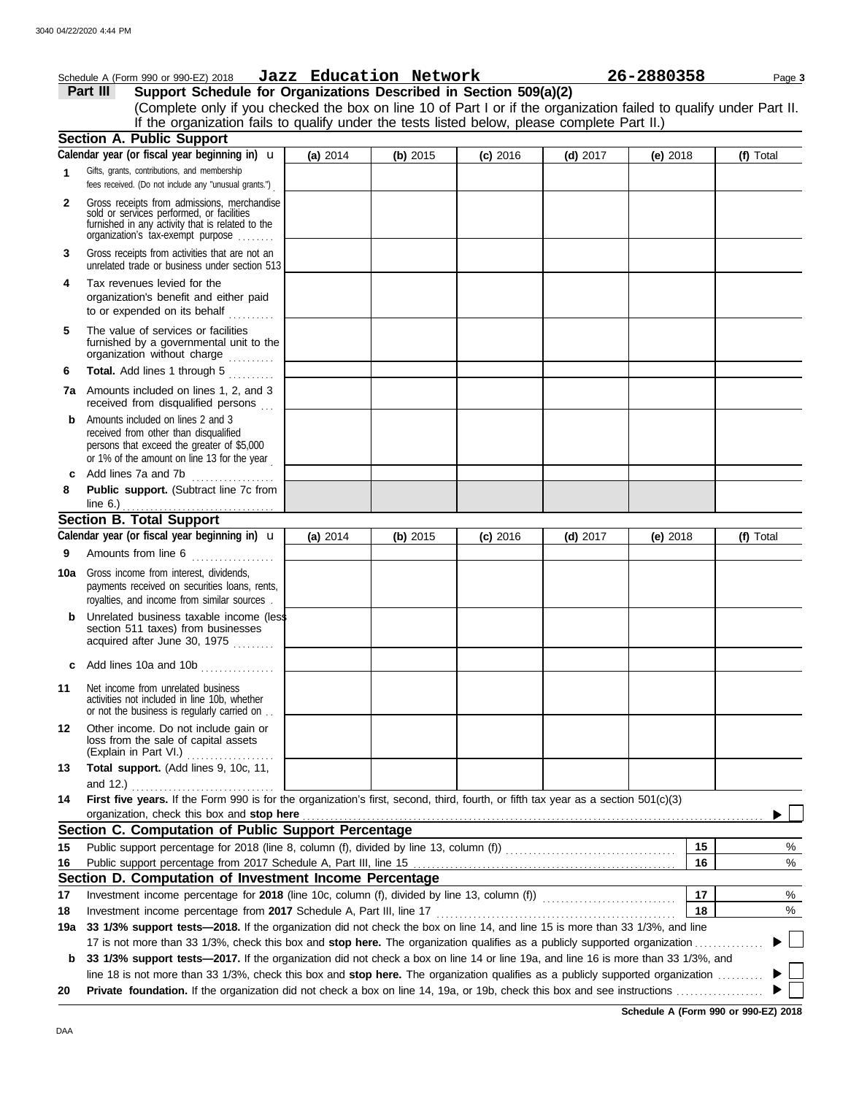|              | Schedule A (Form 990 or 990-EZ) 2018                                                                                                                                              | Jazz Education Network |          |            |            | 26-2880358 | Page 3    |
|--------------|-----------------------------------------------------------------------------------------------------------------------------------------------------------------------------------|------------------------|----------|------------|------------|------------|-----------|
|              | Support Schedule for Organizations Described in Section 509(a)(2)<br>Part III                                                                                                     |                        |          |            |            |            |           |
|              | (Complete only if you checked the box on line 10 of Part I or if the organization failed to qualify under Part II.                                                                |                        |          |            |            |            |           |
|              | If the organization fails to qualify under the tests listed below, please complete Part II.)                                                                                      |                        |          |            |            |            |           |
|              | <b>Section A. Public Support</b>                                                                                                                                                  |                        |          |            |            |            |           |
|              | Calendar year (or fiscal year beginning in) $\mathbf u$                                                                                                                           | (a) 2014               | (b) 2015 | $(c)$ 2016 | $(d)$ 2017 | (e) $2018$ | (f) Total |
| 1            | Gifts, grants, contributions, and membership<br>fees received. (Do not include any "unusual grants.")                                                                             |                        |          |            |            |            |           |
| $\mathbf{2}$ | Gross receipts from admissions, merchandise<br>sold or services performed, or facilities<br>furnished in any activity that is related to the<br>organization's tax-exempt purpose |                        |          |            |            |            |           |
| 3            | Gross receipts from activities that are not an<br>unrelated trade or business under section 513                                                                                   |                        |          |            |            |            |           |
| 4            | Tax revenues levied for the<br>organization's benefit and either paid<br>to or expended on its behalf                                                                             |                        |          |            |            |            |           |
| 5            | The value of services or facilities<br>furnished by a governmental unit to the<br>organization without charge                                                                     |                        |          |            |            |            |           |
| 6            | Total. Add lines 1 through 5                                                                                                                                                      |                        |          |            |            |            |           |
|              | <b>7a</b> Amounts included on lines 1, 2, and 3<br>received from disqualified persons                                                                                             |                        |          |            |            |            |           |
| b            | Amounts included on lines 2 and 3<br>received from other than disqualified<br>persons that exceed the greater of \$5,000<br>or 1% of the amount on line 13 for the year           |                        |          |            |            |            |           |
| C            | Add lines 7a and 7b                                                                                                                                                               |                        |          |            |            |            |           |
| 8            | Public support. (Subtract line 7c from<br>line 6.) $\ldots$                                                                                                                       |                        |          |            |            |            |           |
|              | <b>Section B. Total Support</b>                                                                                                                                                   |                        |          |            |            |            |           |
|              | Calendar year (or fiscal year beginning in) <b>u</b>                                                                                                                              | (a) 2014               | (b) 2015 | $(c)$ 2016 | $(d)$ 2017 | (e) $2018$ | (f) Total |
| 9            | Amounts from line 6                                                                                                                                                               |                        |          |            |            |            |           |
| 10a          | Gross income from interest, dividends,<br>payments received on securities loans, rents,<br>royalties, and income from similar sources.                                            |                        |          |            |            |            |           |
|              | Unrelated business taxable income (less<br>section 511 taxes) from businesses<br>acquired after June 30, 1975                                                                     |                        |          |            |            |            |           |
|              | c Add lines 10a and 10b $\ldots$                                                                                                                                                  |                        |          |            |            |            |           |
| 11           | Net income from unrelated business<br>activities not included in line 10b, whether<br>or not the business is regularly carried on.                                                |                        |          |            |            |            |           |
| 12           | Other income. Do not include gain or<br>loss from the sale of capital assets<br>(Explain in Part VI.)<br>.                                                                        |                        |          |            |            |            |           |
| 13           | Total support. (Add lines 9, 10c, 11,<br>and 12.)                                                                                                                                 |                        |          |            |            |            |           |
| 14           | First five years. If the Form 990 is for the organization's first, second, third, fourth, or fifth tax year as a section 501(c)(3)<br>organization, check this box and stop here  |                        |          |            |            |            |           |
|              | Section C. Computation of Public Support Percentage                                                                                                                               |                        |          |            |            |            |           |
| 15           |                                                                                                                                                                                   |                        |          |            |            | 15         | %         |
| 16           |                                                                                                                                                                                   |                        |          |            |            | 16         | %         |
|              | Section D. Computation of Investment Income Percentage                                                                                                                            |                        |          |            |            |            |           |
| 17           |                                                                                                                                                                                   |                        |          |            |            | 17         | %         |
| 18           |                                                                                                                                                                                   |                        |          |            |            | 18         | %         |
| 19a          | 33 1/3% support tests—2018. If the organization did not check the box on line 14, and line 15 is more than 33 1/3%, and line                                                      |                        |          |            |            |            |           |
|              | 17 is not more than 33 1/3%, check this box and stop here. The organization qualifies as a publicly supported organization                                                        |                        |          |            |            |            |           |
| b            | 33 1/3% support tests—2017. If the organization did not check a box on line 14 or line 19a, and line 16 is more than 33 1/3%, and                                                 |                        |          |            |            |            |           |
|              | line 18 is not more than 33 1/3%, check this box and stop here. The organization qualifies as a publicly supported organization                                                   |                        |          |            |            |            |           |
| 20           |                                                                                                                                                                                   |                        |          |            |            |            |           |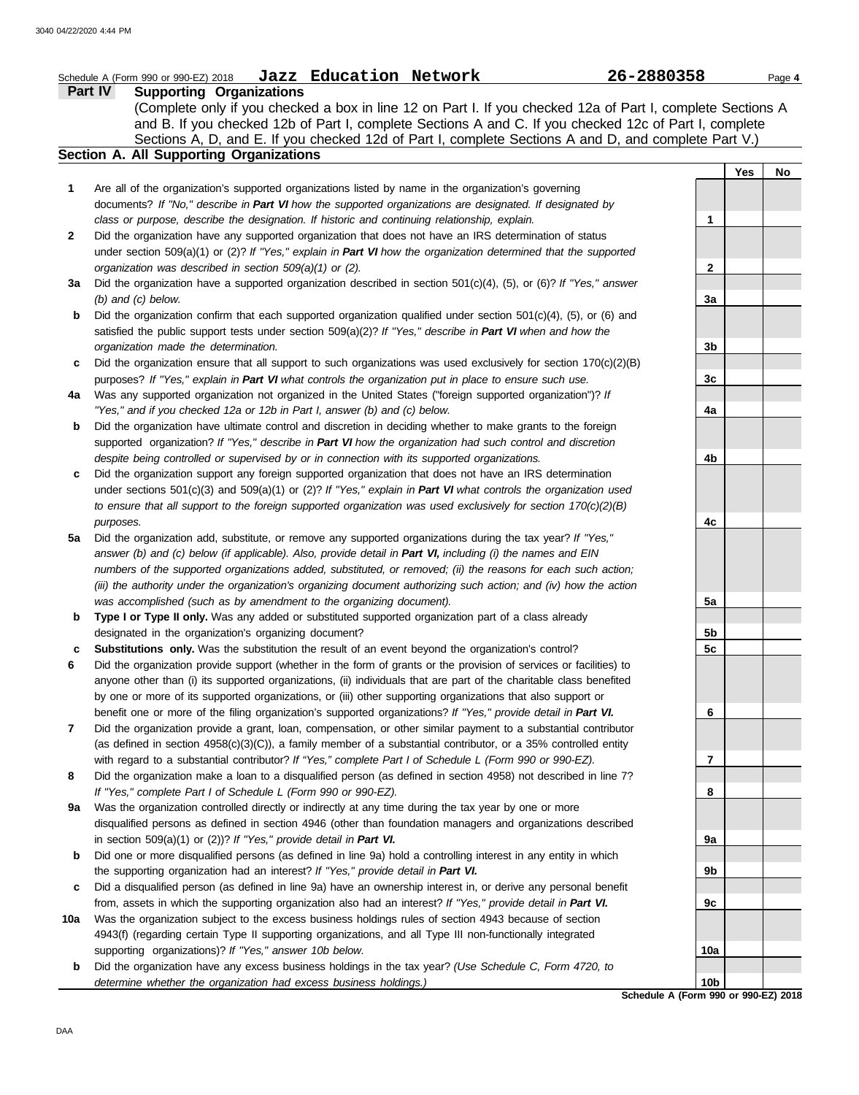|     | Jazz Education Network<br>Schedule A (Form 990 or 990-EZ) 2018                                                      | 26-2880358      | Page 4           |
|-----|---------------------------------------------------------------------------------------------------------------------|-----------------|------------------|
|     | <b>Supporting Organizations</b><br><b>Part IV</b>                                                                   |                 |                  |
|     | (Complete only if you checked a box in line 12 on Part I. If you checked 12a of Part I, complete Sections A         |                 |                  |
|     | and B. If you checked 12b of Part I, complete Sections A and C. If you checked 12c of Part I, complete              |                 |                  |
|     | Sections A, D, and E. If you checked 12d of Part I, complete Sections A and D, and complete Part V.)                |                 |                  |
|     | Section A. All Supporting Organizations                                                                             |                 |                  |
|     |                                                                                                                     |                 | <b>Yes</b><br>No |
| 1   | Are all of the organization's supported organizations listed by name in the organization's governing                |                 |                  |
|     | documents? If "No," describe in Part VI how the supported organizations are designated. If designated by            |                 |                  |
|     | class or purpose, describe the designation. If historic and continuing relationship, explain.                       | 1               |                  |
| 2   | Did the organization have any supported organization that does not have an IRS determination of status              |                 |                  |
|     | under section 509(a)(1) or (2)? If "Yes," explain in Part VI how the organization determined that the supported     |                 |                  |
|     | organization was described in section 509(a)(1) or (2).                                                             | 2               |                  |
| За  | Did the organization have a supported organization described in section $501(c)(4)$ , (5), or (6)? If "Yes," answer |                 |                  |
|     | $(b)$ and $(c)$ below.                                                                                              | 3a              |                  |
| b   | Did the organization confirm that each supported organization qualified under section 501(c)(4), (5), or (6) and    |                 |                  |
|     | satisfied the public support tests under section 509(a)(2)? If "Yes," describe in Part VI when and how the          |                 |                  |
|     | organization made the determination.                                                                                | 3b              |                  |
| c   | Did the organization ensure that all support to such organizations was used exclusively for section $170(c)(2)(B)$  |                 |                  |
|     | purposes? If "Yes," explain in Part VI what controls the organization put in place to ensure such use.              | 3c              |                  |
| 4a  | Was any supported organization not organized in the United States ("foreign supported organization")? If            |                 |                  |
|     | "Yes," and if you checked 12a or 12b in Part I, answer (b) and (c) below.                                           | 4a              |                  |
| b   | Did the organization have ultimate control and discretion in deciding whether to make grants to the foreign         |                 |                  |
|     | supported organization? If "Yes," describe in Part VI how the organization had such control and discretion          |                 |                  |
|     | despite being controlled or supervised by or in connection with its supported organizations.                        | 4b              |                  |
| c   | Did the organization support any foreign supported organization that does not have an IRS determination             |                 |                  |
|     | under sections $501(c)(3)$ and $509(a)(1)$ or (2)? If "Yes," explain in Part VI what controls the organization used |                 |                  |
|     | to ensure that all support to the foreign supported organization was used exclusively for section $170(c)(2)(B)$    |                 |                  |
|     | purposes.                                                                                                           | 4c              |                  |
| 5a  | Did the organization add, substitute, or remove any supported organizations during the tax year? If "Yes,"          |                 |                  |
|     | answer (b) and (c) below (if applicable). Also, provide detail in Part VI, including (i) the names and EIN          |                 |                  |
|     | numbers of the supported organizations added, substituted, or removed; (ii) the reasons for each such action;       |                 |                  |
|     | (iii) the authority under the organization's organizing document authorizing such action; and (iv) how the action   |                 |                  |
|     | was accomplished (such as by amendment to the organizing document).                                                 | 5a              |                  |
| b   | Type I or Type II only. Was any added or substituted supported organization part of a class already                 |                 |                  |
|     | designated in the organization's organizing document?                                                               | 5b              |                  |
| c   | Substitutions only. Was the substitution the result of an event beyond the organization's control?                  | 5c              |                  |
| 6   | Did the organization provide support (whether in the form of grants or the provision of services or facilities) to  |                 |                  |
|     | anyone other than (i) its supported organizations, (ii) individuals that are part of the charitable class benefited |                 |                  |
|     | by one or more of its supported organizations, or (iii) other supporting organizations that also support or         |                 |                  |
|     | benefit one or more of the filing organization's supported organizations? If "Yes," provide detail in Part VI.      | 6               |                  |
| 7   | Did the organization provide a grant, loan, compensation, or other similar payment to a substantial contributor     |                 |                  |
|     | (as defined in section $4958(c)(3)(C)$ ), a family member of a substantial contributor, or a 35% controlled entity  |                 |                  |
|     | with regard to a substantial contributor? If "Yes," complete Part I of Schedule L (Form 990 or 990-EZ).             | 7               |                  |
| 8   | Did the organization make a loan to a disqualified person (as defined in section 4958) not described in line 7?     |                 |                  |
|     | If "Yes," complete Part I of Schedule L (Form 990 or 990-EZ).                                                       | 8               |                  |
| 9a  | Was the organization controlled directly or indirectly at any time during the tax year by one or more               |                 |                  |
|     | disqualified persons as defined in section 4946 (other than foundation managers and organizations described         |                 |                  |
|     | in section 509(a)(1) or (2))? If "Yes," provide detail in Part VI.                                                  | 9a              |                  |
| b   | Did one or more disqualified persons (as defined in line 9a) hold a controlling interest in any entity in which     |                 |                  |
|     | the supporting organization had an interest? If "Yes," provide detail in Part VI.                                   | 9b              |                  |
| c   | Did a disqualified person (as defined in line 9a) have an ownership interest in, or derive any personal benefit     |                 |                  |
|     | from, assets in which the supporting organization also had an interest? If "Yes," provide detail in Part VI.        | 9c              |                  |
| 10a | Was the organization subject to the excess business holdings rules of section 4943 because of section               |                 |                  |
|     | 4943(f) (regarding certain Type II supporting organizations, and all Type III non-functionally integrated           |                 |                  |
|     | supporting organizations)? If "Yes," answer 10b below.                                                              | 10a             |                  |
| b   | Did the organization have any excess business holdings in the tax year? (Use Schedule C, Form 4720, to              |                 |                  |
|     | determine whether the organization had excess business holdings.)                                                   | 10 <sub>b</sub> |                  |

**Schedule A (Form 990 or 990-EZ) 2018**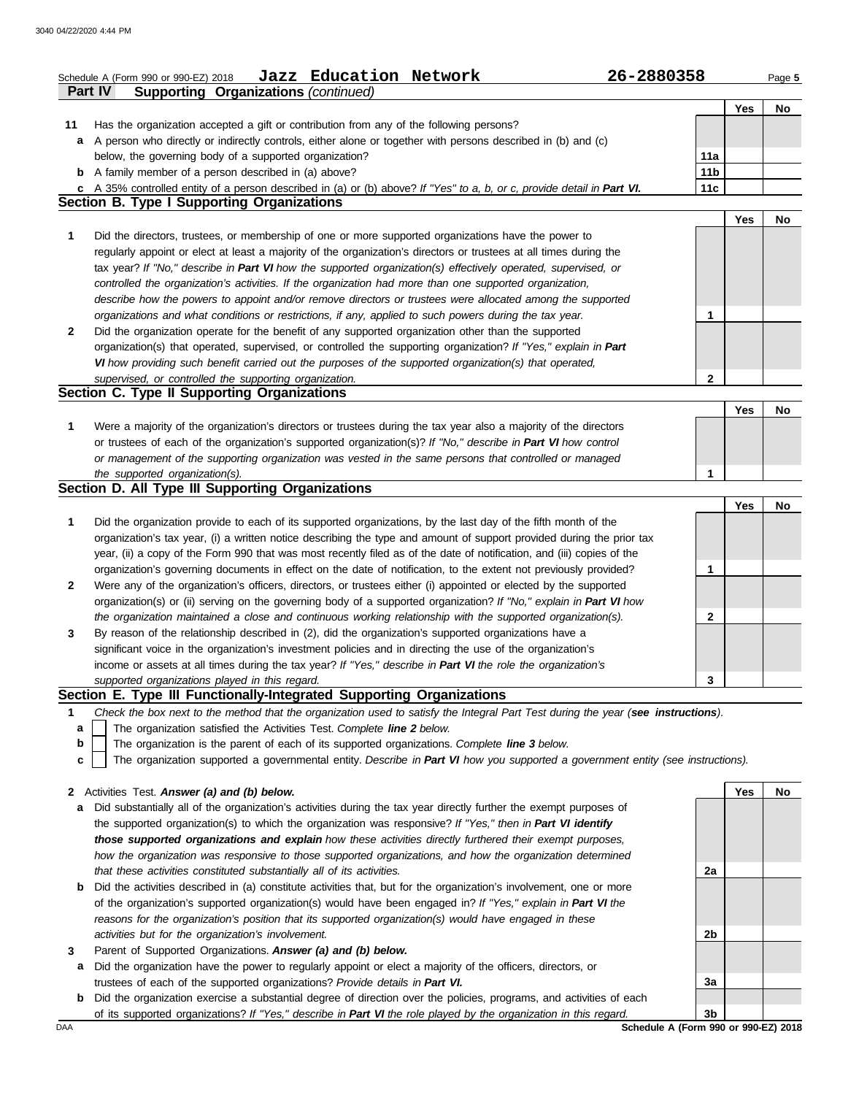|              | Jazz Education Network<br>Schedule A (Form 990 or 990-EZ) 2018                                                                                                 | 26-2880358      |            | Page 5    |
|--------------|----------------------------------------------------------------------------------------------------------------------------------------------------------------|-----------------|------------|-----------|
|              | <b>Supporting Organizations (continued)</b><br><b>Part IV</b>                                                                                                  |                 | Yes        | No        |
| 11           | Has the organization accepted a gift or contribution from any of the following persons?                                                                        |                 |            |           |
| a            | A person who directly or indirectly controls, either alone or together with persons described in (b) and (c)                                                   |                 |            |           |
|              | below, the governing body of a supported organization?                                                                                                         | 11a             |            |           |
|              | <b>b</b> A family member of a person described in (a) above?                                                                                                   | 11 <sub>b</sub> |            |           |
|              | c A 35% controlled entity of a person described in (a) or (b) above? If "Yes" to a, b, or c, provide detail in Part VI.                                        | 11c             |            |           |
|              | Section B. Type I Supporting Organizations                                                                                                                     |                 |            |           |
|              |                                                                                                                                                                |                 | Yes        | No        |
| 1            | Did the directors, trustees, or membership of one or more supported organizations have the power to                                                            |                 |            |           |
|              | regularly appoint or elect at least a majority of the organization's directors or trustees at all times during the                                             |                 |            |           |
|              | tax year? If "No," describe in Part VI how the supported organization(s) effectively operated, supervised, or                                                  |                 |            |           |
|              | controlled the organization's activities. If the organization had more than one supported organization,                                                        |                 |            |           |
|              | describe how the powers to appoint and/or remove directors or trustees were allocated among the supported                                                      |                 |            |           |
|              | organizations and what conditions or restrictions, if any, applied to such powers during the tax year.                                                         | 1               |            |           |
| $\mathbf{2}$ | Did the organization operate for the benefit of any supported organization other than the supported                                                            |                 |            |           |
|              | organization(s) that operated, supervised, or controlled the supporting organization? If "Yes," explain in Part                                                |                 |            |           |
|              | VI how providing such benefit carried out the purposes of the supported organization(s) that operated,                                                         |                 |            |           |
|              | supervised, or controlled the supporting organization.                                                                                                         | 2               |            |           |
|              | Section C. Type II Supporting Organizations                                                                                                                    |                 |            |           |
|              |                                                                                                                                                                |                 | Yes        | <b>No</b> |
| 1            | Were a majority of the organization's directors or trustees during the tax year also a majority of the directors                                               |                 |            |           |
|              | or trustees of each of the organization's supported organization(s)? If "No," describe in Part VI how control                                                  |                 |            |           |
|              | or management of the supporting organization was vested in the same persons that controlled or managed                                                         |                 |            |           |
|              | the supported organization(s).                                                                                                                                 | 1               |            |           |
|              | Section D. All Type III Supporting Organizations                                                                                                               |                 |            |           |
|              |                                                                                                                                                                |                 | <b>Yes</b> | No        |
| 1            | Did the organization provide to each of its supported organizations, by the last day of the fifth month of the                                                 |                 |            |           |
|              | organization's tax year, (i) a written notice describing the type and amount of support provided during the prior tax                                          |                 |            |           |
|              | year, (ii) a copy of the Form 990 that was most recently filed as of the date of notification, and (iii) copies of the                                         |                 |            |           |
|              | organization's governing documents in effect on the date of notification, to the extent not previously provided?                                               | 1               |            |           |
| 2            | Were any of the organization's officers, directors, or trustees either (i) appointed or elected by the supported                                               |                 |            |           |
|              | organization(s) or (ii) serving on the governing body of a supported organization? If "No," explain in Part VI how                                             |                 |            |           |
|              | the organization maintained a close and continuous working relationship with the supported organization(s).                                                    | 2               |            |           |
| 3            | By reason of the relationship described in (2), did the organization's supported organizations have a                                                          |                 |            |           |
|              | significant voice in the organization's investment policies and in directing the use of the organization's                                                     |                 |            |           |
|              | income or assets at all times during the tax year? If "Yes," describe in Part VI the role the organization's<br>supported organizations played in this regard. | 3               |            |           |
|              | Section E. Type III Functionally-Integrated Supporting Organizations                                                                                           |                 |            |           |
| 1            | Check the box next to the method that the organization used to satisfy the Integral Part Test during the year (see instructions).                              |                 |            |           |
| a            | The organization satisfied the Activities Test. Complete line 2 below.                                                                                         |                 |            |           |
| b            | The organization is the parent of each of its supported organizations. Complete line 3 below.                                                                  |                 |            |           |
| c            | The organization supported a governmental entity. Describe in Part VI how you supported a government entity (see instructions).                                |                 |            |           |
|              |                                                                                                                                                                |                 |            |           |
| $\mathbf{2}$ | Activities Test. Answer (a) and (b) below.                                                                                                                     |                 | Yes        | No        |
| а            | Did substantially all of the organization's activities during the tax year directly further the exempt purposes of                                             |                 |            |           |
|              | the supported organization(s) to which the organization was responsive? If "Yes," then in Part VI identify                                                     |                 |            |           |
|              | those supported organizations and explain how these activities directly furthered their exempt purposes,                                                       |                 |            |           |
|              | how the organization was responsive to those supported organizations, and how the organization determined                                                      |                 |            |           |
|              | that these activities constituted substantially all of its activities.                                                                                         | 2a              |            |           |
| b            | Did the activities described in (a) constitute activities that, but for the organization's involvement, one or more                                            |                 |            |           |
|              | of the organization's supported organization(s) would have been engaged in? If "Yes," explain in Part VI the                                                   |                 |            |           |
|              | reasons for the organization's position that its supported organization(s) would have engaged in these                                                         |                 |            |           |
|              | activities but for the organization's involvement.                                                                                                             | 2b              |            |           |
| 3            | Parent of Supported Organizations. Answer (a) and (b) below.                                                                                                   |                 |            |           |

- **a** Did the organization have the power to regularly appoint or elect a majority of the officers, directors, or trustees of each of the supported organizations? *Provide details in Part VI.*
- **b** Did the organization exercise a substantial degree of direction over the policies, programs, and activities of each of its supported organizations? *If "Yes," describe in Part VI the role played by the organization in this regard.* **3b**

DAA **Schedule A (Form 990 or 990-EZ) 2018**

**3a**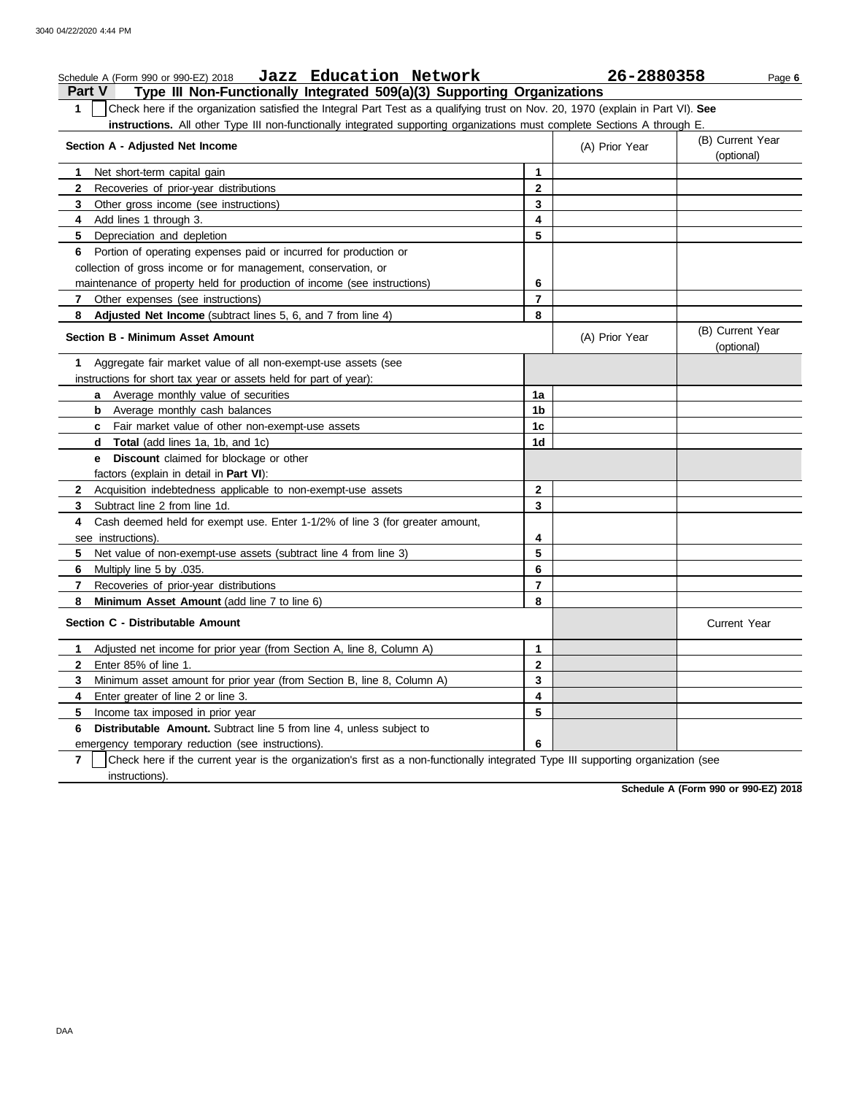#### **Part V Type III Non-Functionally Integrated 509(a)(3) Supporting Organizations** Schedule A (Form 990 or 990-EZ) 2018 Page **6 Jazz Education Network 26-2880358 1** Check here if the organization satisfied the Integral Part Test as a qualifying trust on Nov. 20, 1970 (explain in Part VI). **See instructions.** All other Type III non-functionally integrated supporting organizations must complete Sections A through E. **1** Net short-term capital gain **2** Recoveries of prior-year distributions **3 4** Add lines 1 through 3. **5** Depreciation and depletion **6** Portion of operating expenses paid or incurred for production or **7** Other expenses (see instructions) **8 Adjusted Net Income** (subtract lines 5, 6, and 7 from line 4) **1** Aggregate fair market value of all non-exempt-use assets (see **Section A - Adjusted Net Income** Other gross income (see instructions) collection of gross income or for management, conservation, or maintenance of property held for production of income (see instructions) **Section B - Minimum Asset Amount** instructions for short tax year or assets held for part of year): **a** Average monthly value of securities **b** Average monthly cash balances **c** Fair market value of other non-exempt-use assets **d Total** (add lines 1a, 1b, and 1c) **e Discount** claimed for blockage or other factors (explain in detail in **Part VI**): **8 Minimum Asset Amount** (add line 7 to line 6) **7 6** Multiply line 5 by .035. **5** Net value of non-exempt-use assets (subtract line 4 from line 3) **4** Cash deemed held for exempt use. Enter 1-1/2% of line 3 (for greater amount, **3** Subtract line 2 from line 1d. **2** Acquisition indebtedness applicable to non-exempt-use assets see instructions). Recoveries of prior-year distributions **Section C - Distributable Amount 4** Enter greater of line 2 or line 3. **3 2** Enter 85% of line 1. **1** Adjusted net income for prior year (from Section A, line 8, Column A) Minimum asset amount for prior year (from Section B, line 8, Column A) **8 7 6 5 4 3 2 1** (A) Prior Year (B) Current Year (optional) (optional) (B) Current Year (A) Prior Year **1a 1b 1c 1d 2 3 4 5 6 7 8 3 2 1 4** Current Year

**7 6 Distributable Amount.** Subtract line 5 from line 4, unless subject to emergency temporary reduction (see instructions). instructions). Check here if the current year is the organization's first as a non-functionally integrated Type III supporting organization (see **6**

**5**

**Schedule A (Form 990 or 990-EZ) 2018**

**5** Income tax imposed in prior year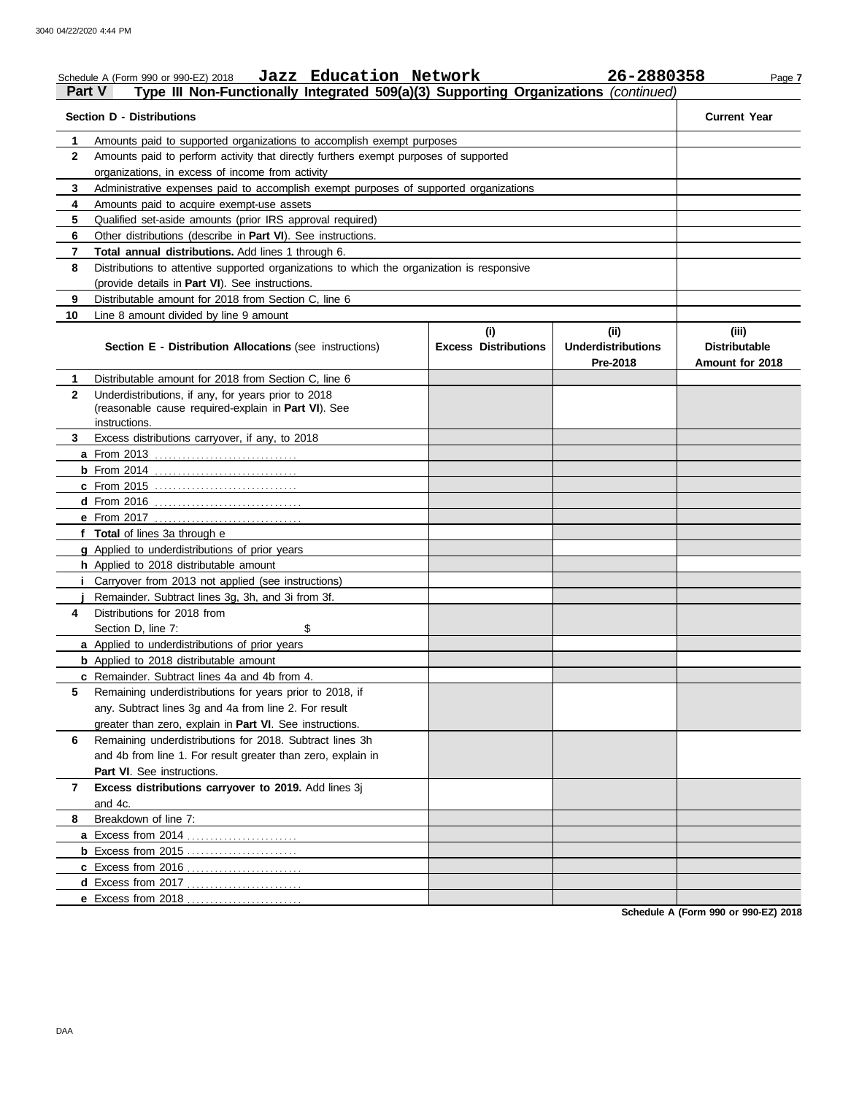### Schedule A (Form 990 or 990-EZ) 2018 Page **7 Jazz Education Network 26-2880358 Part V Type III Non-Functionally Integrated 509(a)(3) Supporting Organizations** *(continued)* **Section D - Distributions Current Year 1 2 3 4 5 6 7 8 9 10** Amounts paid to supported organizations to accomplish exempt purposes Amounts paid to perform activity that directly furthers exempt purposes of supported organizations, in excess of income from activity Administrative expenses paid to accomplish exempt purposes of supported organizations Amounts paid to acquire exempt-use assets Qualified set-aside amounts (prior IRS approval required) Other distributions (describe in **Part VI**). See instructions. **Total annual distributions.** Add lines 1 through 6. Distributions to attentive supported organizations to which the organization is responsive (provide details in **Part VI**). See instructions. Distributable amount for 2018 from Section C, line 6 Line 8 amount divided by line 9 amount **Section E - Distribution Allocations** (see instructions) **Excess Distributions (i) (ii) Underdistributions Pre-2018 (iii) Distributable Amount for 2018 8** Breakdown of line 7: **7 Excess distributions carryover to 2019.** Add lines 3j **6** Remaining underdistributions for 2018. Subtract lines 3h **5 4** Distributions for 2018 from **3** Excess distributions carryover, if any, to 2018 **2 1 a** From 2013 . . . . . . . . . . . . . . . . . . . . . . . . . . . . . . . **b** From 2014 . . . . . . . . . . . . . . . . . . . . . . . . . . . . . . . **c** From 2015 . . . . . . . . . . . . . . . . . . . . . . . . . . . . . . . **d** From 2016 . . . . . . . . . . . . . . . . . . . . . . . . . . . . . . . . **e** From 2017 . . . . . . . . . . . . . . . . . . . . . . . . . . . . . . . . **f Total** of lines 3a through e **g** Applied to underdistributions of prior years **h** Applied to 2018 distributable amount **i** Carryover from 2013 not applied (see instructions) **j** Remainder. Subtract lines 3g, 3h, and 3i from 3f. **a** Applied to underdistributions of prior years **b** Applied to 2018 distributable amount **c** Remainder. Subtract lines 4a and 4b from 4. **a** Excess from 2014 . . . . . . . . . . . . . . . . . . . . . . . . **b** Excess from 2015 . . . . . . . . . . . . . . . . . . . . . . . . **c** Excess from 2016 . . . . . . . . . . . . . . . . . . . . . . . . . **d** Excess from 2017 . . . . . . . . . . . . . . . . . . . . . . . . . Distributable amount for 2018 from Section C, line 6 Underdistributions, if any, for years prior to 2018 (reasonable cause required-explain in **Part VI**). See Section D, line 7: \$ Remaining underdistributions for years prior to 2018, if any. Subtract lines 3g and 4a from line 2. For result greater than zero, explain in **Part VI**. See instructions. and 4b from line 1. For result greater than zero, explain in Part VI. See instructions. and 4c. instructions.

**Schedule A (Form 990 or 990-EZ) 2018**

**e** Excess from 2018 . . . . . . . . . . . . . . . . . . . . . . . . .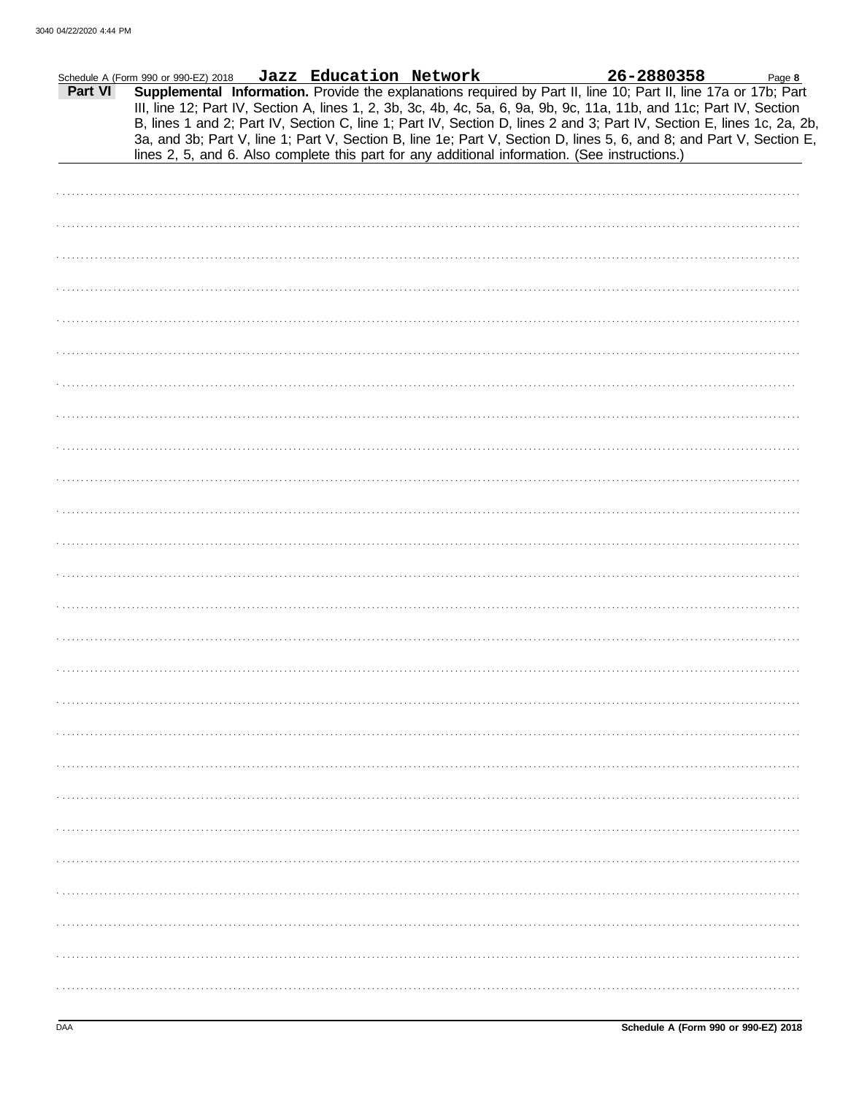|         | Schedule A (Form 990 or 990-EZ) 2018  Jazz Education Network |  |                                                                                                                                                                                                                                                                                                                                                                                                                                                                                           | 26-2880358 | Page 8 |
|---------|--------------------------------------------------------------|--|-------------------------------------------------------------------------------------------------------------------------------------------------------------------------------------------------------------------------------------------------------------------------------------------------------------------------------------------------------------------------------------------------------------------------------------------------------------------------------------------|------------|--------|
| Part VI |                                                              |  | Supplemental Information. Provide the explanations required by Part II, line 10; Part II, line 17a or 17b; Part<br>III, line 12; Part IV, Section A, lines 1, 2, 3b, 3c, 4b, 4c, 5a, 6, 9a, 9b, 9c, 11a, 11b, and 11c; Part IV, Section<br>B, lines 1 and 2; Part IV, Section C, line 1; Part IV, Section D, lines 2 and 3; Part IV, Section E, lines 1c, 2a, 2b,<br>3a, and 3b; Part V, line 1; Part V, Section B, line 1e; Part V, Section D, lines 5, 6, and 8; and Part V, Section E, |            |        |
|         |                                                              |  | lines 2, 5, and 6. Also complete this part for any additional information. (See instructions.)                                                                                                                                                                                                                                                                                                                                                                                            |            |        |
|         |                                                              |  |                                                                                                                                                                                                                                                                                                                                                                                                                                                                                           |            |        |
|         |                                                              |  |                                                                                                                                                                                                                                                                                                                                                                                                                                                                                           |            |        |
|         |                                                              |  |                                                                                                                                                                                                                                                                                                                                                                                                                                                                                           |            |        |
|         |                                                              |  |                                                                                                                                                                                                                                                                                                                                                                                                                                                                                           |            |        |
|         |                                                              |  |                                                                                                                                                                                                                                                                                                                                                                                                                                                                                           |            |        |
|         |                                                              |  |                                                                                                                                                                                                                                                                                                                                                                                                                                                                                           |            |        |
|         |                                                              |  |                                                                                                                                                                                                                                                                                                                                                                                                                                                                                           |            |        |
|         |                                                              |  |                                                                                                                                                                                                                                                                                                                                                                                                                                                                                           |            |        |
|         |                                                              |  |                                                                                                                                                                                                                                                                                                                                                                                                                                                                                           |            |        |
|         |                                                              |  |                                                                                                                                                                                                                                                                                                                                                                                                                                                                                           |            |        |
|         |                                                              |  |                                                                                                                                                                                                                                                                                                                                                                                                                                                                                           |            |        |
|         |                                                              |  |                                                                                                                                                                                                                                                                                                                                                                                                                                                                                           |            |        |
|         |                                                              |  |                                                                                                                                                                                                                                                                                                                                                                                                                                                                                           |            |        |
|         |                                                              |  |                                                                                                                                                                                                                                                                                                                                                                                                                                                                                           |            |        |
|         |                                                              |  |                                                                                                                                                                                                                                                                                                                                                                                                                                                                                           |            |        |
|         |                                                              |  |                                                                                                                                                                                                                                                                                                                                                                                                                                                                                           |            |        |
|         |                                                              |  |                                                                                                                                                                                                                                                                                                                                                                                                                                                                                           |            |        |
|         |                                                              |  |                                                                                                                                                                                                                                                                                                                                                                                                                                                                                           |            |        |
|         |                                                              |  |                                                                                                                                                                                                                                                                                                                                                                                                                                                                                           |            |        |
|         |                                                              |  |                                                                                                                                                                                                                                                                                                                                                                                                                                                                                           |            |        |
|         |                                                              |  |                                                                                                                                                                                                                                                                                                                                                                                                                                                                                           |            |        |
|         |                                                              |  |                                                                                                                                                                                                                                                                                                                                                                                                                                                                                           |            |        |
|         |                                                              |  |                                                                                                                                                                                                                                                                                                                                                                                                                                                                                           |            |        |
|         |                                                              |  |                                                                                                                                                                                                                                                                                                                                                                                                                                                                                           |            |        |
|         |                                                              |  |                                                                                                                                                                                                                                                                                                                                                                                                                                                                                           |            |        |
|         |                                                              |  |                                                                                                                                                                                                                                                                                                                                                                                                                                                                                           |            |        |
|         |                                                              |  |                                                                                                                                                                                                                                                                                                                                                                                                                                                                                           |            |        |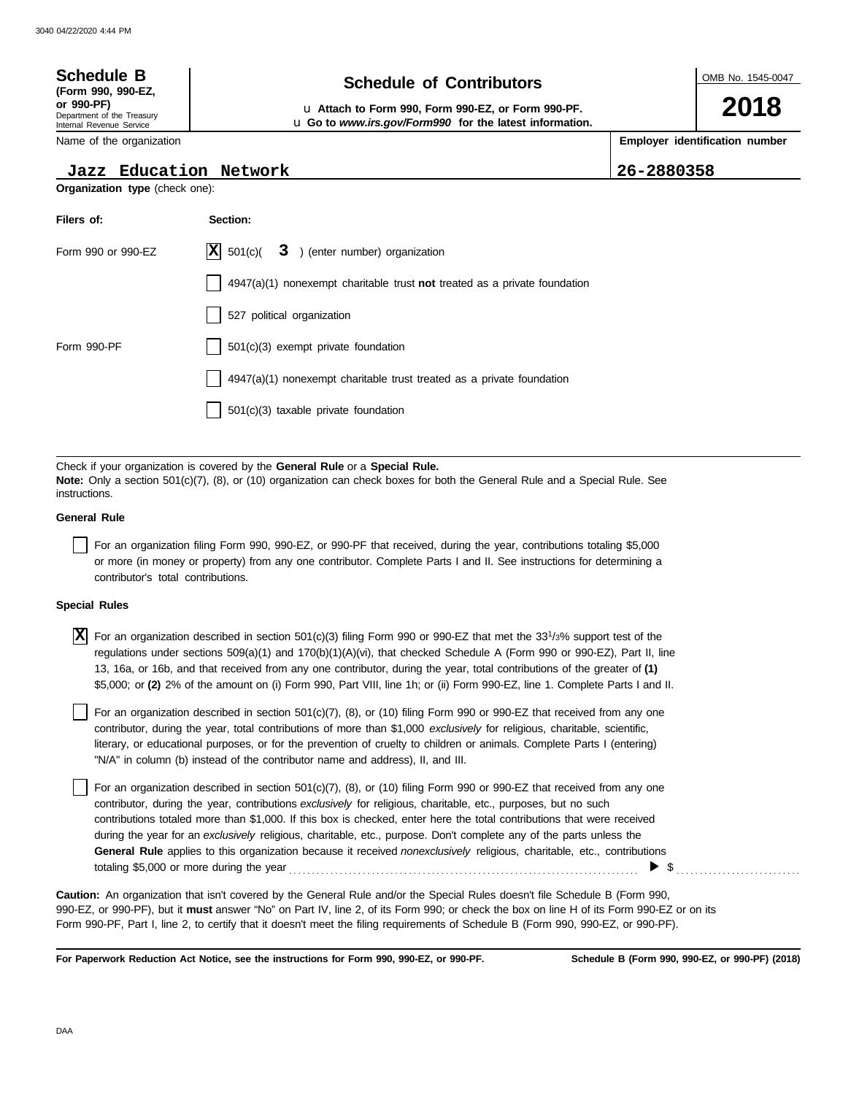| <b>Schedule B</b><br>(Form 990, 990-EZ,                              | <b>Schedule of Contributors</b>                                                                               |            | OMB No. 1545-0047 |  |  |
|----------------------------------------------------------------------|---------------------------------------------------------------------------------------------------------------|------------|-------------------|--|--|
| or 990-PF)<br>Department of the Treasury<br>Internal Revenue Service | u Attach to Form 990, Form 990-EZ, or Form 990-PF.<br>u Go to www.irs.gov/Form990 for the latest information. |            | 2018              |  |  |
| Name of the organization                                             | Employer identification number                                                                                |            |                   |  |  |
| Jazz Education Network<br>Organization type (check one):             |                                                                                                               | 26-2880358 |                   |  |  |
| Filers of:                                                           | Section:                                                                                                      |            |                   |  |  |

| Form 990 or 990-EZ | $ \mathbf{X} $ 501(c)( $3$ ) (enter number) organization                           |
|--------------------|------------------------------------------------------------------------------------|
|                    | $4947(a)(1)$ nonexempt charitable trust <b>not</b> treated as a private foundation |
|                    | 527 political organization                                                         |
| Form 990-PF        | $501(c)(3)$ exempt private foundation                                              |
|                    | 4947(a)(1) nonexempt charitable trust treated as a private foundation              |
|                    | $501(c)(3)$ taxable private foundation                                             |
|                    |                                                                                    |

Check if your organization is covered by the **General Rule** or a **Special Rule. Note:** Only a section 501(c)(7), (8), or (10) organization can check boxes for both the General Rule and a Special Rule. See instructions.

### **General Rule**

For an organization filing Form 990, 990-EZ, or 990-PF that received, during the year, contributions totaling \$5,000 or more (in money or property) from any one contributor. Complete Parts I and II. See instructions for determining a contributor's total contributions.

## **Special Rules**

 $\overline{X}$  For an organization described in section 501(c)(3) filing Form 990 or 990-EZ that met the 33<sup>1</sup>/3% support test of the regulations under sections 509(a)(1) and 170(b)(1)(A)(vi), that checked Schedule A (Form 990 or 990-EZ), Part II, line 13, 16a, or 16b, and that received from any one contributor, during the year, total contributions of the greater of **(1)** \$5,000; or **(2)** 2% of the amount on (i) Form 990, Part VIII, line 1h; or (ii) Form 990-EZ, line 1. Complete Parts I and II.

literary, or educational purposes, or for the prevention of cruelty to children or animals. Complete Parts I (entering) For an organization described in section 501(c)(7), (8), or (10) filing Form 990 or 990-EZ that received from any one contributor, during the year, total contributions of more than \$1,000 *exclusively* for religious, charitable, scientific, "N/A" in column (b) instead of the contributor name and address), II, and III.

For an organization described in section 501(c)(7), (8), or (10) filing Form 990 or 990-EZ that received from any one contributor, during the year, contributions *exclusively* for religious, charitable, etc., purposes, but no such contributions totaled more than \$1,000. If this box is checked, enter here the total contributions that were received during the year for an *exclusively* religious, charitable, etc., purpose. Don't complete any of the parts unless the **General Rule** applies to this organization because it received *nonexclusively* religious, charitable, etc., contributions totaling \$5,000 or more during the year . . . . . . . . . . . . . . . . . . . . . . . . . . . . . . . . . . . . . . . . . . . . . . . . . . . . . . . . . . . . . . . . . . . . . . . . . . . .  $\triangleright$  \$

990-EZ, or 990-PF), but it **must** answer "No" on Part IV, line 2, of its Form 990; or check the box on line H of its Form 990-EZ or on its Form 990-PF, Part I, line 2, to certify that it doesn't meet the filing requirements of Schedule B (Form 990, 990-EZ, or 990-PF). **Caution:** An organization that isn't covered by the General Rule and/or the Special Rules doesn't file Schedule B (Form 990,

**For Paperwork Reduction Act Notice, see the instructions for Form 990, 990-EZ, or 990-PF.**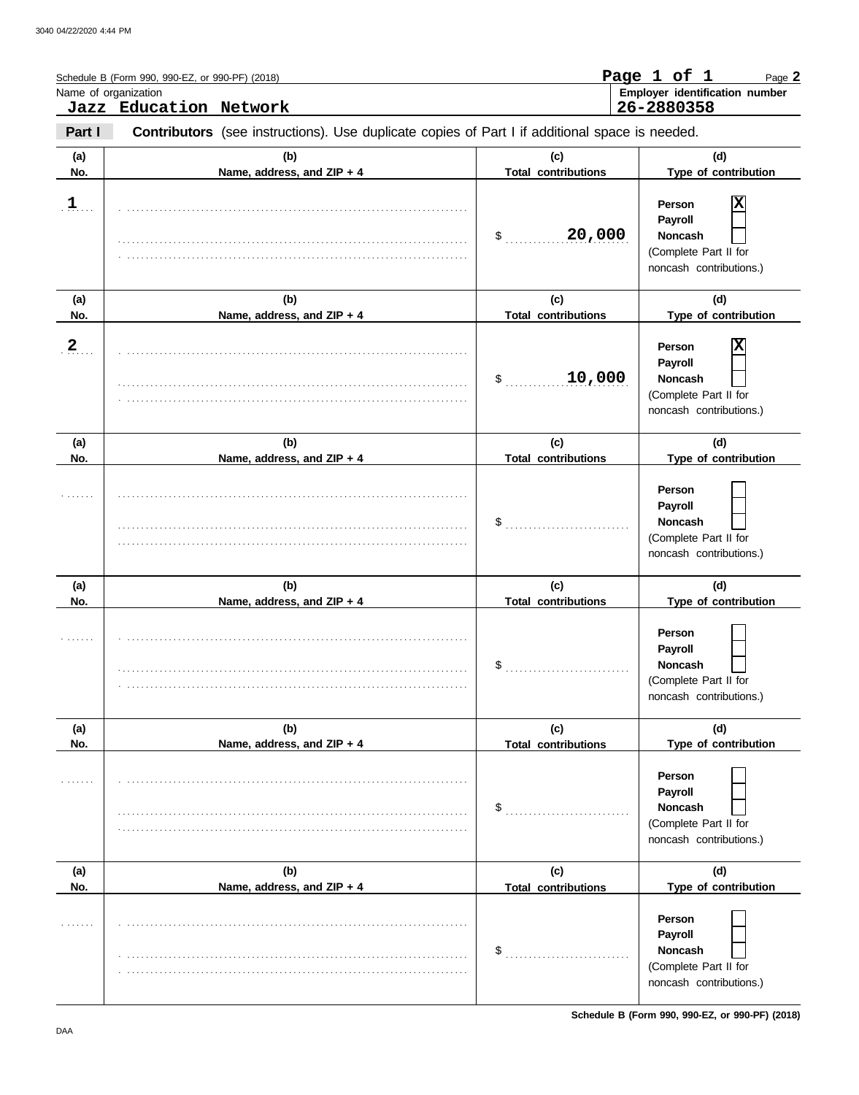|                      | Schedule B (Form 990, 990-EZ, or 990-PF) (2018)                                                |                                   | Page 1 of 1<br>Page 2                                                                   |
|----------------------|------------------------------------------------------------------------------------------------|-----------------------------------|-----------------------------------------------------------------------------------------|
| Name of organization | Jazz Education Network                                                                         |                                   | Employer identification number<br>26-2880358                                            |
| Part I               | Contributors (see instructions). Use duplicate copies of Part I if additional space is needed. |                                   |                                                                                         |
| (a)<br>No.           | (b)<br>Name, address, and ZIP + 4                                                              | (c)<br><b>Total contributions</b> | (d)<br>Type of contribution                                                             |
| $\mathbf{1}$         |                                                                                                | 20,000<br>$\sim$                  | Person<br>Payroll<br><b>Noncash</b><br>(Complete Part II for<br>noncash contributions.) |
| (a)<br>No.           | (b)<br>Name, address, and ZIP + 4                                                              | (c)<br><b>Total contributions</b> | (d)<br>Type of contribution                                                             |
| $\boldsymbol{2}$     |                                                                                                | 10,000<br>$\sim$                  | Person<br>Payroll<br><b>Noncash</b><br>(Complete Part II for<br>noncash contributions.) |
| (a)<br>No.           | (b)<br>Name, address, and ZIP + 4                                                              | (c)<br><b>Total contributions</b> | (d)<br>Type of contribution                                                             |
|                      |                                                                                                | \$                                | Person<br>Payroll<br><b>Noncash</b><br>(Complete Part II for<br>noncash contributions.) |
| (a)<br>No.           | (b)<br>Name, address, and ZIP + 4                                                              | (c)<br><b>Total contributions</b> | (d)<br>Type of contribution                                                             |
|                      |                                                                                                | \$                                | Person<br>Payroll<br>Noncash<br>(Complete Part II for<br>noncash contributions.)        |
| (a)<br>No.           | (b)<br>Name, address, and ZIP + 4                                                              | (c)<br><b>Total contributions</b> | (d)<br>Type of contribution                                                             |
|                      |                                                                                                | \$                                | Person<br>Payroll<br>Noncash<br>(Complete Part II for<br>noncash contributions.)        |
| (a)<br>No.           | (b)<br>Name, address, and ZIP + 4                                                              | (c)<br><b>Total contributions</b> | (d)<br>Type of contribution                                                             |
|                      |                                                                                                | \$                                | Person<br>Payroll<br><b>Noncash</b><br>(Complete Part II for<br>noncash contributions.) |

**Schedule B (Form 990, 990-EZ, or 990-PF) (2018)**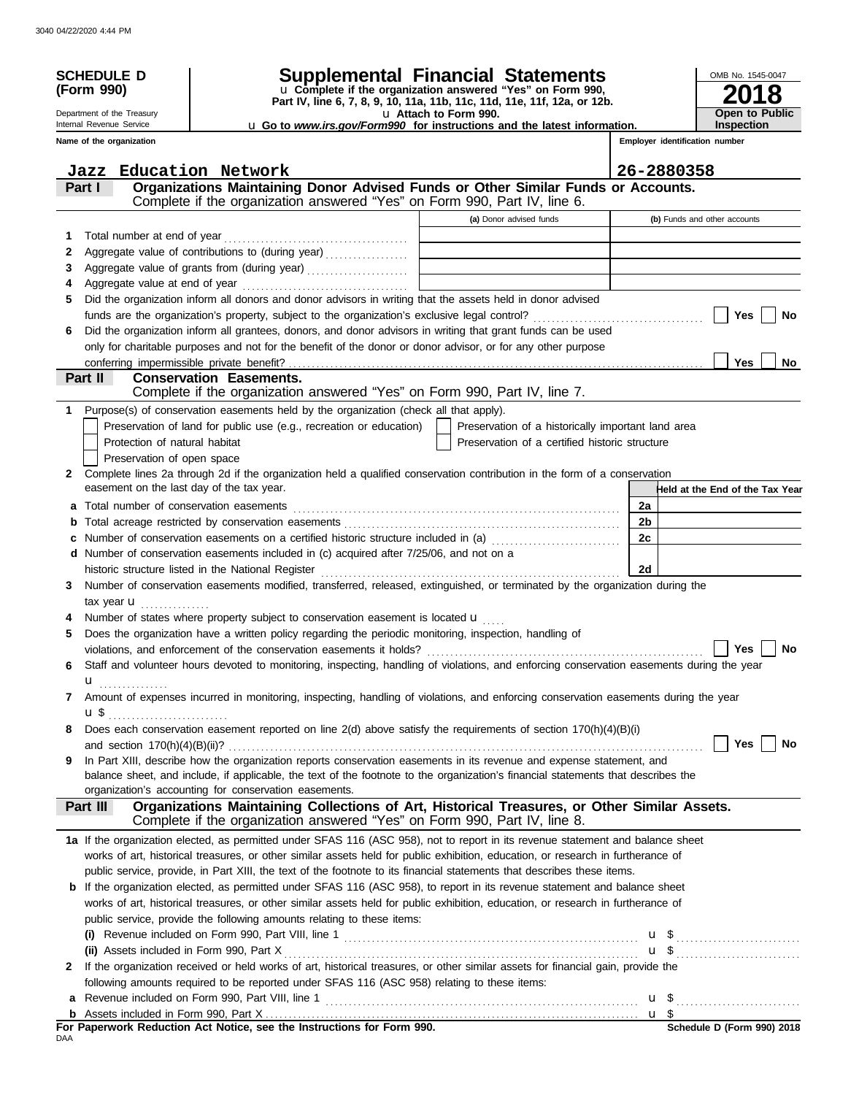|   | <b>SCHEDULE D</b>                                    |                                                                                                                                                                           |                                                                                                   |                | OMB No. 1545-0047               |  |  |
|---|------------------------------------------------------|---------------------------------------------------------------------------------------------------------------------------------------------------------------------------|---------------------------------------------------------------------------------------------------|----------------|---------------------------------|--|--|
|   | (Form 990)                                           |                                                                                                                                                                           | Supplemental Financial Statements<br>u Complete if the organization answered "Yes" on Form 990,   |                |                                 |  |  |
|   | Department of the Treasury                           |                                                                                                                                                                           | Part IV, line 6, 7, 8, 9, 10, 11a, 11b, 11c, 11d, 11e, 11f, 12a, or 12b.<br>u Attach to Form 990. |                | <b>Open to Public</b>           |  |  |
|   | Internal Revenue Service                             |                                                                                                                                                                           | u Go to www.irs.gov/Form990 for instructions and the latest information.                          |                | <b>Inspection</b>               |  |  |
|   | Name of the organization                             |                                                                                                                                                                           |                                                                                                   |                | Emplover identification number  |  |  |
|   | Jazz                                                 | <b>Education Network</b>                                                                                                                                                  |                                                                                                   | 26-2880358     |                                 |  |  |
|   | Part I                                               | Organizations Maintaining Donor Advised Funds or Other Similar Funds or Accounts.                                                                                         |                                                                                                   |                |                                 |  |  |
|   |                                                      | Complete if the organization answered "Yes" on Form 990, Part IV, line 6.                                                                                                 |                                                                                                   |                |                                 |  |  |
|   |                                                      |                                                                                                                                                                           | (a) Donor advised funds                                                                           |                | (b) Funds and other accounts    |  |  |
| 1 |                                                      |                                                                                                                                                                           |                                                                                                   |                |                                 |  |  |
| 2 |                                                      | Aggregate value of contributions to (during year) [[11][11][11][11] Aggregate value of contributions to (during year)                                                     |                                                                                                   |                |                                 |  |  |
| 3 |                                                      |                                                                                                                                                                           |                                                                                                   |                |                                 |  |  |
| 4 |                                                      |                                                                                                                                                                           |                                                                                                   |                |                                 |  |  |
| 5 |                                                      | Did the organization inform all donors and donor advisors in writing that the assets held in donor advised                                                                |                                                                                                   |                |                                 |  |  |
|   |                                                      |                                                                                                                                                                           |                                                                                                   |                | Yes<br>No                       |  |  |
| 6 |                                                      | Did the organization inform all grantees, donors, and donor advisors in writing that grant funds can be used                                                              |                                                                                                   |                |                                 |  |  |
|   |                                                      | only for charitable purposes and not for the benefit of the donor or donor advisor, or for any other purpose                                                              |                                                                                                   |                | <b>Yes</b>                      |  |  |
|   | conferring impermissible private benefit?<br>Part II | <b>Conservation Easements.</b>                                                                                                                                            |                                                                                                   |                | No.                             |  |  |
|   |                                                      | Complete if the organization answered "Yes" on Form 990, Part IV, line 7.                                                                                                 |                                                                                                   |                |                                 |  |  |
| 1 |                                                      | Purpose(s) of conservation easements held by the organization (check all that apply).                                                                                     |                                                                                                   |                |                                 |  |  |
|   |                                                      | Preservation of land for public use (e.g., recreation or education)                                                                                                       | Preservation of a historically important land area                                                |                |                                 |  |  |
|   | Protection of natural habitat                        |                                                                                                                                                                           | Preservation of a certified historic structure                                                    |                |                                 |  |  |
|   | Preservation of open space                           |                                                                                                                                                                           |                                                                                                   |                |                                 |  |  |
| 2 |                                                      | Complete lines 2a through 2d if the organization held a qualified conservation contribution in the form of a conservation                                                 |                                                                                                   |                |                                 |  |  |
|   | easement on the last day of the tax year.            |                                                                                                                                                                           |                                                                                                   |                | Held at the End of the Tax Year |  |  |
| a |                                                      |                                                                                                                                                                           |                                                                                                   | 2a             |                                 |  |  |
|   |                                                      |                                                                                                                                                                           |                                                                                                   | 2 <sub>b</sub> |                                 |  |  |
|   |                                                      | Number of conservation easements on a certified historic structure included in (a)                                                                                        |                                                                                                   | 2c             |                                 |  |  |
| d |                                                      | Number of conservation easements included in (c) acquired after 7/25/06, and not on a                                                                                     |                                                                                                   |                |                                 |  |  |
|   |                                                      | historic structure listed in the National Register                                                                                                                        |                                                                                                   | 2d             |                                 |  |  |
| 3 |                                                      | Number of conservation easements modified, transferred, released, extinguished, or terminated by the organization during the                                              |                                                                                                   |                |                                 |  |  |
|   | tax year <b>u</b><br>.                               |                                                                                                                                                                           |                                                                                                   |                |                                 |  |  |
| 4 |                                                      | Number of states where property subject to conservation easement is located u                                                                                             |                                                                                                   |                |                                 |  |  |
| 5 |                                                      | Does the organization have a written policy regarding the periodic monitoring, inspection, handling of                                                                    |                                                                                                   |                | $\Box$ Yes $\lceil \ \vert$ No  |  |  |
| 6 |                                                      | Staff and volunteer hours devoted to monitoring, inspecting, handling of violations, and enforcing conservation easements during the year                                 |                                                                                                   |                |                                 |  |  |
|   | u                                                    |                                                                                                                                                                           |                                                                                                   |                |                                 |  |  |
| 7 | .                                                    | Amount of expenses incurred in monitoring, inspecting, handling of violations, and enforcing conservation easements during the year                                       |                                                                                                   |                |                                 |  |  |
|   | u \$                                                 |                                                                                                                                                                           |                                                                                                   |                |                                 |  |  |
| 8 |                                                      | Does each conservation easement reported on line 2(d) above satisfy the requirements of section 170(h)(4)(B)(i)                                                           |                                                                                                   |                |                                 |  |  |
|   |                                                      |                                                                                                                                                                           |                                                                                                   |                | Yes<br>No                       |  |  |
| 9 |                                                      | In Part XIII, describe how the organization reports conservation easements in its revenue and expense statement, and                                                      |                                                                                                   |                |                                 |  |  |
|   |                                                      | balance sheet, and include, if applicable, the text of the footnote to the organization's financial statements that describes the                                         |                                                                                                   |                |                                 |  |  |
|   |                                                      | organization's accounting for conservation easements.                                                                                                                     |                                                                                                   |                |                                 |  |  |
|   | Part III                                             | Organizations Maintaining Collections of Art, Historical Treasures, or Other Similar Assets.<br>Complete if the organization answered "Yes" on Form 990, Part IV, line 8. |                                                                                                   |                |                                 |  |  |
|   |                                                      | 1a If the organization elected, as permitted under SFAS 116 (ASC 958), not to report in its revenue statement and balance sheet                                           |                                                                                                   |                |                                 |  |  |
|   |                                                      | works of art, historical treasures, or other similar assets held for public exhibition, education, or research in furtherance of                                          |                                                                                                   |                |                                 |  |  |
|   |                                                      | public service, provide, in Part XIII, the text of the footnote to its financial statements that describes these items.                                                   |                                                                                                   |                |                                 |  |  |
|   |                                                      | b If the organization elected, as permitted under SFAS 116 (ASC 958), to report in its revenue statement and balance sheet                                                |                                                                                                   |                |                                 |  |  |
|   |                                                      | works of art, historical treasures, or other similar assets held for public exhibition, education, or research in furtherance of                                          |                                                                                                   |                |                                 |  |  |
|   |                                                      | public service, provide the following amounts relating to these items:                                                                                                    |                                                                                                   |                |                                 |  |  |
|   |                                                      |                                                                                                                                                                           |                                                                                                   |                | $\mathbf{u}$ \$                 |  |  |
|   | (ii) Assets included in Form 990, Part X             |                                                                                                                                                                           |                                                                                                   |                |                                 |  |  |
| 2 |                                                      | If the organization received or held works of art, historical treasures, or other similar assets for financial gain, provide the                                          |                                                                                                   |                |                                 |  |  |
|   |                                                      | following amounts required to be reported under SFAS 116 (ASC 958) relating to these items:                                                                               |                                                                                                   |                |                                 |  |  |
| a |                                                      | Revenue included on Form 990, Part VIII, line 1                                                                                                                           |                                                                                                   |                |                                 |  |  |
|   |                                                      |                                                                                                                                                                           |                                                                                                   |                |                                 |  |  |

**For Paperwork Reduction Act Notice, see the Instructions for Form 990.**<br><sub>DAA</sub>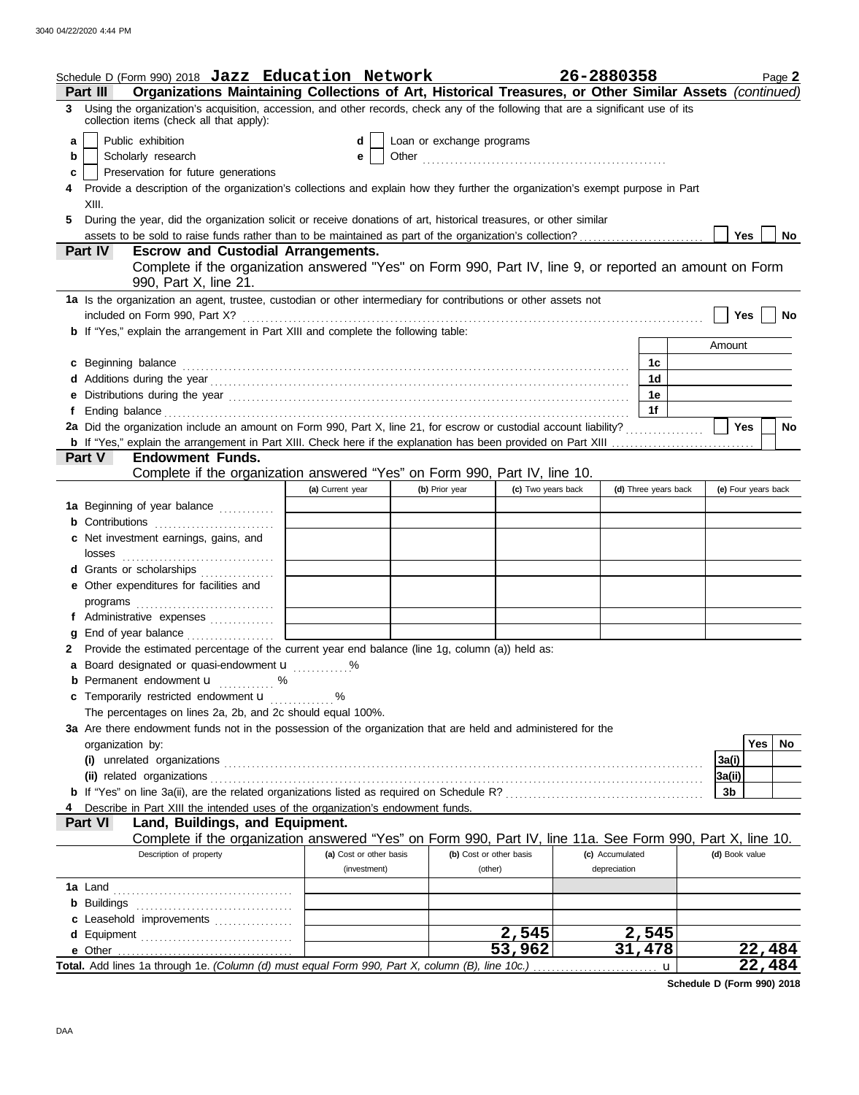| Schedule D (Form 990) 2018 Jazz Education Network                                                                                                  |                                         |                           |                                    | 26-2880358                      | Page 2<br>Organizations Maintaining Collections of Art, Historical Treasures, or Other Similar Assets (continued) |
|----------------------------------------------------------------------------------------------------------------------------------------------------|-----------------------------------------|---------------------------|------------------------------------|---------------------------------|-------------------------------------------------------------------------------------------------------------------|
| Part III<br>Using the organization's acquisition, accession, and other records, check any of the following that are a significant use of its<br>3. |                                         |                           |                                    |                                 |                                                                                                                   |
| collection items (check all that apply):                                                                                                           |                                         |                           |                                    |                                 |                                                                                                                   |
| Public exhibition<br>a                                                                                                                             | d                                       | Loan or exchange programs |                                    |                                 |                                                                                                                   |
| Scholarly research<br>b                                                                                                                            | е                                       |                           |                                    |                                 |                                                                                                                   |
| Preservation for future generations<br>С                                                                                                           |                                         |                           |                                    |                                 |                                                                                                                   |
| Provide a description of the organization's collections and explain how they further the organization's exempt purpose in Part                     |                                         |                           |                                    |                                 |                                                                                                                   |
| XIII.                                                                                                                                              |                                         |                           |                                    |                                 |                                                                                                                   |
| During the year, did the organization solicit or receive donations of art, historical treasures, or other similar<br>5.                            |                                         |                           |                                    |                                 | Yes<br>No                                                                                                         |
| <b>Escrow and Custodial Arrangements.</b><br><b>Part IV</b>                                                                                        |                                         |                           |                                    |                                 |                                                                                                                   |
| Complete if the organization answered "Yes" on Form 990, Part IV, line 9, or reported an amount on Form                                            |                                         |                           |                                    |                                 |                                                                                                                   |
| 990, Part X, line 21.                                                                                                                              |                                         |                           |                                    |                                 |                                                                                                                   |
| 1a Is the organization an agent, trustee, custodian or other intermediary for contributions or other assets not                                    |                                         |                           |                                    |                                 |                                                                                                                   |
| included on Form 990, Part X?                                                                                                                      |                                         |                           |                                    |                                 | <b>Yes</b><br>No                                                                                                  |
| <b>b</b> If "Yes," explain the arrangement in Part XIII and complete the following table:                                                          |                                         |                           |                                    |                                 |                                                                                                                   |
|                                                                                                                                                    |                                         |                           |                                    |                                 | Amount                                                                                                            |
| c Beginning balance                                                                                                                                |                                         |                           |                                    | 1с                              |                                                                                                                   |
|                                                                                                                                                    |                                         |                           |                                    | 1d                              |                                                                                                                   |
|                                                                                                                                                    |                                         |                           |                                    | 1е                              |                                                                                                                   |
| Ť.                                                                                                                                                 |                                         |                           |                                    | 1f                              |                                                                                                                   |
| 2a Did the organization include an amount on Form 990, Part X, line 21, for escrow or custodial account liability?                                 |                                         |                           |                                    |                                 | Yes<br><b>No</b>                                                                                                  |
|                                                                                                                                                    |                                         |                           |                                    |                                 |                                                                                                                   |
| <b>Endowment Funds.</b><br><b>Part V</b><br>Complete if the organization answered "Yes" on Form 990, Part IV, line 10.                             |                                         |                           |                                    |                                 |                                                                                                                   |
|                                                                                                                                                    |                                         |                           |                                    | (d) Three years back            | (e) Four years back                                                                                               |
|                                                                                                                                                    | (a) Current year                        | (b) Prior year            | (c) Two years back                 |                                 |                                                                                                                   |
| 1a Beginning of year balance                                                                                                                       |                                         |                           |                                    |                                 |                                                                                                                   |
| <b>b</b> Contributions                                                                                                                             |                                         |                           |                                    |                                 |                                                                                                                   |
| c Net investment earnings, gains, and                                                                                                              |                                         |                           |                                    |                                 |                                                                                                                   |
| d Grants or scholarships                                                                                                                           |                                         |                           |                                    |                                 |                                                                                                                   |
| e Other expenditures for facilities and                                                                                                            |                                         |                           |                                    |                                 |                                                                                                                   |
|                                                                                                                                                    |                                         |                           |                                    |                                 |                                                                                                                   |
| f Administrative expenses                                                                                                                          |                                         |                           |                                    |                                 |                                                                                                                   |
| End of year balance<br>g                                                                                                                           |                                         |                           |                                    |                                 |                                                                                                                   |
| 2 Provide the estimated percentage of the current year end balance (line 1g, column (a)) held as:                                                  |                                         |                           |                                    |                                 |                                                                                                                   |
| a Board designated or quasi-endowment u %                                                                                                          |                                         |                           |                                    |                                 |                                                                                                                   |
| <b>b</b> Permanent endowment <b>u</b> %                                                                                                            |                                         |                           |                                    |                                 |                                                                                                                   |
| c Temporarily restricted endowment <b>u</b> %                                                                                                      |                                         |                           |                                    |                                 |                                                                                                                   |
| The percentages on lines 2a, 2b, and 2c should equal 100%.                                                                                         |                                         |                           |                                    |                                 |                                                                                                                   |
| 3a Are there endowment funds not in the possession of the organization that are held and administered for the                                      |                                         |                           |                                    |                                 |                                                                                                                   |
| organization by:                                                                                                                                   |                                         |                           |                                    |                                 | Yes  <br>No                                                                                                       |
|                                                                                                                                                    |                                         |                           |                                    |                                 | 3a(i)                                                                                                             |
|                                                                                                                                                    |                                         |                           |                                    |                                 | 3a(ii)                                                                                                            |
|                                                                                                                                                    |                                         |                           |                                    |                                 | 3b                                                                                                                |
| Describe in Part XIII the intended uses of the organization's endowment funds.                                                                     |                                         |                           |                                    |                                 |                                                                                                                   |
| Land, Buildings, and Equipment.<br><b>Part VI</b>                                                                                                  |                                         |                           |                                    |                                 |                                                                                                                   |
| Complete if the organization answered "Yes" on Form 990, Part IV, line 11a. See Form 990, Part X, line 10.                                         |                                         |                           |                                    |                                 |                                                                                                                   |
| Description of property                                                                                                                            | (a) Cost or other basis<br>(investment) |                           | (b) Cost or other basis<br>(other) | (c) Accumulated<br>depreciation | (d) Book value                                                                                                    |
|                                                                                                                                                    |                                         |                           |                                    |                                 |                                                                                                                   |
|                                                                                                                                                    |                                         |                           |                                    |                                 |                                                                                                                   |
| c Leasehold improvements                                                                                                                           |                                         |                           |                                    |                                 |                                                                                                                   |
|                                                                                                                                                    |                                         |                           | 2,545                              | 2,545                           |                                                                                                                   |
|                                                                                                                                                    |                                         |                           | 53,962                             | 31,478                          | 22,484                                                                                                            |
| Total. Add lines 1a through 1e. (Column (d) must equal Form 990, Part X, column (B), line 10c.)                                                    |                                         |                           |                                    | u                               | 22,484                                                                                                            |

**Schedule D (Form 990) 2018**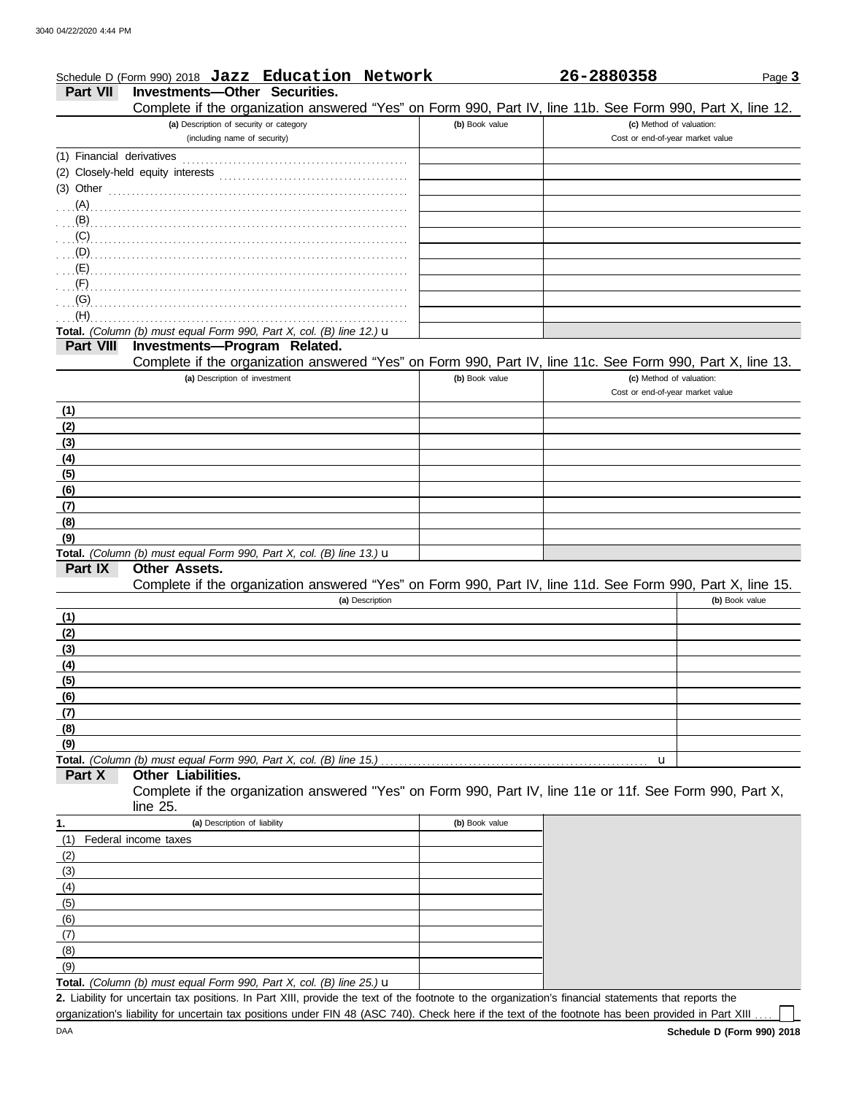|                                                           | Schedule D (Form 990) 2018 Jazz Education Network                                                          |                | 26-2880358                       | Page 3         |
|-----------------------------------------------------------|------------------------------------------------------------------------------------------------------------|----------------|----------------------------------|----------------|
| <b>Part VII</b>                                           | Investments-Other Securities.                                                                              |                |                                  |                |
|                                                           | Complete if the organization answered "Yes" on Form 990, Part IV, line 11b. See Form 990, Part X, line 12. |                |                                  |                |
|                                                           | (a) Description of security or category                                                                    | (b) Book value | (c) Method of valuation:         |                |
|                                                           | (including name of security)                                                                               |                | Cost or end-of-year market value |                |
| (1) Financial derivatives                                 |                                                                                                            |                |                                  |                |
|                                                           | (2) Closely-held equity interests                                                                          |                |                                  |                |
| (3) Other                                                 |                                                                                                            |                |                                  |                |
| $\ldots$ (A) $\ldots$ $\ldots$ $\ldots$ $\ldots$ $\ldots$ |                                                                                                            |                |                                  |                |
| (B)<br>(C)                                                |                                                                                                            |                |                                  |                |
| (D)                                                       |                                                                                                            |                |                                  |                |
| (E)                                                       |                                                                                                            |                |                                  |                |
|                                                           |                                                                                                            |                |                                  |                |
| (G)                                                       |                                                                                                            |                |                                  |                |
| (H)                                                       |                                                                                                            |                |                                  |                |
|                                                           | Total. (Column (b) must equal Form 990, Part X, col. (B) line 12.) $\mathbf u$                             |                |                                  |                |
| <b>Part VIII</b>                                          | Investments-Program Related.                                                                               |                |                                  |                |
|                                                           | Complete if the organization answered "Yes" on Form 990, Part IV, line 11c. See Form 990, Part X, line 13. |                |                                  |                |
|                                                           | (a) Description of investment                                                                              | (b) Book value | (c) Method of valuation:         |                |
|                                                           |                                                                                                            |                | Cost or end-of-year market value |                |
| (1)                                                       |                                                                                                            |                |                                  |                |
| (2)                                                       |                                                                                                            |                |                                  |                |
| (3)                                                       |                                                                                                            |                |                                  |                |
| (4)                                                       |                                                                                                            |                |                                  |                |
| (5)<br>(6)                                                |                                                                                                            |                |                                  |                |
| (7)                                                       |                                                                                                            |                |                                  |                |
| (8)                                                       |                                                                                                            |                |                                  |                |
| (9)                                                       |                                                                                                            |                |                                  |                |
|                                                           | Total. (Column (b) must equal Form 990, Part X, col. (B) line 13.) $\mathbf u$                             |                |                                  |                |
| Part IX                                                   | Other Assets.                                                                                              |                |                                  |                |
|                                                           | Complete if the organization answered "Yes" on Form 990, Part IV, line 11d. See Form 990, Part X, line 15. |                |                                  |                |
|                                                           | (a) Description                                                                                            |                |                                  | (b) Book value |
| (1)                                                       |                                                                                                            |                |                                  |                |
| (2)                                                       |                                                                                                            |                |                                  |                |
| (3)                                                       |                                                                                                            |                |                                  |                |
| (4)                                                       |                                                                                                            |                |                                  |                |
| (5)                                                       |                                                                                                            |                |                                  |                |
| (6)                                                       |                                                                                                            |                |                                  |                |
| (7)                                                       |                                                                                                            |                |                                  |                |
| (8)<br>(9)                                                |                                                                                                            |                |                                  |                |
|                                                           | Total. (Column (b) must equal Form 990, Part X, col. (B) line 15.)                                         |                | u                                |                |
| Part X                                                    | Other Liabilities.                                                                                         |                |                                  |                |
|                                                           | Complete if the organization answered "Yes" on Form 990, Part IV, line 11e or 11f. See Form 990, Part X,   |                |                                  |                |
|                                                           | line 25.                                                                                                   |                |                                  |                |
| 1.                                                        | (a) Description of liability                                                                               | (b) Book value |                                  |                |
| (1)                                                       | Federal income taxes                                                                                       |                |                                  |                |
| (2)                                                       |                                                                                                            |                |                                  |                |
| (3)                                                       |                                                                                                            |                |                                  |                |
| (4)                                                       |                                                                                                            |                |                                  |                |
| (5)                                                       |                                                                                                            |                |                                  |                |
| (6)                                                       |                                                                                                            |                |                                  |                |
| (7)                                                       |                                                                                                            |                |                                  |                |
| (8)                                                       |                                                                                                            |                |                                  |                |
| (9)                                                       |                                                                                                            |                |                                  |                |

**Total.** *(Column (b) must equal Form 990, Part X, col. (B) line 25.)* u

Liability for uncertain tax positions. In Part XIII, provide the text of the footnote to the organization's financial statements that reports the **2.** organization's liability for uncertain tax positions under FIN 48 (ASC 740). Check here if the text of the footnote has been provided in Part XIII.

 $\mathbb{L}$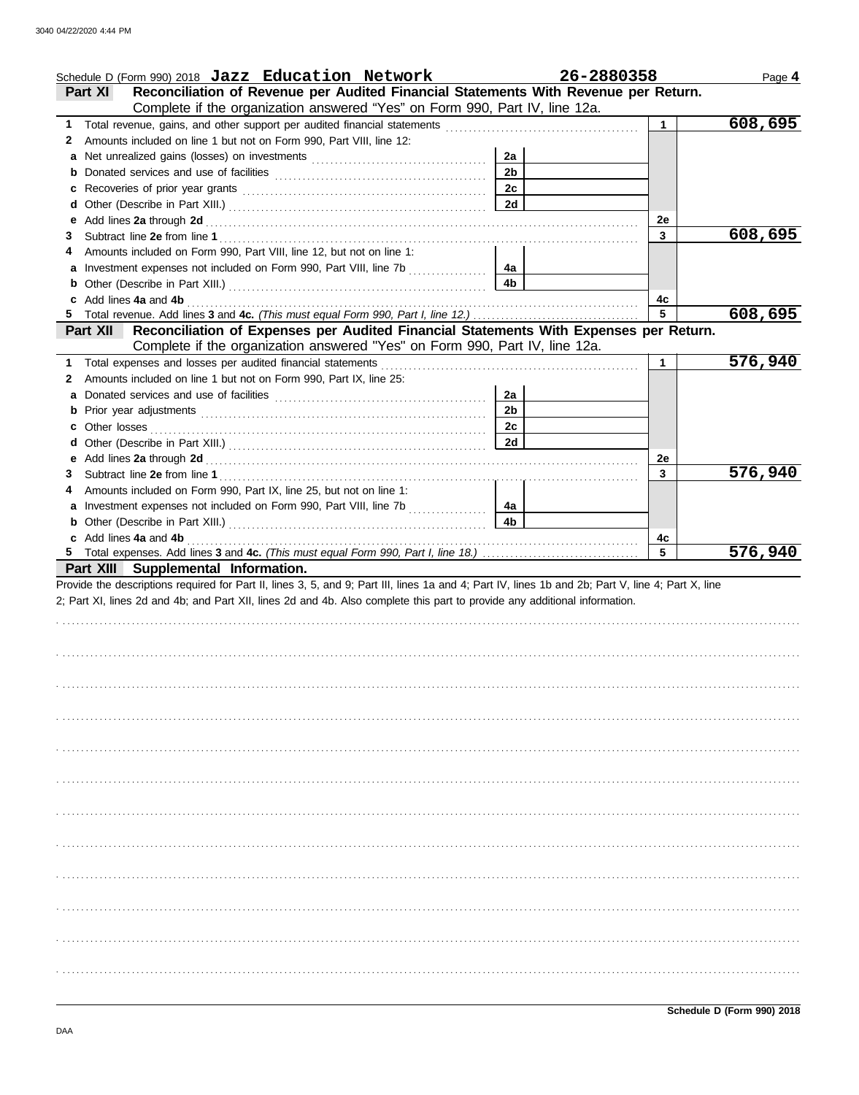|   | Schedule D (Form 990) 2018 Jazz Education Network                                                                                                                                                                                   |                | 26-2880358 |             | Page 4  |
|---|-------------------------------------------------------------------------------------------------------------------------------------------------------------------------------------------------------------------------------------|----------------|------------|-------------|---------|
|   | Reconciliation of Revenue per Audited Financial Statements With Revenue per Return.<br><b>Part XI</b>                                                                                                                               |                |            |             |         |
|   | Complete if the organization answered "Yes" on Form 990, Part IV, line 12a.                                                                                                                                                         |                |            |             |         |
| 1 |                                                                                                                                                                                                                                     |                |            | 1           | 608,695 |
| 2 | Amounts included on line 1 but not on Form 990, Part VIII, line 12:                                                                                                                                                                 |                |            |             |         |
| a |                                                                                                                                                                                                                                     | 2a             |            |             |         |
| b |                                                                                                                                                                                                                                     | 2 <sub>b</sub> |            |             |         |
| c |                                                                                                                                                                                                                                     | 2c             |            |             |         |
| d |                                                                                                                                                                                                                                     | <b>2d</b>      |            |             |         |
| е |                                                                                                                                                                                                                                     |                |            | 2e          |         |
| 3 |                                                                                                                                                                                                                                     |                |            | 3           | 608,695 |
|   | Amounts included on Form 990, Part VIII, line 12, but not on line 1:                                                                                                                                                                |                |            |             |         |
| a |                                                                                                                                                                                                                                     | 4a             |            |             |         |
| b |                                                                                                                                                                                                                                     | 4 <sub>b</sub> |            |             |         |
| c | Add lines 4a and 4b <b>container and 4b</b> and 4b and 4b and 4b and 4b and 4b and 4b and 4b and 4b and 4b and 4b and 4b and 4b and 4b and 4b and 4b and 4b and 4b and 4b and 4b and 4b and 4b and 4b and 4b and 4b and 4b and 4b a |                |            | 4c<br>5     |         |
|   | Reconciliation of Expenses per Audited Financial Statements With Expenses per Return.<br><b>Part XII</b>                                                                                                                            |                |            |             | 608,695 |
|   | Complete if the organization answered "Yes" on Form 990, Part IV, line 12a.                                                                                                                                                         |                |            |             |         |
|   | Total expenses and losses per audited financial statements                                                                                                                                                                          |                |            | $\mathbf 1$ | 576,940 |
| 1 | Amounts included on line 1 but not on Form 990, Part IX, line 25:                                                                                                                                                                   |                |            |             |         |
| 2 |                                                                                                                                                                                                                                     | 2a             |            |             |         |
| a |                                                                                                                                                                                                                                     | 2 <sub>b</sub> |            |             |         |
| b |                                                                                                                                                                                                                                     | 2c             |            |             |         |
| с |                                                                                                                                                                                                                                     | 2d             |            |             |         |
| d |                                                                                                                                                                                                                                     |                |            |             |         |
| е |                                                                                                                                                                                                                                     |                |            | <b>2e</b>   |         |
| 3 |                                                                                                                                                                                                                                     |                |            | 3           | 576,940 |
|   | Amounts included on Form 990, Part IX, line 25, but not on line 1:                                                                                                                                                                  |                |            |             |         |
| a | Investment expenses not included on Form 990, Part VIII, line 7b                                                                                                                                                                    | 4a             |            |             |         |
| b |                                                                                                                                                                                                                                     | 4 <sub>b</sub> |            |             |         |
|   |                                                                                                                                                                                                                                     |                |            |             |         |
|   | c Add lines 4a and 4b                                                                                                                                                                                                               |                |            | 4c          |         |
|   |                                                                                                                                                                                                                                     |                |            | 5           | 576,940 |
|   | Part XIII Supplemental Information.                                                                                                                                                                                                 |                |            |             |         |
|   | Provide the descriptions required for Part II, lines 3, 5, and 9; Part III, lines 1a and 4; Part IV, lines 1b and 2b; Part V, line 4; Part X, line                                                                                  |                |            |             |         |
|   | 2; Part XI, lines 2d and 4b; and Part XII, lines 2d and 4b. Also complete this part to provide any additional information.                                                                                                          |                |            |             |         |
|   |                                                                                                                                                                                                                                     |                |            |             |         |
|   |                                                                                                                                                                                                                                     |                |            |             |         |
|   |                                                                                                                                                                                                                                     |                |            |             |         |
|   |                                                                                                                                                                                                                                     |                |            |             |         |
|   |                                                                                                                                                                                                                                     |                |            |             |         |
|   |                                                                                                                                                                                                                                     |                |            |             |         |
|   |                                                                                                                                                                                                                                     |                |            |             |         |
|   |                                                                                                                                                                                                                                     |                |            |             |         |
|   |                                                                                                                                                                                                                                     |                |            |             |         |
|   |                                                                                                                                                                                                                                     |                |            |             |         |
|   |                                                                                                                                                                                                                                     |                |            |             |         |
|   |                                                                                                                                                                                                                                     |                |            |             |         |
|   |                                                                                                                                                                                                                                     |                |            |             |         |
|   |                                                                                                                                                                                                                                     |                |            |             |         |
|   |                                                                                                                                                                                                                                     |                |            |             |         |
|   |                                                                                                                                                                                                                                     |                |            |             |         |
|   |                                                                                                                                                                                                                                     |                |            |             |         |
|   |                                                                                                                                                                                                                                     |                |            |             |         |
|   |                                                                                                                                                                                                                                     |                |            |             |         |
|   |                                                                                                                                                                                                                                     |                |            |             |         |
|   |                                                                                                                                                                                                                                     |                |            |             |         |
|   |                                                                                                                                                                                                                                     |                |            |             |         |
|   |                                                                                                                                                                                                                                     |                |            |             |         |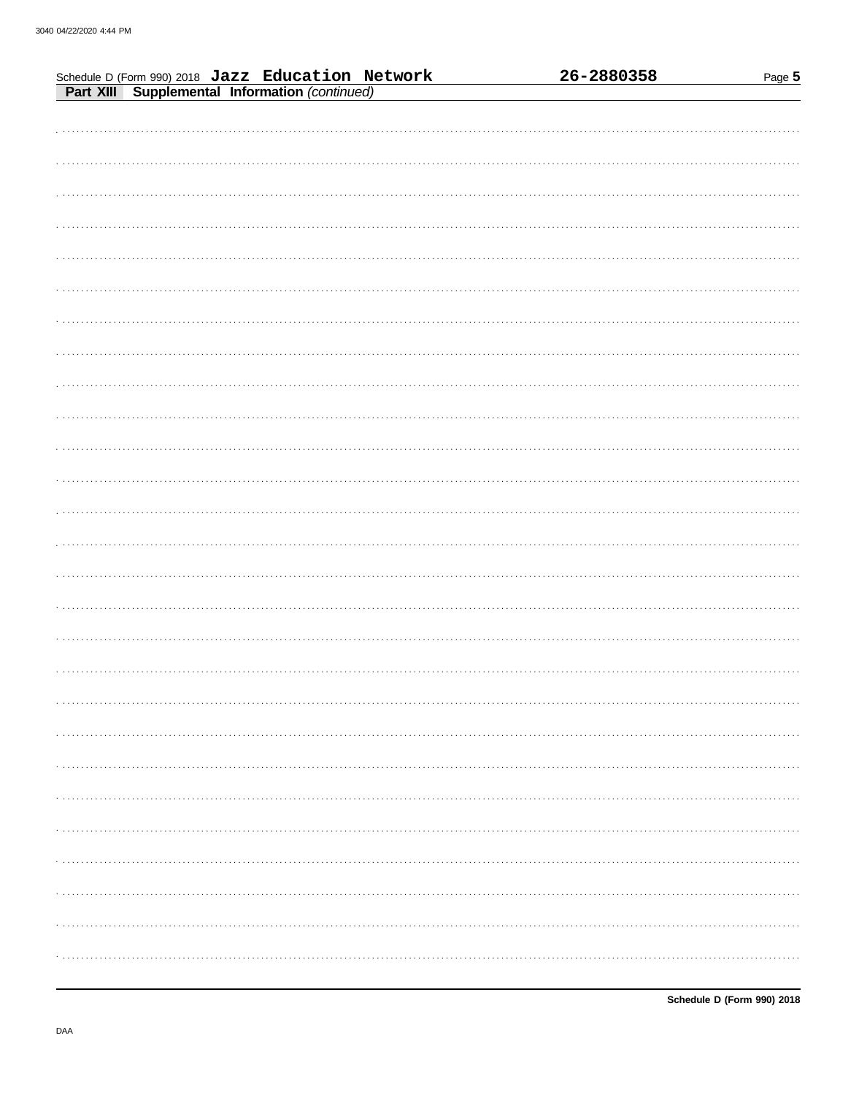|                                                                                                     |  |  | 26-2880358 | Page 5 |
|-----------------------------------------------------------------------------------------------------|--|--|------------|--------|
| Schedule D (Form 990) 2018 Jazz Education Network<br>Part XIII Supplemental Information (continued) |  |  |            |        |
|                                                                                                     |  |  |            |        |
|                                                                                                     |  |  |            |        |
|                                                                                                     |  |  |            |        |
|                                                                                                     |  |  |            |        |
|                                                                                                     |  |  |            |        |
|                                                                                                     |  |  |            |        |
|                                                                                                     |  |  |            |        |
|                                                                                                     |  |  |            |        |
|                                                                                                     |  |  |            |        |
|                                                                                                     |  |  |            |        |
|                                                                                                     |  |  |            |        |
|                                                                                                     |  |  |            |        |
|                                                                                                     |  |  |            |        |
|                                                                                                     |  |  |            |        |
|                                                                                                     |  |  |            |        |
|                                                                                                     |  |  |            |        |
|                                                                                                     |  |  |            |        |
|                                                                                                     |  |  |            |        |
|                                                                                                     |  |  |            |        |
|                                                                                                     |  |  |            |        |
|                                                                                                     |  |  |            |        |
|                                                                                                     |  |  |            |        |
|                                                                                                     |  |  |            |        |
|                                                                                                     |  |  |            |        |
|                                                                                                     |  |  |            |        |
|                                                                                                     |  |  |            |        |
|                                                                                                     |  |  |            |        |
|                                                                                                     |  |  |            |        |
|                                                                                                     |  |  |            |        |
|                                                                                                     |  |  |            |        |
|                                                                                                     |  |  |            |        |
|                                                                                                     |  |  |            |        |
|                                                                                                     |  |  |            |        |
|                                                                                                     |  |  |            |        |
|                                                                                                     |  |  |            |        |
|                                                                                                     |  |  |            |        |
|                                                                                                     |  |  |            |        |
|                                                                                                     |  |  |            |        |
|                                                                                                     |  |  |            |        |
|                                                                                                     |  |  |            |        |
|                                                                                                     |  |  |            |        |
|                                                                                                     |  |  |            |        |
|                                                                                                     |  |  |            |        |
|                                                                                                     |  |  |            |        |
|                                                                                                     |  |  |            |        |
|                                                                                                     |  |  |            |        |
|                                                                                                     |  |  |            |        |
|                                                                                                     |  |  |            |        |
|                                                                                                     |  |  |            |        |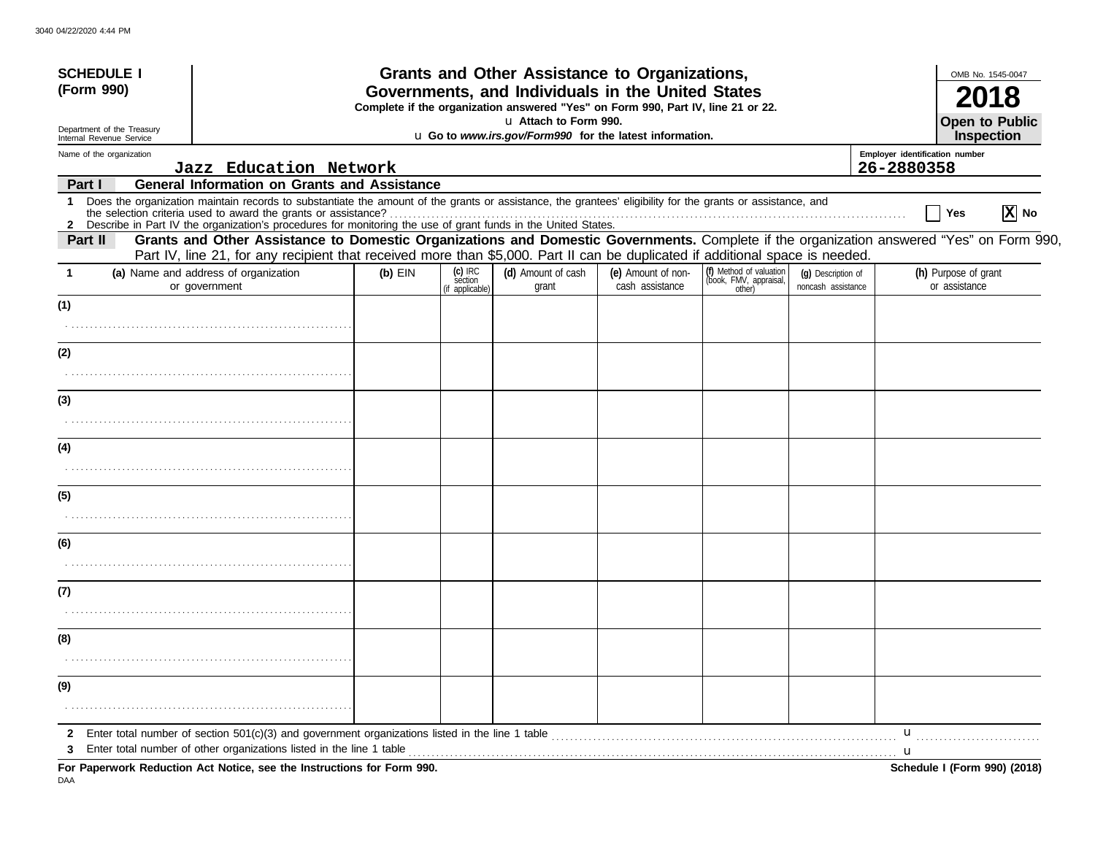| Grants and Other Assistance to Organizations,<br><b>SCHEDULE I</b><br>(Form 990)<br>Governments, and Individuals in the United States |                                                                                                                                                                                                                                                                                                                                                 |           |                                         |                             |                                       |                                                             | OMB No. 1545-0047<br>2018                |                                              |                                       |  |  |
|---------------------------------------------------------------------------------------------------------------------------------------|-------------------------------------------------------------------------------------------------------------------------------------------------------------------------------------------------------------------------------------------------------------------------------------------------------------------------------------------------|-----------|-----------------------------------------|-----------------------------|---------------------------------------|-------------------------------------------------------------|------------------------------------------|----------------------------------------------|---------------------------------------|--|--|
| Department of the Treasury<br>Internal Revenue Service                                                                                | Complete if the organization answered "Yes" on Form 990, Part IV, line 21 or 22.<br>u Attach to Form 990.<br>u Go to www.irs.gov/Form990 for the latest information.                                                                                                                                                                            |           |                                         |                             |                                       |                                                             |                                          |                                              | <b>Open to Public</b><br>Inspection   |  |  |
| Name of the organization                                                                                                              | Jazz Education Network                                                                                                                                                                                                                                                                                                                          |           |                                         |                             |                                       |                                                             |                                          | Employer identification number<br>26-2880358 |                                       |  |  |
| Part I                                                                                                                                | <b>General Information on Grants and Assistance</b>                                                                                                                                                                                                                                                                                             |           |                                         |                             |                                       |                                                             |                                          |                                              |                                       |  |  |
| 1                                                                                                                                     | Does the organization maintain records to substantiate the amount of the grants or assistance, the grantees' eligibility for the grants or assistance, and<br>the selection criteria used to award the grants or assistance?<br>2 Describe in Part IV the organization's procedures for monitoring the use of grant funds in the United States. |           |                                         |                             |                                       |                                                             |                                          |                                              | $ X $ No<br>Yes                       |  |  |
| Part II                                                                                                                               | Grants and Other Assistance to Domestic Organizations and Domestic Governments. Complete if the organization answered "Yes" on Form 990,<br>Part IV, line 21, for any recipient that received more than \$5,000. Part II can be duplicated if additional space is needed.                                                                       |           |                                         |                             |                                       |                                                             |                                          |                                              |                                       |  |  |
| -1                                                                                                                                    | (a) Name and address of organization<br>or government                                                                                                                                                                                                                                                                                           | $(b)$ EIN | $(c)$ IRC<br>section<br>(if applicable) | (d) Amount of cash<br>grant | (e) Amount of non-<br>cash assistance | (f) Method of valuation<br>(book, FMV, appraisal,<br>other) | (q) Description of<br>noncash assistance |                                              | (h) Purpose of grant<br>or assistance |  |  |
| (1)                                                                                                                                   |                                                                                                                                                                                                                                                                                                                                                 |           |                                         |                             |                                       |                                                             |                                          |                                              |                                       |  |  |
| (2)                                                                                                                                   |                                                                                                                                                                                                                                                                                                                                                 |           |                                         |                             |                                       |                                                             |                                          |                                              |                                       |  |  |
| (3)                                                                                                                                   |                                                                                                                                                                                                                                                                                                                                                 |           |                                         |                             |                                       |                                                             |                                          |                                              |                                       |  |  |
| (4)                                                                                                                                   |                                                                                                                                                                                                                                                                                                                                                 |           |                                         |                             |                                       |                                                             |                                          |                                              |                                       |  |  |
| (5)                                                                                                                                   |                                                                                                                                                                                                                                                                                                                                                 |           |                                         |                             |                                       |                                                             |                                          |                                              |                                       |  |  |
|                                                                                                                                       |                                                                                                                                                                                                                                                                                                                                                 |           |                                         |                             |                                       |                                                             |                                          |                                              |                                       |  |  |
| (6)                                                                                                                                   |                                                                                                                                                                                                                                                                                                                                                 |           |                                         |                             |                                       |                                                             |                                          |                                              |                                       |  |  |
| (7)                                                                                                                                   |                                                                                                                                                                                                                                                                                                                                                 |           |                                         |                             |                                       |                                                             |                                          |                                              |                                       |  |  |
| (8)                                                                                                                                   |                                                                                                                                                                                                                                                                                                                                                 |           |                                         |                             |                                       |                                                             |                                          |                                              |                                       |  |  |
| (9)                                                                                                                                   |                                                                                                                                                                                                                                                                                                                                                 |           |                                         |                             |                                       |                                                             |                                          |                                              |                                       |  |  |
| 2                                                                                                                                     |                                                                                                                                                                                                                                                                                                                                                 |           |                                         |                             |                                       |                                                             |                                          | u                                            |                                       |  |  |
|                                                                                                                                       | Enter total number of other organizations listed in the line 1 table<br>For Paperwork Reduction Act Notice, see the Instructions for Form 990.                                                                                                                                                                                                  |           |                                         |                             |                                       |                                                             |                                          | <u></u> u                                    | Schedule I (Form 990) (2018)          |  |  |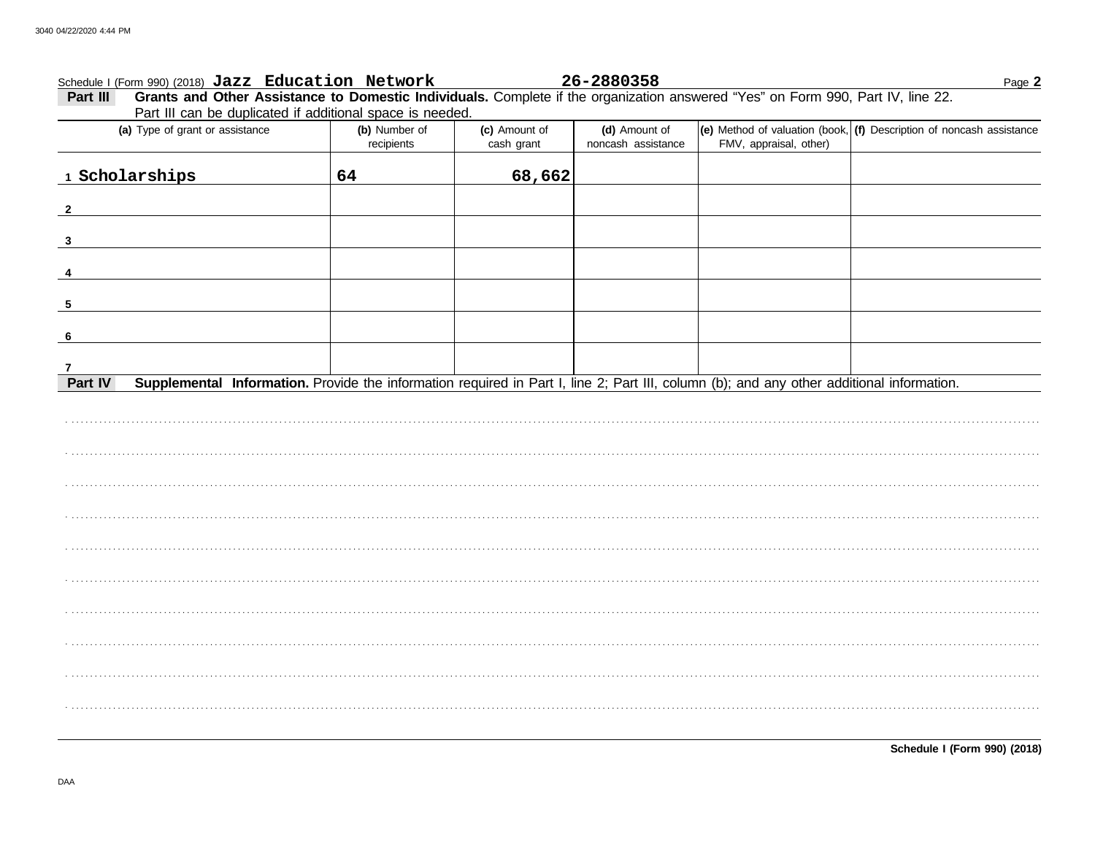| Schedule I (Form 990) (2018) Jazz Education Network                                                                                                                                                      |                             |                             | 26-2880358                          |                        | Page 2                                                                               |
|----------------------------------------------------------------------------------------------------------------------------------------------------------------------------------------------------------|-----------------------------|-----------------------------|-------------------------------------|------------------------|--------------------------------------------------------------------------------------|
| Grants and Other Assistance to Domestic Individuals. Complete if the organization answered "Yes" on Form 990, Part IV, line 22.<br>Part III<br>Part III can be duplicated if additional space is needed. |                             |                             |                                     |                        |                                                                                      |
| (a) Type of grant or assistance                                                                                                                                                                          | (b) Number of<br>recipients | (c) Amount of<br>cash grant | (d) Amount of<br>noncash assistance | FMV, appraisal, other) | $\vert$ (e) Method of valuation (book, $\vert$ (f) Description of noncash assistance |
| Scholarships                                                                                                                                                                                             | 64                          | 68,662                      |                                     |                        |                                                                                      |
|                                                                                                                                                                                                          |                             |                             |                                     |                        |                                                                                      |
|                                                                                                                                                                                                          |                             |                             |                                     |                        |                                                                                      |
|                                                                                                                                                                                                          |                             |                             |                                     |                        |                                                                                      |
|                                                                                                                                                                                                          |                             |                             |                                     |                        |                                                                                      |
|                                                                                                                                                                                                          |                             |                             |                                     |                        |                                                                                      |
|                                                                                                                                                                                                          |                             |                             |                                     |                        |                                                                                      |
| Supplemental Information. Provide the information required in Part I, line 2; Part III, column (b); and any other additional information.<br>Part IV                                                     |                             |                             |                                     |                        |                                                                                      |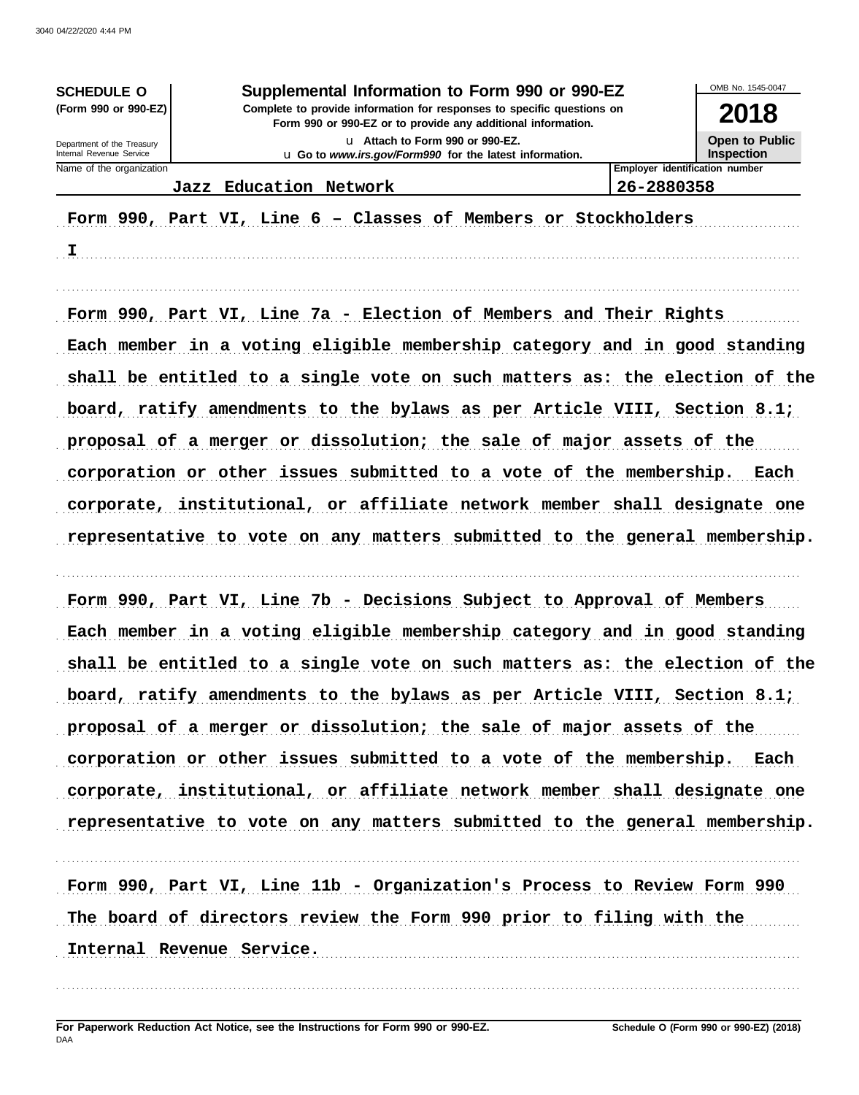| <b>SCHEDULE O</b>                                      | Supplemental Information to Form 990 or 990-EZ                                                                                                          |            | OMB No. 1545-0047                                   |  |
|--------------------------------------------------------|---------------------------------------------------------------------------------------------------------------------------------------------------------|------------|-----------------------------------------------------|--|
| (Form 990 or 990-EZ)                                   | Complete to provide information for responses to specific questions on<br>Form 990 or 990-EZ or to provide any additional information.                  |            |                                                     |  |
| Department of the Treasury<br>Internal Revenue Service | u Attach to Form 990 or 990-EZ.<br>u Go to www.irs.gov/Form990 for the latest information.                                                              |            |                                                     |  |
| Name of the organization                               |                                                                                                                                                         |            | <b>Inspection</b><br>Employer identification number |  |
|                                                        | Jazz Education Network                                                                                                                                  | 26-2880358 |                                                     |  |
| $\mathbf{I}$                                           | Form 990, Part VI, Line 6 - Classes of Members or Stockholders<br>Form 990, Part VI, Line 7a - Election of Members and Their Rights                     |            |                                                     |  |
|                                                        | Each member in a voting eligible membership category and in good standing<br>shall be entitled to a single vote on such matters as: the election of the |            |                                                     |  |
|                                                        | board, ratify amendments to the bylaws as per Article VIII, Section 8.1;                                                                                |            |                                                     |  |
|                                                        | proposal of a merger or dissolution; the sale of major assets of the                                                                                    |            |                                                     |  |
|                                                        | corporation or other issues submitted to a vote of the membership.                                                                                      |            | Each                                                |  |
|                                                        | corporate, institutional, or affiliate network member shall designate one                                                                               |            |                                                     |  |
|                                                        | representative to vote on any matters submitted to the general membership.                                                                              |            |                                                     |  |
|                                                        | Form 990, Part VI, Line 7b - Decisions Subject to Approval of Members                                                                                   |            |                                                     |  |
|                                                        | Each member in a voting eligible membership category and in good standing                                                                               |            |                                                     |  |
|                                                        | shall be entitled to a single vote on such matters as: the election of the                                                                              |            |                                                     |  |
|                                                        | board, ratify amendments to the bylaws as per Article VIII, Section 8.1;<br>proposal of a merger or dissolution; the sale of major assets of the        |            |                                                     |  |
|                                                        | corporation or other issues submitted to a vote of the membership. Each                                                                                 |            |                                                     |  |
|                                                        | corporate, institutional, or affiliate network member shall designate one                                                                               |            |                                                     |  |
|                                                        | representative to vote on any matters submitted to the general membership.                                                                              |            |                                                     |  |
|                                                        |                                                                                                                                                         |            |                                                     |  |
|                                                        | Form 990, Part VI, Line 11b - Organization's Process to Review Form 990                                                                                 |            |                                                     |  |
|                                                        | The board of directors review the Form 990 prior to filing with the                                                                                     |            |                                                     |  |
| Internal Revenue Service.                              |                                                                                                                                                         |            |                                                     |  |
|                                                        |                                                                                                                                                         |            |                                                     |  |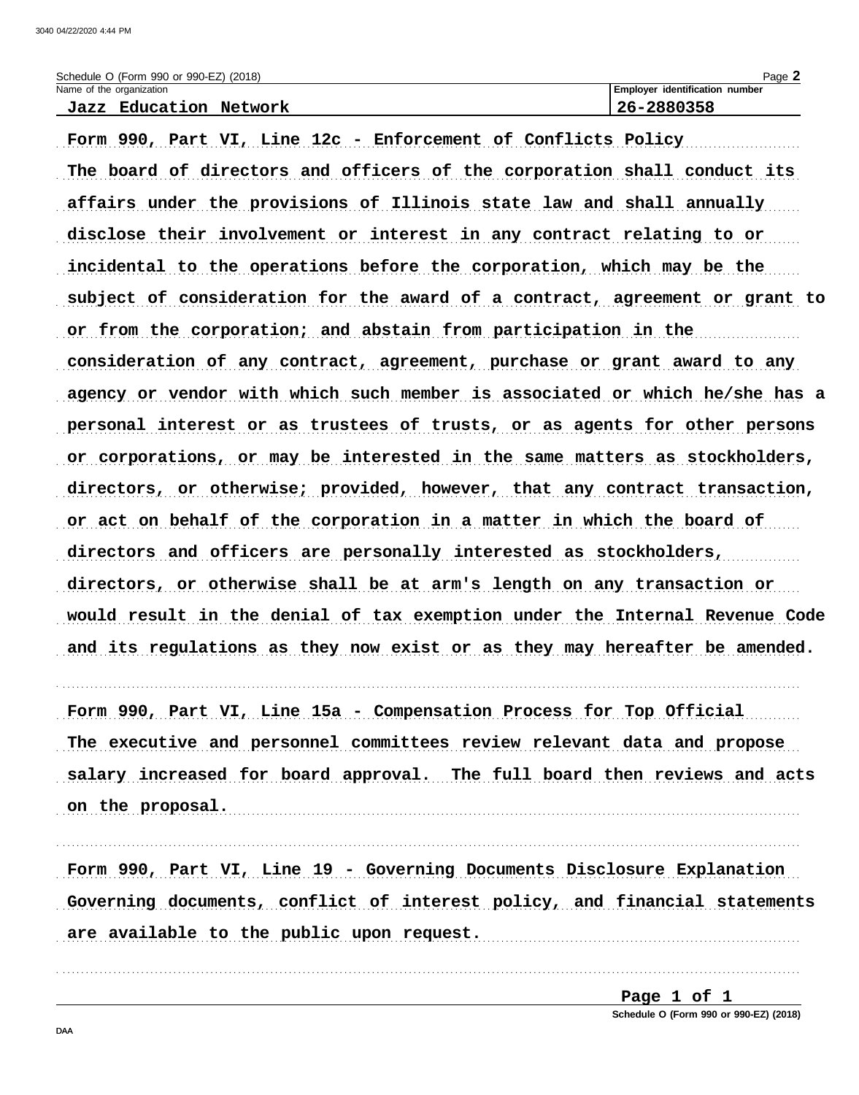| Schedule O (Form 990 or 990-EZ) (2018) | $P$ ade $\blacktriangle$              |
|----------------------------------------|---------------------------------------|
| Name of the organization               | <b>Employer identification number</b> |
| $T = 77$<br>Network<br>Education       | $26 - 2880358$                        |

Form 990, Part VI, Line 12c - Enforcement of Conflicts Policy The board of directors and officers of the corporation shall conduct its affairs under the provisions of Illinois state law and shall annually disclose their involvement or interest in any contract relating to or incidental to the operations before the corporation, which may be the subject of consideration for the award of a contract, agreement or grant to or from the corporation; and abstain from participation in the consideration of any contract, agreement, purchase or grant award to any agency or vendor with which such member is associated or which he/she has a personal interest or as trustees of trusts, or as agents for other persons or corporations, or may be interested in the same matters as stockholders, directors, or otherwise; provided, however, that any contract transaction, or act on behalf of the corporation in a matter in which the board of directors and officers are personally interested as stockholders, directors, or otherwise shall be at arm's length on any transaction or would result in the denial of tax exemption under the Internal Revenue Code and its regulations as they now exist or as they may hereafter be amended.

Form 990, Part VI, Line 15a - Compensation Process for Top Official The executive and personnel committees review relevant data and propose salary increased for board approval. The full board then reviews and acts on the proposal.

Form 990, Part VI, Line 19 - Governing Documents Disclosure Explanation Governing documents, conflict of interest policy, and financial statements are available to the public upon request.

<u>Page 1 of 1</u> Schedule O (Form 990 or 990-EZ) (2018)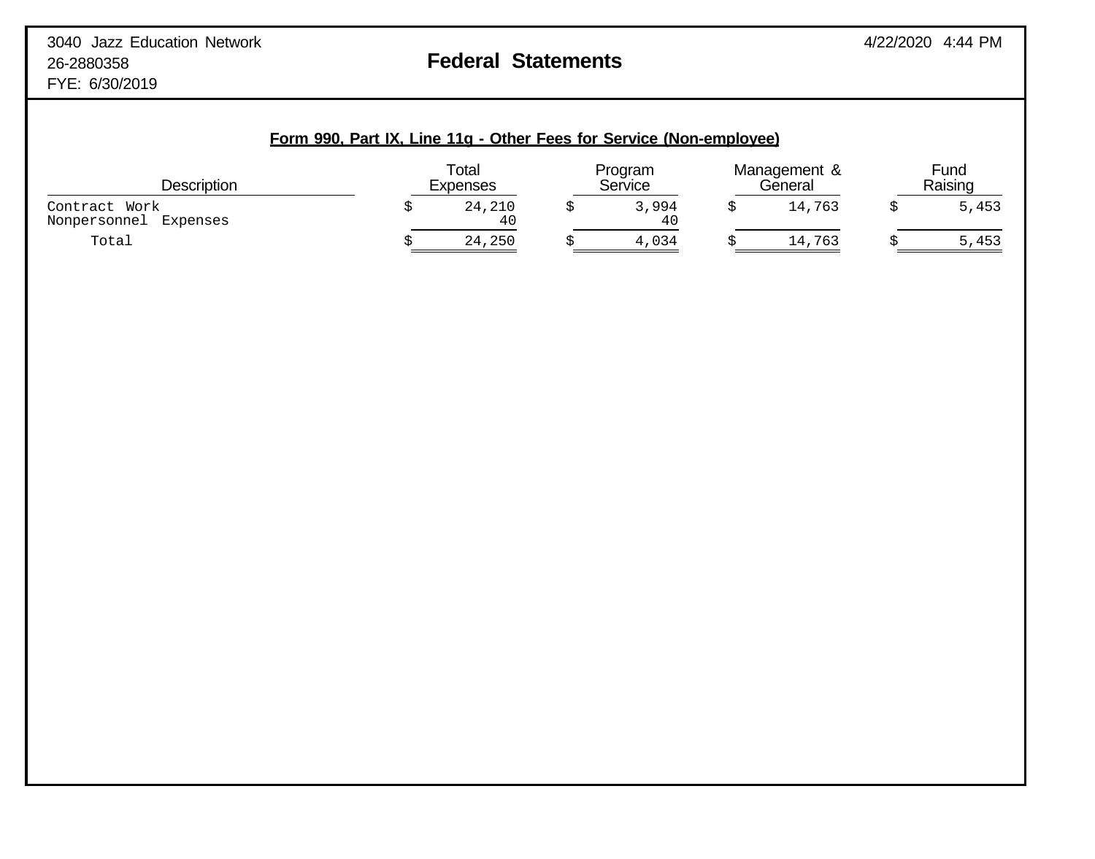| Form 990, Part IX, Line 11g - Other Fees for Service (Non-employee) |                          |              |                    |             |                         |        |                 |       |
|---------------------------------------------------------------------|--------------------------|--------------|--------------------|-------------|-------------------------|--------|-----------------|-------|
| <b>Description</b>                                                  | Total<br><b>Expenses</b> |              | Program<br>Service |             | Management &<br>General |        | Fund<br>Raising |       |
| Contract Work<br>Nonpersonnel Expenses                              |                          | 24,210<br>40 |                    | 3,994<br>40 |                         | 14,763 |                 | 5,453 |
| Total                                                               |                          | 24,250       |                    | 4,034       |                         | 14,763 |                 | 5,453 |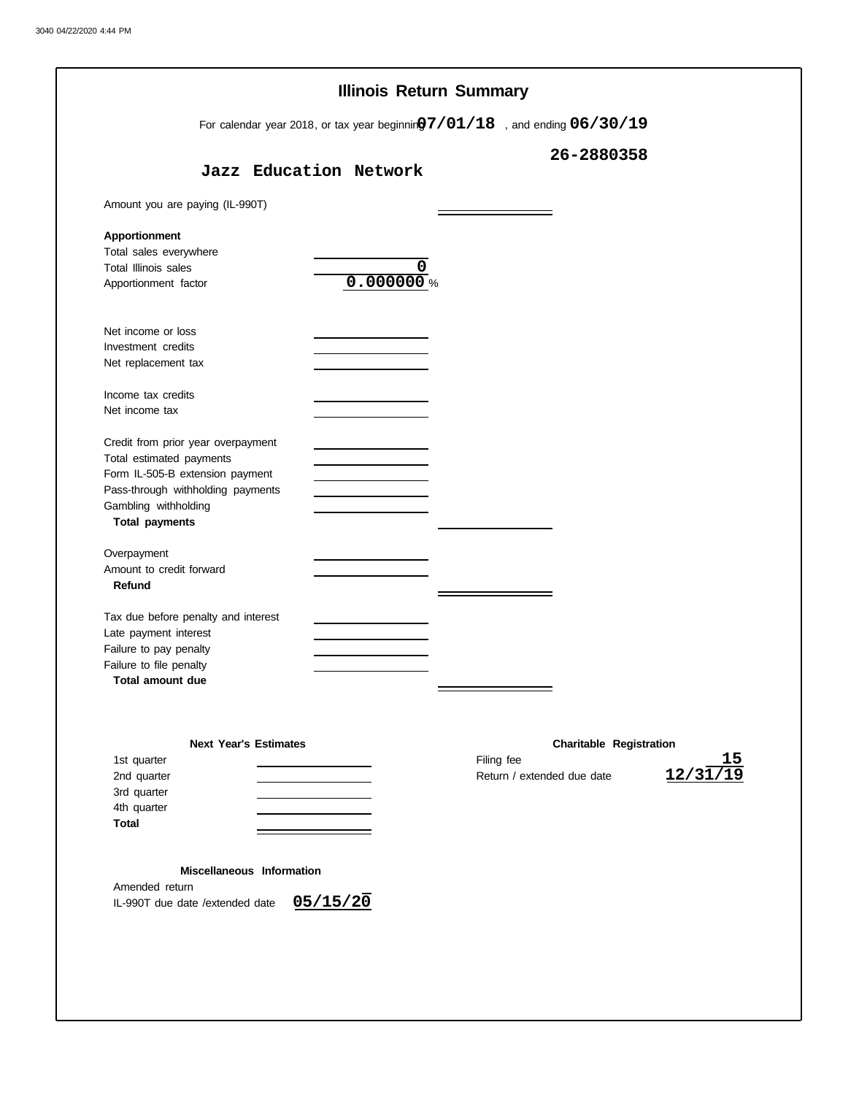|                                                                      | <b>Illinois Return Summary</b>                                                  |            |                                |       |
|----------------------------------------------------------------------|---------------------------------------------------------------------------------|------------|--------------------------------|-------|
|                                                                      | For calendar year 2018, or tax year beginnin $97/01/18$ , and ending $06/30/19$ |            |                                |       |
|                                                                      | Jazz Education Network                                                          |            | 26-2880358                     |       |
|                                                                      |                                                                                 |            |                                |       |
| Amount you are paying (IL-990T)                                      |                                                                                 |            |                                |       |
| Apportionment                                                        |                                                                                 |            |                                |       |
| Total sales everywhere                                               | 0                                                                               |            |                                |       |
| Total Illinois sales<br>Apportionment factor                         | 0.000000%                                                                       |            |                                |       |
|                                                                      |                                                                                 |            |                                |       |
| Net income or loss                                                   |                                                                                 |            |                                |       |
| Investment credits                                                   |                                                                                 |            |                                |       |
| Net replacement tax                                                  |                                                                                 |            |                                |       |
| Income tax credits                                                   |                                                                                 |            |                                |       |
| Net income tax                                                       |                                                                                 |            |                                |       |
| Credit from prior year overpayment                                   |                                                                                 |            |                                |       |
| Total estimated payments                                             |                                                                                 |            |                                |       |
| Form IL-505-B extension payment<br>Pass-through withholding payments | <u> 1989 - Johann Barnett, fransk politiker (</u>                               |            |                                |       |
| Gambling withholding                                                 |                                                                                 |            |                                |       |
| <b>Total payments</b>                                                |                                                                                 |            |                                |       |
| Overpayment                                                          |                                                                                 |            |                                |       |
| Amount to credit forward                                             |                                                                                 |            |                                |       |
| Refund                                                               |                                                                                 |            |                                |       |
| Tax due before penalty and interest                                  |                                                                                 |            |                                |       |
| Late payment interest                                                |                                                                                 |            |                                |       |
| Failure to pay penalty<br>Failure to file penalty                    |                                                                                 |            |                                |       |
| <b>Total amount due</b>                                              |                                                                                 |            |                                |       |
|                                                                      |                                                                                 |            |                                |       |
| <b>Next Year's Estimates</b>                                         |                                                                                 |            | <b>Charitable Registration</b> |       |
| 1st quarter                                                          |                                                                                 | Filing fee |                                |       |
| 2nd quarter                                                          |                                                                                 |            | Return / extended due date     | 12/31 |
| 3rd quarter<br>4th quarter                                           |                                                                                 |            |                                |       |
| <b>Total</b>                                                         |                                                                                 |            |                                |       |
|                                                                      |                                                                                 |            |                                |       |
| Miscellaneous Information                                            |                                                                                 |            |                                |       |
| Amended return                                                       |                                                                                 |            |                                |       |
| IL-990T due date /extended date                                      | 05/15/20                                                                        |            |                                |       |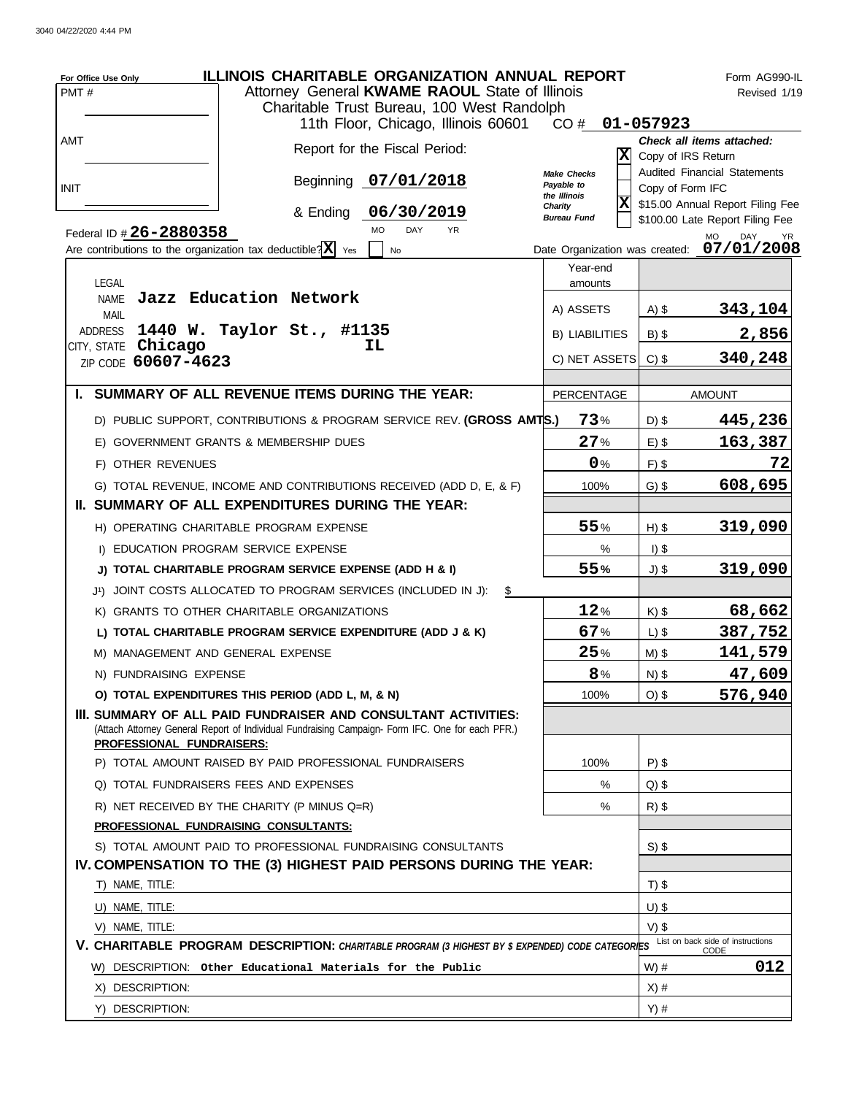| For Office Use Only<br>PMT#                                                                                                                                                                     | <b>ILLINOIS CHARITABLE ORGANIZATION ANNUAL REPORT</b><br>Attorney General KWAME RAOUL State of Illinois<br>Charitable Trust Bureau, 100 West Randolph |                                                 |                                        | Form AG990-IL<br>Revised 1/19                                    |
|-------------------------------------------------------------------------------------------------------------------------------------------------------------------------------------------------|-------------------------------------------------------------------------------------------------------------------------------------------------------|-------------------------------------------------|----------------------------------------|------------------------------------------------------------------|
|                                                                                                                                                                                                 | 11th Floor, Chicago, Illinois 60601                                                                                                                   | CO#                                             | 01-057923                              |                                                                  |
| <b>AMT</b><br><b>INIT</b>                                                                                                                                                                       | Report for the Fiscal Period:<br>Beginning 07/01/2018                                                                                                 | ΙX<br>Make Checks<br>Payable to<br>the Illinois | Copy of IRS Return<br>Copy of Form IFC | Check all items attached:<br><b>Audited Financial Statements</b> |
| & Ending                                                                                                                                                                                        | 06/30/2019                                                                                                                                            | x <br>Charity<br><b>Bureau Fund</b>             |                                        | \$15.00 Annual Report Filing Fee                                 |
| Federal ID # 26-2880358                                                                                                                                                                         | DAY<br><b>MO</b><br><b>YR</b>                                                                                                                         |                                                 |                                        | \$100.00 Late Report Filing Fee<br>DAY<br>MO<br>YR.              |
| Are contributions to the organization tax deductible? $ X $ Yes                                                                                                                                 | No                                                                                                                                                    | Date Organization was created:                  |                                        | 07/01/2008                                                       |
|                                                                                                                                                                                                 |                                                                                                                                                       | Year-end                                        |                                        |                                                                  |
| <b>LEGAL</b><br>Jazz Education Network<br><b>NAME</b><br>MAIL                                                                                                                                   |                                                                                                                                                       | amounts<br>A) ASSETS                            | $A)$ \$                                | 343,104                                                          |
| 1440 W. Taylor St., #1135<br><b>ADDRESS</b>                                                                                                                                                     |                                                                                                                                                       | <b>B) LIABILITIES</b>                           | $B)$ \$                                | 2,856                                                            |
| CITY, STATE Chicago                                                                                                                                                                             | IL.                                                                                                                                                   | C) NET ASSETS                                   | $C)$ \$                                | 340,248                                                          |
| ZIP CODE 60607-4623                                                                                                                                                                             |                                                                                                                                                       |                                                 |                                        |                                                                  |
| I. SUMMARY OF ALL REVENUE ITEMS DURING THE YEAR:                                                                                                                                                |                                                                                                                                                       | PERCENTAGE                                      |                                        | <b>AMOUNT</b>                                                    |
| D) PUBLIC SUPPORT, CONTRIBUTIONS & PROGRAM SERVICE REV. (GROSS AMTS.)                                                                                                                           |                                                                                                                                                       | 73%                                             | $D)$ \$                                | 445,236                                                          |
| E) GOVERNMENT GRANTS & MEMBERSHIP DUES                                                                                                                                                          |                                                                                                                                                       | 27%                                             | $E)$ \$                                | 163,387                                                          |
| F) OTHER REVENUES                                                                                                                                                                               |                                                                                                                                                       | 0%                                              | $F)$ \$                                | 72                                                               |
| G) TOTAL REVENUE, INCOME AND CONTRIBUTIONS RECEIVED (ADD D, E, & F)                                                                                                                             |                                                                                                                                                       | 100%                                            | $G)$ \$                                | 608,695                                                          |
| II. SUMMARY OF ALL EXPENDITURES DURING THE YEAR:                                                                                                                                                |                                                                                                                                                       |                                                 |                                        |                                                                  |
| H) OPERATING CHARITABLE PROGRAM EXPENSE                                                                                                                                                         |                                                                                                                                                       | 55%                                             | $H)$ \$                                | 319,090                                                          |
| I) EDUCATION PROGRAM SERVICE EXPENSE                                                                                                                                                            |                                                                                                                                                       | ℅                                               | $I)$ \$                                |                                                                  |
| J) TOTAL CHARITABLE PROGRAM SERVICE EXPENSE (ADD H & I)                                                                                                                                         |                                                                                                                                                       | 55%                                             | $J)$ \$                                | 319,090                                                          |
| J1) JOINT COSTS ALLOCATED TO PROGRAM SERVICES (INCLUDED IN J):                                                                                                                                  | \$                                                                                                                                                    |                                                 |                                        |                                                                  |
| K) GRANTS TO OTHER CHARITABLE ORGANIZATIONS                                                                                                                                                     |                                                                                                                                                       | 12%                                             | $K)$ \$                                | 68,662                                                           |
| L) TOTAL CHARITABLE PROGRAM SERVICE EXPENDITURE (ADD J & K)                                                                                                                                     |                                                                                                                                                       | 67%                                             | $L$ ) \$                               | 387,752                                                          |
| M) MANAGEMENT AND GENERAL EXPENSE                                                                                                                                                               |                                                                                                                                                       | 25%                                             | $M)$ \$                                | 141,579                                                          |
| N) FUNDRAISING EXPENSE                                                                                                                                                                          |                                                                                                                                                       | 8%                                              | $N)$ \$                                | 47,609                                                           |
| O) TOTAL EXPENDITURES THIS PERIOD (ADD L, M, & N)                                                                                                                                               |                                                                                                                                                       | 100%                                            | $O)$ \$                                | 576,940                                                          |
| III. SUMMARY OF ALL PAID FUNDRAISER AND CONSULTANT ACTIVITIES:<br>(Attach Attorney General Report of Individual Fundraising Campaign- Form IFC. One for each PFR.)<br>PROFESSIONAL FUNDRAISERS: |                                                                                                                                                       |                                                 |                                        |                                                                  |
| P) TOTAL AMOUNT RAISED BY PAID PROFESSIONAL FUNDRAISERS                                                                                                                                         |                                                                                                                                                       | 100%                                            | $P$ ) \$                               |                                                                  |
| Q) TOTAL FUNDRAISERS FEES AND EXPENSES                                                                                                                                                          |                                                                                                                                                       | %                                               | $Q)$ \$                                |                                                                  |
| R) NET RECEIVED BY THE CHARITY (P MINUS Q=R)                                                                                                                                                    |                                                                                                                                                       | %                                               | $R)$ \$                                |                                                                  |
| PROFESSIONAL FUNDRAISING CONSULTANTS:                                                                                                                                                           |                                                                                                                                                       |                                                 |                                        |                                                                  |
| S) TOTAL AMOUNT PAID TO PROFESSIONAL FUNDRAISING CONSULTANTS                                                                                                                                    |                                                                                                                                                       |                                                 | $S)$ \$                                |                                                                  |
| IV. COMPENSATION TO THE (3) HIGHEST PAID PERSONS DURING THE YEAR:                                                                                                                               |                                                                                                                                                       |                                                 |                                        |                                                                  |
| T) NAME, TITLE:                                                                                                                                                                                 |                                                                                                                                                       |                                                 | $T)$ \$                                |                                                                  |
| U) NAME, TITLE:                                                                                                                                                                                 |                                                                                                                                                       |                                                 | $U)$ \$                                |                                                                  |
| V) NAME, TITLE:                                                                                                                                                                                 |                                                                                                                                                       |                                                 | $V)$ \$                                | List on back side of instructions                                |
| V. CHARITABLE PROGRAM DESCRIPTION: CHARITABLE PROGRAM (3 HIGHEST BY \$ EXPENDED) CODE CATEGORIES                                                                                                |                                                                                                                                                       |                                                 |                                        | CODE                                                             |
| W) DESCRIPTION: Other Educational Materials for the Public                                                                                                                                      |                                                                                                                                                       |                                                 | W) #                                   | 012                                                              |
| X) DESCRIPTION:                                                                                                                                                                                 |                                                                                                                                                       |                                                 | $X)$ #                                 |                                                                  |
| Y) DESCRIPTION:                                                                                                                                                                                 |                                                                                                                                                       |                                                 | $Y)$ #                                 |                                                                  |